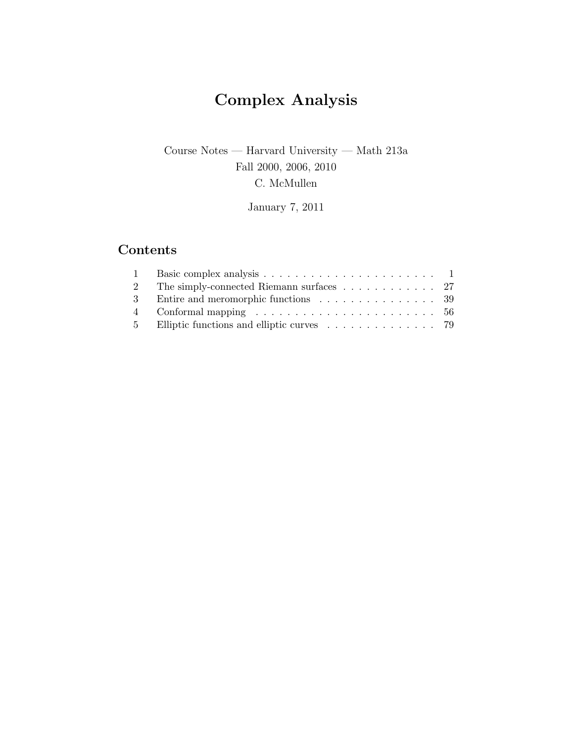# Complex Analysis

## Course Notes — Harvard University — Math 213a Fall 2000, 2006, 2010 C. McMullen

January 7, 2011

## Contents

| 2 The simply-connected Riemann surfaces 27                                       |  |
|----------------------------------------------------------------------------------|--|
| 3 Entire and meromorphic functions 39                                            |  |
| 4 Conformal mapping $\ldots \ldots \ldots \ldots \ldots \ldots \ldots \ldots 56$ |  |
|                                                                                  |  |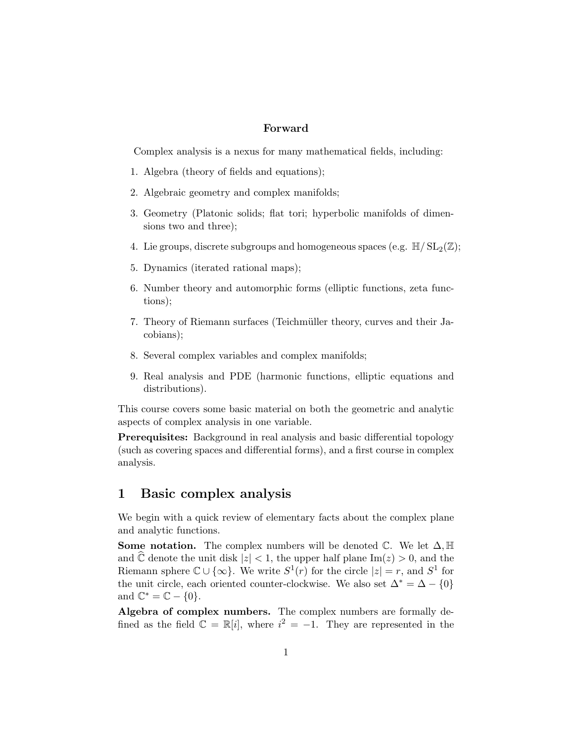### Forward

Complex analysis is a nexus for many mathematical fields, including:

- 1. Algebra (theory of fields and equations);
- 2. Algebraic geometry and complex manifolds;
- 3. Geometry (Platonic solids; flat tori; hyperbolic manifolds of dimensions two and three);
- 4. Lie groups, discrete subgroups and homogeneous spaces (e.g.  $\mathbb{H}/SL_2(\mathbb{Z})$ ;
- 5. Dynamics (iterated rational maps);
- 6. Number theory and automorphic forms (elliptic functions, zeta functions);
- 7. Theory of Riemann surfaces (Teichm¨uller theory, curves and their Jacobians);
- 8. Several complex variables and complex manifolds;
- 9. Real analysis and PDE (harmonic functions, elliptic equations and distributions).

This course covers some basic material on both the geometric and analytic aspects of complex analysis in one variable.

Prerequisites: Background in real analysis and basic differential topology (such as covering spaces and differential forms), and a first course in complex analysis.

## 1 Basic complex analysis

We begin with a quick review of elementary facts about the complex plane and analytic functions.

**Some notation.** The complex numbers will be denoted  $\mathbb{C}$ . We let  $\Delta$ ,  $\mathbb{H}$ and  $\hat{\mathbb{C}}$  denote the unit disk  $|z| < 1$ , the upper half plane Im(z) > 0, and the Riemann sphere  $\mathbb{C} \cup \{\infty\}$ . We write  $S^1(r)$  for the circle  $|z| = r$ , and  $S^1$  for the unit circle, each oriented counter-clockwise. We also set  $\Delta^* = \Delta - \{0\}$ and  $\mathbb{C}^* = \mathbb{C} - \{0\}.$ 

Algebra of complex numbers. The complex numbers are formally defined as the field  $\mathbb{C} = \mathbb{R}[i]$ , where  $i^2 = -1$ . They are represented in the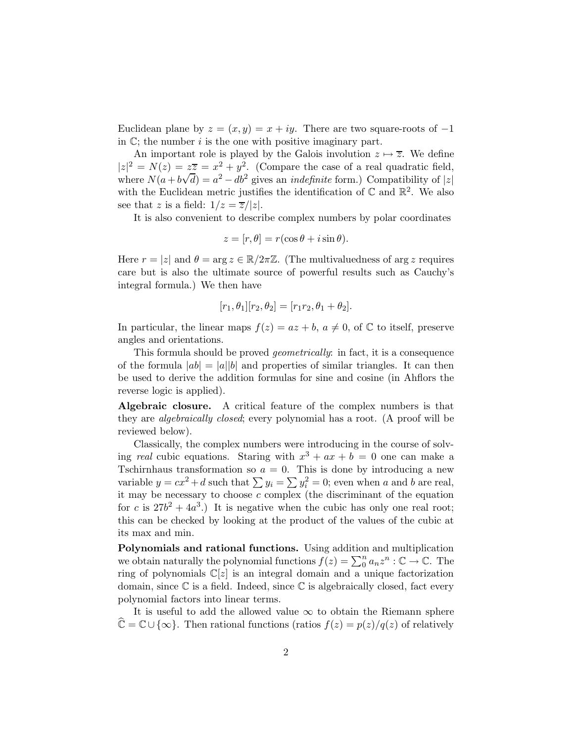Euclidean plane by  $z = (x, y) = x + iy$ . There are two square-roots of -1 in  $\mathbb{C}$ ; the number i is the one with positive imaginary part.

An important role is played by the Galois involution  $z \mapsto \overline{z}$ . We define  $|z|^2 = N(z) = z\overline{z} = x^2 + y^2$ . (Compare the case of a real quadratic field, where  $N(a + b\sqrt{d}) = a^2 - db^2$  gives an *indefinite* form.) Compatibility of |z| with the Euclidean metric justifies the identification of  $\mathbb C$  and  $\mathbb R^2$ . We also see that z is a field:  $1/z = \overline{z}/|z|$ .

It is also convenient to describe complex numbers by polar coordinates

$$
z = [r, \theta] = r(\cos \theta + i \sin \theta).
$$

Here  $r = |z|$  and  $\theta = \arg z \in \mathbb{R}/2\pi\mathbb{Z}$ . (The multivaluedness of arg z requires care but is also the ultimate source of powerful results such as Cauchy's integral formula.) We then have

$$
[r_1, \theta_1][r_2, \theta_2] = [r_1r_2, \theta_1 + \theta_2].
$$

In particular, the linear maps  $f(z) = az + b$ ,  $a \neq 0$ , of  $\mathbb C$  to itself, preserve angles and orientations.

This formula should be proved *geometrically*: in fact, it is a consequence of the formula  $|ab| = |a||b|$  and properties of similar triangles. It can then be used to derive the addition formulas for sine and cosine (in Ahflors the reverse logic is applied).

Algebraic closure. A critical feature of the complex numbers is that they are *algebraically closed*; every polynomial has a root. (A proof will be reviewed below).

Classically, the complex numbers were introducing in the course of solving *real* cubic equations. Staring with  $x^3 + ax + b = 0$  one can make a Tschirnhaus transformation so  $a = 0$ . This is done by introducing a new variable  $y = cx^2 + d$  such that  $\sum y_i = \sum y_i^2 = 0$ ; even when a and b are real, it may be necessary to choose  $c$  complex (the discriminant of the equation for c is  $27b^2 + 4a^3$ .) It is negative when the cubic has only one real root; this can be checked by looking at the product of the values of the cubic at its max and min.

Polynomials and rational functions. Using addition and multiplication we obtain naturally the polynomial functions  $f(z) = \sum_0^n a_n z^n : \mathbb{C} \to \mathbb{C}$ . The ring of polynomials  $\mathbb{C}[z]$  is an integral domain and a unique factorization domain, since  $\mathbb C$  is a field. Indeed, since  $\mathbb C$  is algebraically closed, fact every polynomial factors into linear terms.

It is useful to add the allowed value  $\infty$  to obtain the Riemann sphere  $\hat{\mathbb{C}} = \mathbb{C} \cup \{\infty\}.$  Then rational functions (ratios  $f(z) = p(z)/q(z)$  of relatively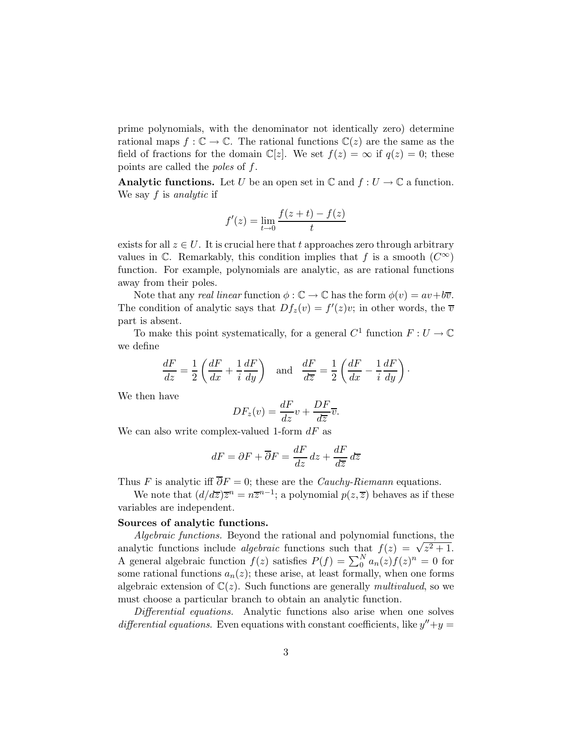prime polynomials, with the denominator not identically zero) determine rational maps  $f: \mathbb{C} \to \mathbb{C}$ . The rational functions  $\mathbb{C}(z)$  are the same as the field of fractions for the domain  $\mathbb{C}[z]$ . We set  $f(z) = \infty$  if  $q(z) = 0$ ; these points are called the *poles* of f.

**Analytic functions.** Let U be an open set in  $\mathbb{C}$  and  $f: U \to \mathbb{C}$  a function. We say f is *analytic* if

$$
f'(z) = \lim_{t \to 0} \frac{f(z+t) - f(z)}{t}
$$

exists for all  $z \in U$ . It is crucial here that t approaches zero through arbitrary values in  $\mathbb C$ . Remarkably, this condition implies that f is a smooth  $(C^{\infty})$ function. For example, polynomials are analytic, as are rational functions away from their poles.

Note that any *real linear* function  $\phi : \mathbb{C} \to \mathbb{C}$  has the form  $\phi(v) = av+b\overline{v}$ . The condition of analytic says that  $Df_z(v) = f'(z)v$ ; in other words, the  $\overline{v}$ part is absent.

To make this point systematically, for a general  $C^1$  function  $F: U \to \mathbb{C}$ we define

$$
\frac{dF}{dz} = \frac{1}{2} \left( \frac{dF}{dx} + \frac{1}{i} \frac{dF}{dy} \right) \quad \text{and} \quad \frac{dF}{d\overline{z}} = \frac{1}{2} \left( \frac{dF}{dx} - \frac{1}{i} \frac{dF}{dy} \right).
$$

We then have

$$
DF_z(v) = \frac{dF}{dz}v + \frac{DF}{d\overline{z}}\overline{v}.
$$

We can also write complex-valued 1-form  $dF$  as

$$
dF = \partial F + \overline{\partial} F = \frac{dF}{dz} dz + \frac{dF}{d\overline{z}} d\overline{z}
$$

Thus F is analytic iff  $\overline{\partial}F = 0$ ; these are the *Cauchy-Riemann* equations.

We note that  $\left(\frac{d}{dz}\right)z^n = n\overline{z}^{n-1}$ ; a polynomial  $p(z,\overline{z})$  behaves as if these variables are independent.

#### Sources of analytic functions.

*Algebraic functions.* Beyond the rational and polynomial functions, the analytic functions include *algebraic* functions such that  $f(z) = \sqrt{z^2 + 1}$ . A general algebraic function  $f(z)$  satisfies  $P(f) = \sum_{n=0}^{N} a_n(z) f(z)^n = 0$  for some rational functions  $a_n(z)$ ; these arise, at least formally, when one forms algebraic extension of  $\mathbb{C}(z)$ . Such functions are generally *multivalued*, so we must choose a particular branch to obtain an analytic function.

*Differential equations.* Analytic functions also arise when one solves differential equations. Even equations with constant coefficients, like  $y'' + y =$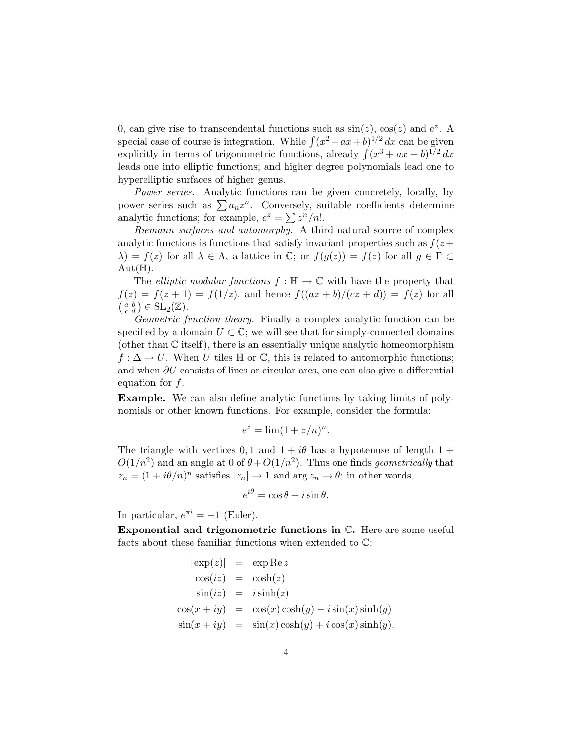0, can give rise to transcendental functions such as  $sin(z)$ ,  $cos(z)$  and  $e^z$ . A special case of course is integration. While  $\int (x^2 + ax + b)^{1/2} dx$  can be given explicitly in terms of trigonometric functions, already  $\int (x^3 + ax + b)^{1/2} dx$ leads one into elliptic functions; and higher degree polynomials lead one to hyperelliptic surfaces of higher genus.

*Power series.* Analytic functions can be given concretely, locally, by power series such as  $\sum a_n z^n$ . Conversely, suitable coefficients determine analytic functions; for example,  $e^z = \sum z^n/n!$ .

*Riemann surfaces and automorphy.* A third natural source of complex analytic functions is functions that satisfy invariant properties such as  $f(z+$  $\lambda$ ) = f(z) for all  $\lambda \in \Lambda$ , a lattice in  $\mathbb{C}$ ; or  $f(g(z)) = f(z)$  for all  $g \in \Gamma \subset \Lambda$  $Aut(\mathbb{H}).$ 

The *elliptic modular functions*  $f : \mathbb{H} \to \mathbb{C}$  with have the property that  $f(z) = f(z + 1) = f(1/z)$ , and hence  $f((az + b)/(cz + d)) = f(z)$  for all  $\left(\begin{smallmatrix} a & b \\ c & d \end{smallmatrix}\right) \in \mathrm{SL}_2(\mathbb{Z}).$ 

*Geometric function theory.* Finally a complex analytic function can be specified by a domain  $U \subset \mathbb{C}$ ; we will see that for simply-connected domains (other than C itself), there is an essentially unique analytic homeomorphism  $f: \Delta \to U$ . When U tiles  $\mathbb H$  or  $\mathbb C$ , this is related to automorphic functions; and when ∂U consists of lines or circular arcs, one can also give a differential equation for f.

Example. We can also define analytic functions by taking limits of polynomials or other known functions. For example, consider the formula:

$$
e^z = \lim (1 + z/n)^n.
$$

The triangle with vertices 0, 1 and  $1 + i\theta$  has a hypotenuse of length 1 +  $O(1/n^2)$  and an angle at 0 of  $\theta + O(1/n^2)$ . Thus one finds *geometrically* that  $z_n = (1 + i\theta/n)^n$  satisfies  $|z_n| \to 1$  and  $\arg z_n \to \theta$ ; in other words,

$$
e^{i\theta} = \cos\theta + i\sin\theta.
$$

In particular,  $e^{\pi i} = -1$  (Euler).

Exponential and trigonometric functions in C. Here are some useful facts about these familiar functions when extended to C:

$$
|\exp(z)| = \exp \text{Re } z
$$
  
\n
$$
\cos(iz) = \cosh(z)
$$
  
\n
$$
\sin(iz) = i \sinh(z)
$$
  
\n
$$
\cos(x + iy) = \cos(x) \cosh(y) - i \sin(x) \sinh(y)
$$
  
\n
$$
\sin(x + iy) = \sin(x) \cosh(y) + i \cos(x) \sinh(y)
$$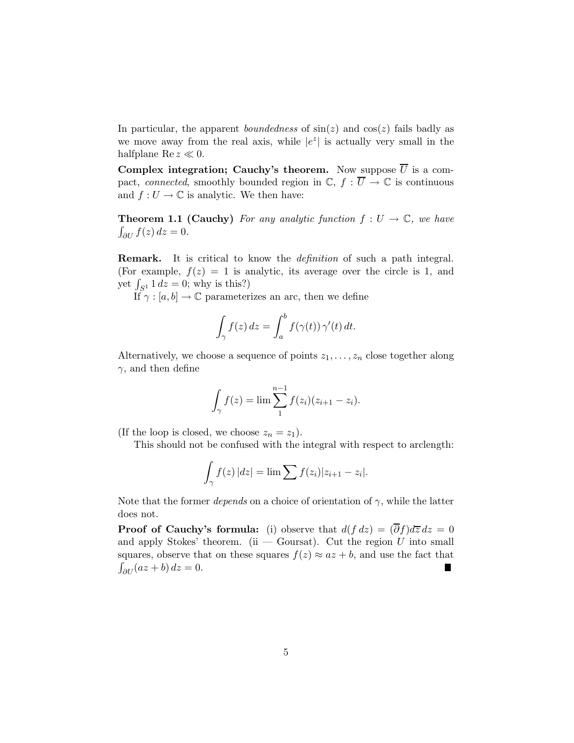In particular, the apparent *boundedness* of  $sin(z)$  and  $cos(z)$  fails badly as we move away from the real axis, while  $|e^z|$  is actually very small in the halfplane  $\text{Re } z \ll 0$ .

Complex integration; Cauchy's theorem. Now suppose  $\overline{U}$  is a compact, *connected*, smoothly bounded region in  $\mathbb{C}$ ,  $f : \overline{U} \to \mathbb{C}$  is continuous and  $f: U \to \mathbb{C}$  is analytic. We then have:

**Theorem 1.1 (Cauchy)** For any analytic function  $f: U \to \mathbb{C}$ , we have  $\int_{\partial U} f(z) dz = 0.$ 

Remark. It is critical to know the *definition* of such a path integral. (For example,  $f(z) = 1$  is analytic, its average over the circle is 1, and yet  $\int_{S^1} 1 \, dz = 0$ ; why is this?)

If  $\gamma : [a, b] \to \mathbb{C}$  parameterizes an arc, then we define

$$
\int_{\gamma} f(z) dz = \int_{a}^{b} f(\gamma(t)) \gamma'(t) dt.
$$

Alternatively, we choose a sequence of points  $z_1, \ldots, z_n$  close together along  $\gamma$ , and then define

$$
\int_{\gamma} f(z) = \lim_{i} \sum_{1}^{n-1} f(z_i)(z_{i+1} - z_i).
$$

(If the loop is closed, we choose  $z_n = z_1$ ).

This should not be confused with the integral with respect to arclength:

$$
\int_{\gamma} f(z) |dz| = \lim \sum f(z_i) |z_{i+1} - z_i|.
$$

Note that the former *depends* on a choice of orientation of  $\gamma$ , while the latter does not.

**Proof of Cauchy's formula:** (i) observe that  $d(f dz) = (\overline{\partial} f) d\overline{z} dz = 0$ and apply Stokes' theorem. (ii — Goursat). Cut the region  $U$  into small squares, observe that on these squares  $f(z) \approx az + b$ , and use the fact that  $\int_{\alpha z} (az + b) dz = 0$ .  $\int_{\partial U} (az + b) dz = 0.$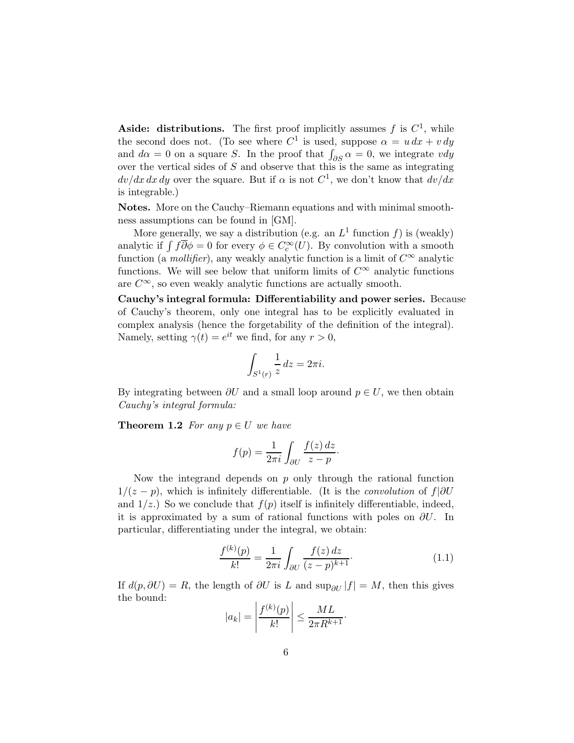Aside: distributions. The first proof implicitly assumes  $f$  is  $C<sup>1</sup>$ , while the second does not. (To see where  $C^1$  is used, suppose  $\alpha = u dx + v dy$ and  $d\alpha = 0$  on a square S. In the proof that  $\int_{\partial S} \alpha = 0$ , we integrate vdy over the vertical sides of S and observe that this is the same as integrating  $dv/dx dx dy$  over the square. But if  $\alpha$  is not  $C^1$ , we don't know that  $dv/dx$ is integrable.)

Notes. More on the Cauchy–Riemann equations and with minimal smoothness assumptions can be found in [GM].

More generally, we say a distribution (e.g. an  $L^1$  function f) is (weakly) analytic if  $\int f \overline{\partial} \phi = 0$  for every  $\phi \in C_c^{\infty}(U)$ . By convolution with a smooth function (a *mollifier*), any weakly analytic function is a limit of  $C^{\infty}$  analytic functions. We will see below that uniform limits of  $C^{\infty}$  analytic functions are  $C^{\infty}$ , so even weakly analytic functions are actually smooth.

Cauchy's integral formula: Differentiability and power series. Because of Cauchy's theorem, only one integral has to be explicitly evaluated in complex analysis (hence the forgetability of the definition of the integral). Namely, setting  $\gamma(t) = e^{it}$  we find, for any  $r > 0$ ,

$$
\int_{S^1(r)} \frac{1}{z} \, dz = 2\pi i.
$$

By integrating between  $\partial U$  and a small loop around  $p \in U$ , we then obtain *Cauchy's integral formula:*

**Theorem 1.2** For any  $p \in U$  we have

$$
f(p) = \frac{1}{2\pi i} \int_{\partial U} \frac{f(z) dz}{z - p}.
$$

Now the integrand depends on  $p$  only through the rational function  $1/(z - p)$ , which is infinitely differentiable. (It is the *convolution* of  $f|\partial U$ and  $1/z$ .) So we conclude that  $f(p)$  itself is infinitely differentiable, indeed, it is approximated by a sum of rational functions with poles on  $\partial U$ . In particular, differentiating under the integral, we obtain:

$$
\frac{f^{(k)}(p)}{k!} = \frac{1}{2\pi i} \int_{\partial U} \frac{f(z) dz}{(z - p)^{k+1}}.
$$
\n(1.1)

If  $d(p, \partial U) = R$ , the length of  $\partial U$  is L and sup<sub> $\partial U$ </sub> |f| = M, then this gives the bound:

$$
|a_k| = \left|\frac{f^{(k)}(p)}{k!}\right| \le \frac{ML}{2\pi R^{k+1}}.
$$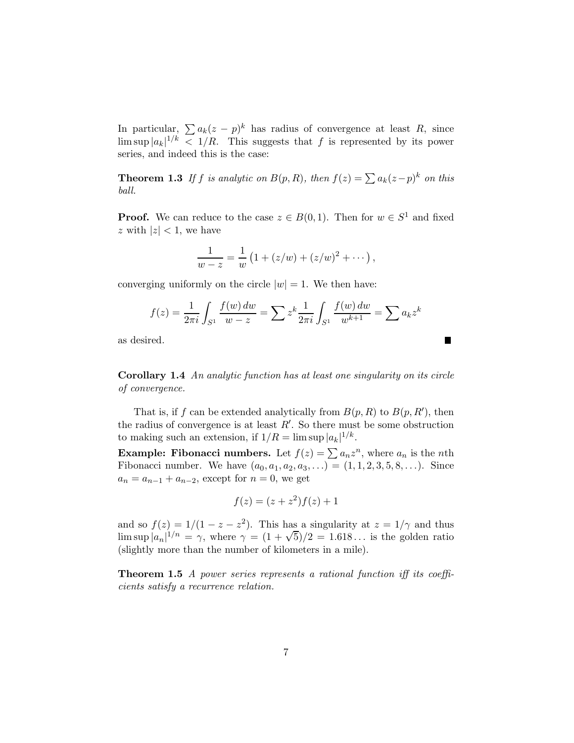In particular,  $\sum a_k(z - p)^k$  has radius of convergence at least R, since  $\limsup |a_k|^{1/k} < 1/R$ . This suggests that f is represented by its power series, and indeed this is the case:

**Theorem 1.3** If f is analytic on  $B(p, R)$ , then  $f(z) = \sum a_k(z-p)^k$  on this *ball.*

**Proof.** We can reduce to the case  $z \in B(0,1)$ . Then for  $w \in S^1$  and fixed z with  $|z| < 1$ , we have

$$
\frac{1}{w-z} = \frac{1}{w} (1 + (z/w) + (z/w)^2 + \cdots),
$$

converging uniformly on the circle  $|w|=1$ . We then have:

$$
f(z) = \frac{1}{2\pi i} \int_{S^1} \frac{f(w) \, dw}{w - z} = \sum z^k \frac{1}{2\pi i} \int_{S^1} \frac{f(w) \, dw}{w^{k+1}} = \sum a_k z^k
$$

 $\blacksquare$ 

as desired.

Corollary 1.4 *An analytic function has at least one singularity on its circle of convergence.*

That is, if f can be extended analytically from  $B(p, R)$  to  $B(p, R')$ , then the radius of convergence is at least  $R'$ . So there must be some obstruction to making such an extension, if  $1/R = \limsup |a_k|^{1/k}$ .

**Example: Fibonacci numbers.** Let  $f(z) = \sum a_n z^n$ , where  $a_n$  is the *n*th Fibonacci number. We have  $(a_0, a_1, a_2, a_3, ...) = (1, 1, 2, 3, 5, 8, ...)$ . Since  $a_n = a_{n-1} + a_{n-2}$ , except for  $n = 0$ , we get

$$
f(z) = (z + z2)f(z) + 1
$$

and so  $f(z) = 1/(1 - z - z^2)$ . This has a singularity at  $z = 1/\gamma$  and thus  $\limsup |a_n|^{1/n} = \gamma$ , where  $\gamma = (1 + \sqrt{5})/2 = 1.618...$  is the golden ratio (slightly more than the number of kilometers in a mile).

Theorem 1.5 *A power series represents a rational function iff its coefficients satisfy a recurrence relation.*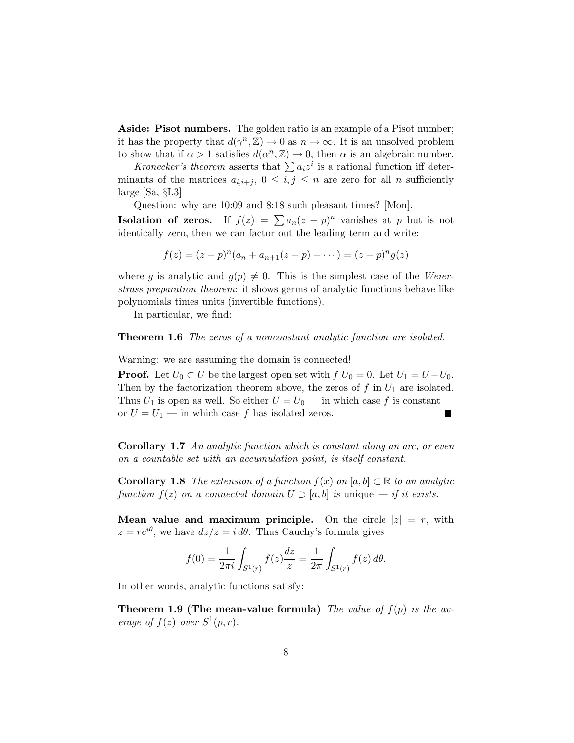Aside: Pisot numbers. The golden ratio is an example of a Pisot number; it has the property that  $d(\gamma^n, \mathbb{Z}) \to 0$  as  $n \to \infty$ . It is an unsolved problem to show that if  $\alpha > 1$  satisfies  $d(\alpha^n, \mathbb{Z}) \to 0$ , then  $\alpha$  is an algebraic number.

*Kronecker's theorem* asserts that  $\sum a_i z^i$  is a rational function iff determinants of the matrices  $a_{i,i+j}$ ,  $0 \leq i,j \leq n$  are zero for all n sufficiently large [Sa, §I.3]

Question: why are 10:09 and 8:18 such pleasant times? [Mon].

**Isolation of zeros.** If  $f(z) = \sum a_n(z - p)^n$  vanishes at p but is not identically zero, then we can factor out the leading term and write:

$$
f(z) = (z - p)^n (a_n + a_{n+1}(z - p) + \cdots) = (z - p)^n g(z)
$$

where g is analytic and  $g(p) \neq 0$ . This is the simplest case of the *Weierstrass preparation theorem*: it shows germs of analytic functions behave like polynomials times units (invertible functions).

In particular, we find:

Theorem 1.6 *The zeros of a nonconstant analytic function are isolated.*

Warning: we are assuming the domain is connected!

**Proof.** Let  $U_0 \subset U$  be the largest open set with  $f|U_0 = 0$ . Let  $U_1 = U - U_0$ . Then by the factorization theorem above, the zeros of f in  $U_1$  are isolated. Thus  $U_1$  is open as well. So either  $U = U_0$  — in which case f is constant or  $U = U_1$  — in which case f has isolated zeros. П

Corollary 1.7 *An analytic function which is constant along an arc, or even on a countable set with an accumulation point, is itself constant.*

**Corollary 1.8** *The extension of a function*  $f(x)$  *on* [a, b]  $\subset \mathbb{R}$  *to an analytic function*  $f(z)$  *on a connected domain*  $U \supseteq [a, b]$  *is* unique  $\longrightarrow$  *if it exists.* 

**Mean value and maximum principle.** On the circle  $|z| = r$ , with  $z = re^{i\theta}$ , we have  $dz/z = i d\theta$ . Thus Cauchy's formula gives

$$
f(0) = \frac{1}{2\pi i} \int_{S^1(r)} f(z) \frac{dz}{z} = \frac{1}{2\pi} \int_{S^1(r)} f(z) d\theta.
$$

In other words, analytic functions satisfy:

**Theorem 1.9 (The mean-value formula)** The value of  $f(p)$  is the av*erage of*  $f(z)$  *over*  $S^1(p,r)$ *.*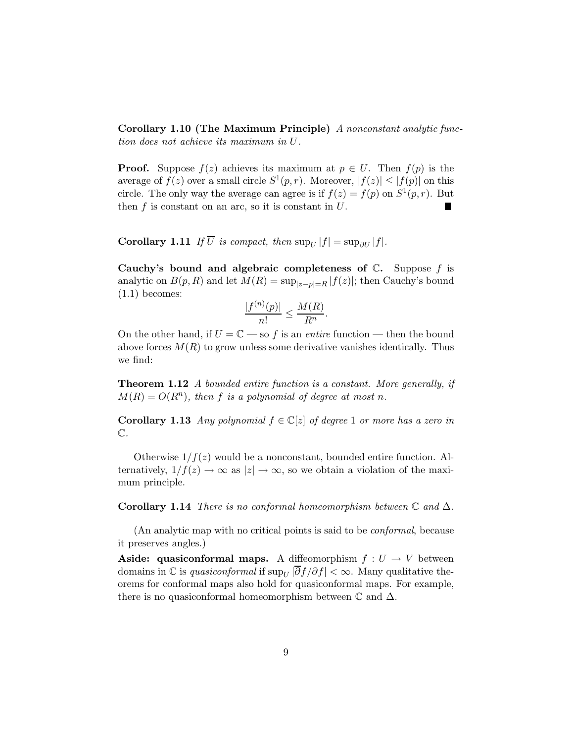Corollary 1.10 (The Maximum Principle) *A nonconstant analytic function does not achieve its maximum in* U*.*

**Proof.** Suppose  $f(z)$  achieves its maximum at  $p \in U$ . Then  $f(p)$  is the average of  $f(z)$  over a small circle  $S^1(p,r)$ . Moreover,  $|f(z)| \leq |f(p)|$  on this circle. The only way the average can agree is if  $f(z) = f(p)$  on  $S^1(p, r)$ . But then  $f$  is constant on an arc, so it is constant in  $U$ .

Corollary 1.11 *If*  $\overline{U}$  *is compact, then*  $\sup_{U} |f| = \sup_{\partial U} |f|$ *.* 

Cauchy's bound and algebraic completeness of  $\mathbb{C}$ . Suppose f is analytic on  $B(p, R)$  and let  $M(R) = \sup_{|z-p|=R} |f(z)|$ ; then Cauchy's bound (1.1) becomes:

$$
\frac{|f^{(n)}(p)|}{n!} \le \frac{M(R)}{R^n}.
$$

On the other hand, if  $U = \mathbb{C}$  — so f is an *entire* function — then the bound above forces  $M(R)$  to grow unless some derivative vanishes identically. Thus we find:

Theorem 1.12 *A bounded entire function is a constant. More generally, if*  $M(R) = O(R^n)$ , then f is a polynomial of degree at most n.

Corollary 1.13 *Any polynomial*  $f \in \mathbb{C}[z]$  *of degree* 1 *or more has a zero in* C*.*

Otherwise  $1/f(z)$  would be a nonconstant, bounded entire function. Alternatively,  $1/f(z) \to \infty$  as  $|z| \to \infty$ , so we obtain a violation of the maximum principle.

Corollary 1.14 *There is no conformal homeomorphism between*  $\mathbb C$  *and*  $\Delta$ *.* 

(An analytic map with no critical points is said to be *conformal*, because it preserves angles.)

**Aside:** quasiconformal maps. A diffeomorphism  $f: U \to V$  between domains in  $\mathbb C$  is *quasiconformal* if  $\sup_U |\partial f/\partial f| < \infty$ . Many qualitative theorems for conformal maps also hold for quasiconformal maps. For example, there is no quasiconformal homeomorphism between  $\mathbb C$  and  $\Delta$ .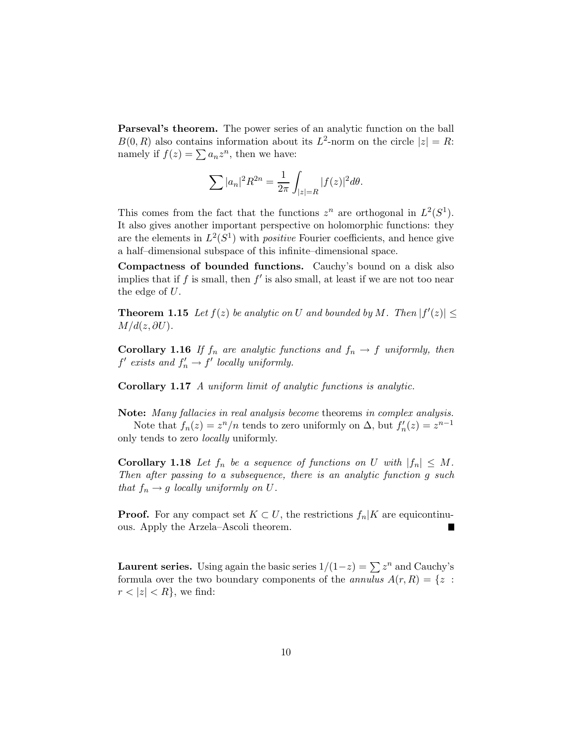Parseval's theorem. The power series of an analytic function on the ball  $B(0, R)$  also contains information about its  $L^2$ -norm on the circle  $|z| = R$ : namely if  $f(z) = \sum a_n z^n$ , then we have:

$$
\sum |a_n|^2 R^{2n} = \frac{1}{2\pi} \int_{|z|=R} |f(z)|^2 d\theta.
$$

This comes from the fact that the functions  $z^n$  are orthogonal in  $L^2(S^1)$ . It also gives another important perspective on holomorphic functions: they are the elements in  $L^2(S^1)$  with *positive* Fourier coefficients, and hence give a half–dimensional subspace of this infinite–dimensional space.

Compactness of bounded functions. Cauchy's bound on a disk also implies that if  $f$  is small, then  $f'$  is also small, at least if we are not too near the edge of  $U$ .

**Theorem 1.15** Let  $f(z)$  be analytic on U and bounded by M. Then  $|f'(z)| \le$  $M/d(z, \partial U)$ .

Corollary 1.16 *If*  $f_n$  *are analytic functions and*  $f_n \to f$  *uniformly, then*  $f'$  exists and  $f'_n \to f'$  locally uniformly.

Corollary 1.17 *A uniform limit of analytic functions is analytic.*

Note: *Many fallacies in real analysis become* theorems *in complex analysis.* Note that  $f_n(z) = z^n/n$  tends to zero uniformly on  $\Delta$ , but  $f'_n(z) = z^{n-1}$ only tends to zero *locally* uniformly.

**Corollary 1.18** Let  $f_n$  be a sequence of functions on U with  $|f_n| \leq M$ . *Then after passing to a subsequence, there is an analytic function* g *such that*  $f_n \to g$  *locally uniformly on*  $U$ *.* 

**Proof.** For any compact set  $K \subset U$ , the restrictions  $f_n|K$  are equicontinuous. Apply the Arzela–Ascoli theorem.

**Laurent series.** Using again the basic series  $1/(1-z) = \sum z^n$  and Cauchy's formula over the two boundary components of the *annulus*  $A(r, R) = \{z :$  $r < |z| < R$ , we find: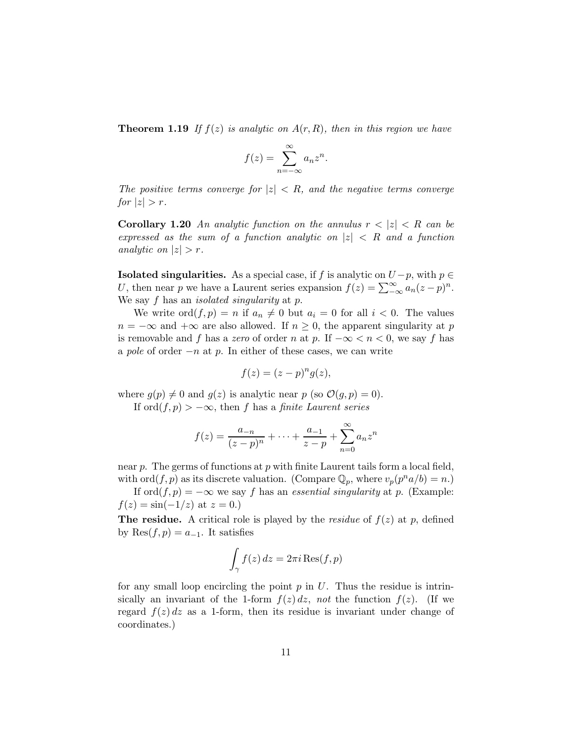**Theorem 1.19** If  $f(z)$  is analytic on  $A(r, R)$ , then in this region we have

$$
f(z) = \sum_{n = -\infty}^{\infty} a_n z^n.
$$

*The positive terms converge for*  $|z| < R$ *, and the negative terms converge for*  $|z| > r$ .

**Corollary 1.20** An analytic function on the annulus  $r < |z| < R$  can be *expressed as the sum of a function analytic on* |z| < R *and a function analytic on*  $|z| > r$ .

**Isolated singularities.** As a special case, if f is analytic on  $U - p$ , with  $p \in$ U, then near p we have a Laurent series expansion  $f(z) = \sum_{-\infty}^{\infty} a_n(z - p)^n$ . We say f has an *isolated singularity* at p.

We write  $\text{ord}(f, p) = n$  if  $a_n \neq 0$  but  $a_i = 0$  for all  $i < 0$ . The values  $n = -\infty$  and  $+\infty$  are also allowed. If  $n \geq 0$ , the apparent singularity at p is removable and f has a *zero* of order n at p. If  $-\infty < n < 0$ , we say f has a *pole* of order −n at p. In either of these cases, we can write

$$
f(z) = (z - p)^n g(z),
$$

where  $g(p) \neq 0$  and  $g(z)$  is analytic near p (so  $\mathcal{O}(g, p) = 0$ ).

If ord $(f, p) > -\infty$ , then f has a *finite Laurent series* 

$$
f(z) = \frac{a_{-n}}{(z-p)^n} + \dots + \frac{a_{-1}}{z-p} + \sum_{n=0}^{\infty} a_n z^n
$$

near  $p$ . The germs of functions at  $p$  with finite Laurent tails form a local field, with ord $(f, p)$  as its discrete valuation. (Compare  $\mathbb{Q}_p$ , where  $v_p(p^n a/b) = n$ .)

If  $\text{ord}(f, p) = -\infty$  we say f has an *essential singularity* at p. (Example:  $f(z) = \sin(-1/z)$  at  $z = 0$ .)

**The residue.** A critical role is played by the *residue* of  $f(z)$  at p, defined by Res $(f, p) = a_{-1}$ . It satisfies

$$
\int_{\gamma} f(z) dz = 2\pi i \operatorname{Res}(f,p)
$$

for any small loop encircling the point  $p$  in  $U$ . Thus the residue is intrinsically an invariant of the 1-form  $f(z) dz$ , *not* the function  $f(z)$ . (If we regard  $f(z)$  dz as a 1-form, then its residue is invariant under change of coordinates.)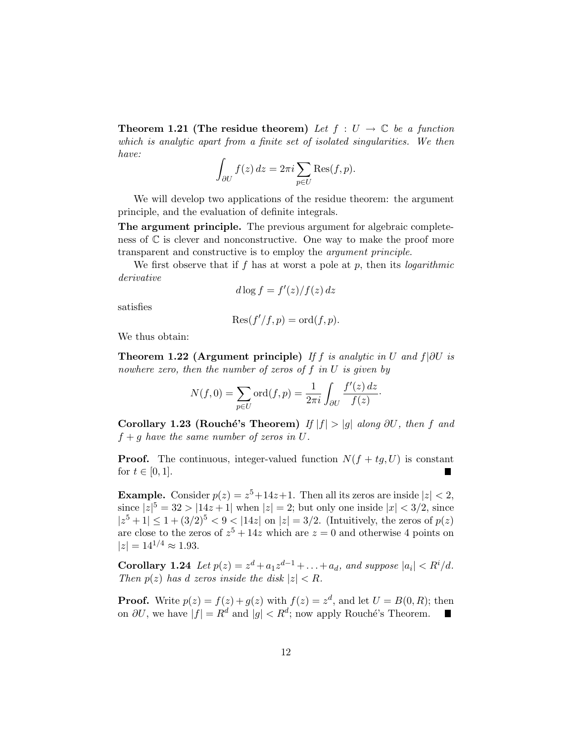**Theorem 1.21 (The residue theorem)** Let  $f: U \to \mathbb{C}$  be a function *which is analytic apart from a finite set of isolated singularities. We then have:*

$$
\int_{\partial U} f(z) dz = 2\pi i \sum_{p \in U} \text{Res}(f, p).
$$

We will develop two applications of the residue theorem: the argument principle, and the evaluation of definite integrals.

The argument principle. The previous argument for algebraic completeness of  $\mathbb C$  is clever and nonconstructive. One way to make the proof more transparent and constructive is to employ the *argument principle*.

We first observe that if f has at worst a pole at p, then its *logarithmic derivative*

$$
d\log f = f'(z)/f(z) \, dz
$$

satisfies

$$
Res(f'/f, p) = ord(f, p).
$$

We thus obtain:

Theorem 1.22 (Argument principle) *If* f *is analytic in* U *and* f|∂U *is nowhere zero, then the number of zeros of* f *in* U *is given by*

$$
N(f,0) = \sum_{p \in U} \text{ord}(f,p) = \frac{1}{2\pi i} \int_{\partial U} \frac{f'(z) dz}{f(z)}.
$$

Corollary 1.23 (Rouché's Theorem) *If*  $|f| > |g|$  *along* ∂U, then f and  $f + g$  *have the same number of zeros in U.* 

**Proof.** The continuous, integer-valued function  $N(f + tg, U)$  is constant for  $t \in [0, 1]$ . H.

**Example.** Consider  $p(z) = z^5 + 14z + 1$ . Then all its zeros are inside  $|z| < 2$ , since  $|z|^5 = 32 > |14z + 1|$  when  $|z| = 2$ ; but only one inside  $|x| < 3/2$ , since  $|z^5 + 1| \le 1 + (3/2)^5 < 9 < |14z|$  on  $|z| = 3/2$ . (Intuitively, the zeros of  $p(z)$ ) are close to the zeros of  $z^5 + 14z$  which are  $z = 0$  and otherwise 4 points on  $|z| = 14^{1/4} \approx 1.93$ .

**Corollary 1.24** *Let*  $p(z) = z^d + a_1 z^{d-1} + ... + a_d$ , and suppose  $|a_i| < R^i/d$ . *Then*  $p(z)$  *has d zeros inside the disk*  $|z| < R$ *.* 

**Proof.** Write  $p(z) = f(z) + g(z)$  with  $f(z) = z<sup>d</sup>$ , and let  $U = B(0, R)$ ; then on  $\partial U$ , we have  $|f| = R^d$  and  $|g| < R^d$ ; now apply Rouché's Theorem.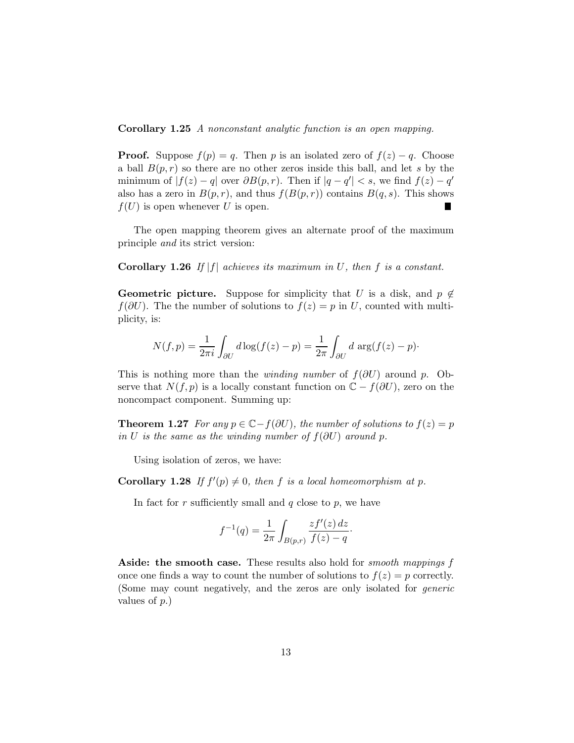Corollary 1.25 *A nonconstant analytic function is an open mapping.*

**Proof.** Suppose  $f(p) = q$ . Then p is an isolated zero of  $f(z) - q$ . Choose a ball  $B(p, r)$  so there are no other zeros inside this ball, and let s by the minimum of  $|f(z) - q|$  over  $\partial B(p, r)$ . Then if  $|q - q'| < s$ , we find  $f(z) - q'$ also has a zero in  $B(p,r)$ , and thus  $f(B(p,r))$  contains  $B(q,s)$ . This shows  $f(U)$  is open whenever U is open.

The open mapping theorem gives an alternate proof of the maximum principle *and* its strict version:

Corollary 1.26 *If* |f| *achieves its maximum in* U*, then* f *is a constant.*

**Geometric picture.** Suppose for simplicity that U is a disk, and  $p \notin \mathbb{R}$  $f(\partial U)$ . The the number of solutions to  $f(z) = p$  in U, counted with multiplicity, is:

$$
N(f, p) = \frac{1}{2\pi i} \int_{\partial U} d\log(f(z) - p) = \frac{1}{2\pi} \int_{\partial U} d\arg(f(z) - p)
$$

This is nothing more than the *winding number* of  $f(\partial U)$  around p. Observe that  $N(f, p)$  is a locally constant function on  $\mathbb{C} - f(\partial U)$ , zero on the noncompact component. Summing up:

**Theorem 1.27** *For any*  $p \in \mathbb{C} - f(\partial U)$ *, the number of solutions to*  $f(z) = p$ *in* U *is the same as the winding number of*  $f(\partial U)$  *around* p.

Using isolation of zeros, we have:

**Corollary 1.28** If  $f'(p) \neq 0$ , then f is a local homeomorphism at p.

In fact for r sufficiently small and  $q$  close to p, we have

$$
f^{-1}(q) = \frac{1}{2\pi} \int_{B(p,r)} \frac{zf'(z) dz}{f(z) - q}.
$$

Aside: the smooth case. These results also hold for *smooth mappings* f once one finds a way to count the number of solutions to  $f(z) = p$  correctly. (Some may count negatively, and the zeros are only isolated for *generic* values of p.)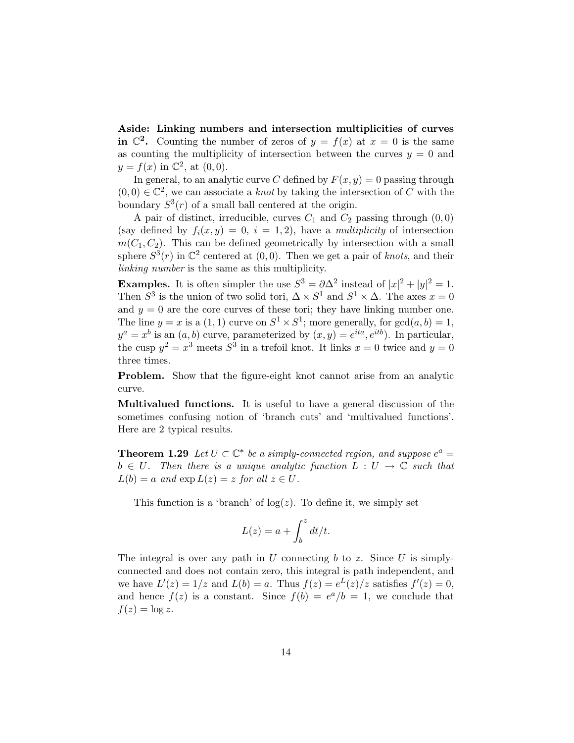Aside: Linking numbers and intersection multiplicities of curves in  $\mathbb{C}^2$ . Counting the number of zeros of  $y = f(x)$  at  $x = 0$  is the same as counting the multiplicity of intersection between the curves  $y = 0$  and  $y = f(x)$  in  $\mathbb{C}^2$ , at  $(0, 0)$ .

In general, to an analytic curve C defined by  $F(x, y) = 0$  passing through  $(0,0) \in \mathbb{C}^2$ , we can associate a *knot* by taking the intersection of C with the boundary  $S^3(r)$  of a small ball centered at the origin.

A pair of distinct, irreducible, curves  $C_1$  and  $C_2$  passing through  $(0, 0)$ (say defined by  $f_i(x, y) = 0$ ,  $i = 1, 2$ ), have a *multiplicity* of intersection  $m(C_1, C_2)$ . This can be defined geometrically by intersection with a small sphere  $S^3(r)$  in  $\mathbb{C}^2$  centered at  $(0,0)$ . Then we get a pair of *knots*, and their *linking number* is the same as this multiplicity.

**Examples.** It is often simpler the use  $S^3 = \partial \Delta^2$  instead of  $|x|^2 + |y|^2 = 1$ . Then  $S^3$  is the union of two solid tori,  $\Delta \times S^1$  and  $S^1 \times \Delta$ . The axes  $x = 0$ and  $y = 0$  are the core curves of these tori; they have linking number one. The line  $y = x$  is a  $(1, 1)$  curve on  $S^1 \times S^1$ ; more generally, for  $gcd(a, b) = 1$ ,  $y^a = x^b$  is an  $(a, b)$  curve, parameterized by  $(x, y) = e^{ita}, e^{itb}$ . In particular, the cusp  $y^2 = x^3$  meets  $S^3$  in a trefoil knot. It links  $x = 0$  twice and  $y = 0$ three times.

Problem. Show that the figure-eight knot cannot arise from an analytic curve.

Multivalued functions. It is useful to have a general discussion of the sometimes confusing notion of 'branch cuts' and 'multivalued functions'. Here are 2 typical results.

**Theorem 1.29** *Let*  $U \subset \mathbb{C}^*$  *be a simply-connected region, and suppose*  $e^a$  =  $b \in U$ . Then there is a unique analytic function  $L : U \to \mathbb{C}$  such that  $L(b) = a$  and  $\exp L(z) = z$  for all  $z \in U$ .

This function is a 'branch' of  $log(z)$ . To define it, we simply set

$$
L(z) = a + \int_b^z dt/t.
$$

The integral is over any path in U connecting b to z. Since U is simplyconnected and does not contain zero, this integral is path independent, and we have  $L'(z) = 1/z$  and  $L(b) = a$ . Thus  $f(z) = e^{L(z)}/z$  satisfies  $f'(z) = 0$ , and hence  $f(z)$  is a constant. Since  $f(b) = e^a/b = 1$ , we conclude that  $f(z) = \log z$ .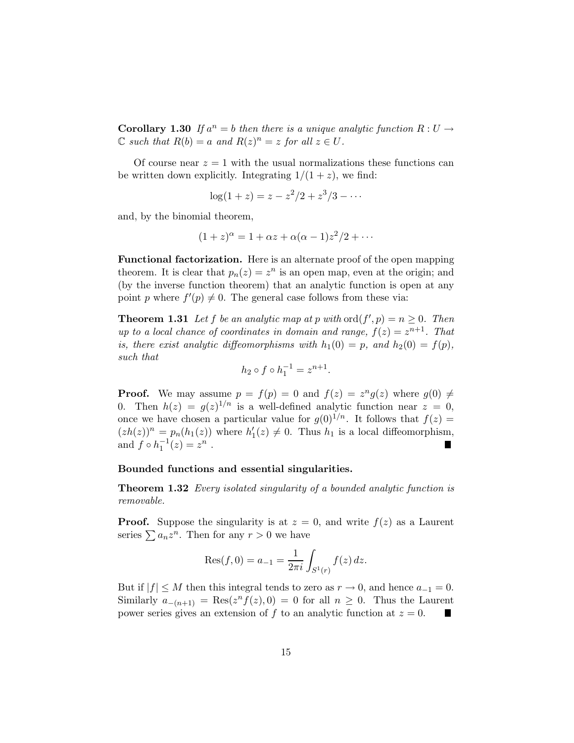**Corollary 1.30** If  $a^n = b$  then there is a unique analytic function  $R: U \rightarrow$  $\mathbb C$  *such that*  $R(b) = a$  *and*  $R(z)^n = z$  *for all*  $z \in U$ *.* 

Of course near  $z = 1$  with the usual normalizations these functions can be written down explicitly. Integrating  $1/(1+z)$ , we find:

$$
\log(1+z) = z - z^2/2 + z^3/3 - \cdots
$$

and, by the binomial theorem,

$$
(1+z)^{\alpha} = 1 + \alpha z + \alpha(\alpha - 1)z^2/2 + \cdots
$$

Functional factorization. Here is an alternate proof of the open mapping theorem. It is clear that  $p_n(z) = z^n$  is an open map, even at the origin; and (by the inverse function theorem) that an analytic function is open at any point p where  $f'(p) \neq 0$ . The general case follows from these via:

**Theorem 1.31** Let f be an analytic map at p with  $\text{ord}(f',p) = n \geq 0$ . Then *up to a local chance of coordinates in domain and range,*  $f(z) = z^{n+1}$ . That *is, there exist analytic diffeomorphisms with*  $h_1(0) = p$ *, and*  $h_2(0) = f(p)$ *, such that*

$$
h_2 \circ f \circ h_1^{-1} = z^{n+1}.
$$

**Proof.** We may assume  $p = f(p) = 0$  and  $f(z) = z^n g(z)$  where  $g(0) \neq 0$ 0. Then  $h(z) = g(z)^{1/n}$  is a well-defined analytic function near  $z = 0$ , once we have chosen a particular value for  $g(0)^{1/n}$ . It follows that  $f(z) =$  $(zh(z))^n = p_n(h_1(z))$  where  $h'_1(z) \neq 0$ . Thus  $h_1$  is a local diffeomorphism, and  $f \circ h_1^{-1}(z) = z^n$ .

#### Bounded functions and essential singularities.

Theorem 1.32 *Every isolated singularity of a bounded analytic function is removable.*

**Proof.** Suppose the singularity is at  $z = 0$ , and write  $f(z)$  as a Laurent series  $\sum a_n z^n$ . Then for any  $r > 0$  we have

$$
Res(f,0) = a_{-1} = \frac{1}{2\pi i} \int_{S^1(r)} f(z) dz.
$$

But if  $|f| \leq M$  then this integral tends to zero as  $r \to 0$ , and hence  $a_{-1} = 0$ . Similarly  $a_{-(n+1)} = \text{Res}(z^n f(z), 0) = 0$  for all  $n \geq 0$ . Thus the Laurent power series gives an extension of f to an analytic function at  $z = 0$ .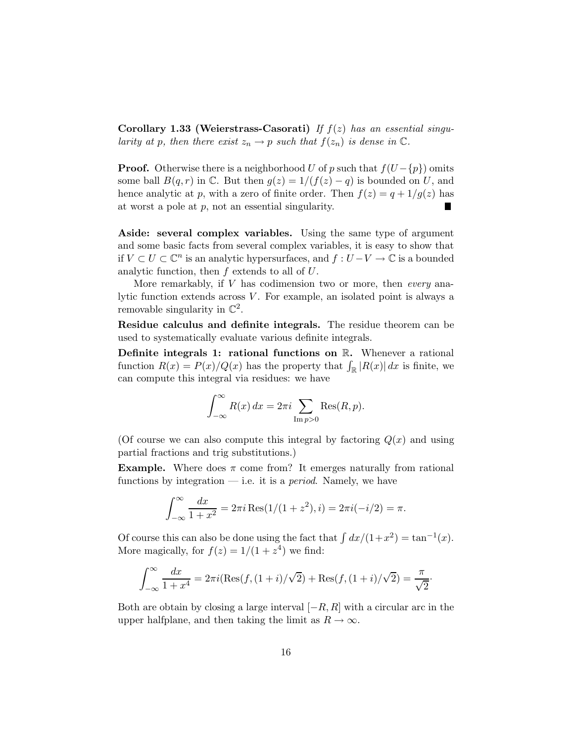Corollary 1.33 (Weierstrass-Casorati) *If* f(z) *has an essential singularity at* p, then there exist  $z_n \to p$  such that  $f(z_n)$  is dense in  $\mathbb{C}$ *.* 

**Proof.** Otherwise there is a neighborhood U of p such that  $f(U - {p})$  omits some ball  $B(q, r)$  in  $\mathbb C$ . But then  $g(z) = 1/(f(z) - q)$  is bounded on U, and hence analytic at p, with a zero of finite order. Then  $f(z) = q + 1/g(z)$  has at worst a pole at  $p$ , not an essential singularity.

Aside: several complex variables. Using the same type of argument and some basic facts from several complex variables, it is easy to show that if  $V \subset U \subset \mathbb{C}^n$  is an analytic hypersurfaces, and  $f: U - V \to \mathbb{C}$  is a bounded analytic function, then  $f$  extends to all of  $U$ .

More remarkably, if V has codimension two or more, then *every* analytic function extends across  $V$ . For example, an isolated point is always a removable singularity in  $\mathbb{C}^2$ .

Residue calculus and definite integrals. The residue theorem can be used to systematically evaluate various definite integrals.

Definite integrals 1: rational functions on R. Whenever a rational function  $R(x) = P(x)/Q(x)$  has the property that  $\int_{\mathbb{R}} |R(x)| dx$  is finite, we can compute this integral via residues: we have

$$
\int_{-\infty}^{\infty} R(x) dx = 2\pi i \sum_{\text{Im } p > 0} \text{Res}(R, p).
$$

(Of course we can also compute this integral by factoring  $Q(x)$  and using partial fractions and trig substitutions.)

**Example.** Where does  $\pi$  come from? It emerges naturally from rational functions by integration — i.e. it is a *period*. Namely, we have

$$
\int_{-\infty}^{\infty} \frac{dx}{1+x^2} = 2\pi i \operatorname{Res}(1/(1+z^2), i) = 2\pi i (-i/2) = \pi.
$$

Of course this can also be done using the fact that  $\int dx/(1+x^2) = \tan^{-1}(x)$ . More magically, for  $f(z) = 1/(1 + z<sup>4</sup>)$  we find:

$$
\int_{-\infty}^{\infty} \frac{dx}{1+x^4} = 2\pi i (\text{Res}(f, (1+i)/\sqrt{2}) + \text{Res}(f, (1+i)/\sqrt{2}) = \frac{\pi}{\sqrt{2}}.
$$

Both are obtain by closing a large interval  $[-R, R]$  with a circular arc in the upper halfplane, and then taking the limit as  $R \to \infty$ .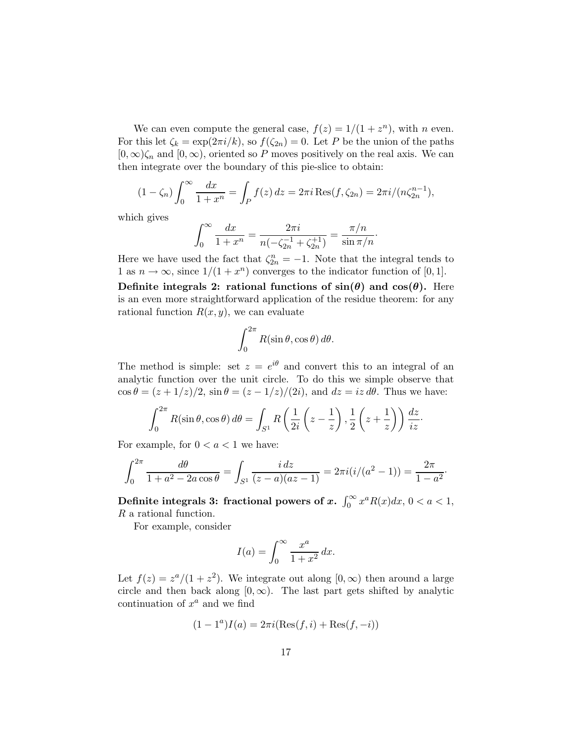We can even compute the general case,  $f(z) = 1/(1 + z^n)$ , with *n* even. For this let  $\zeta_k = \exp(2\pi i/k)$ , so  $f(\zeta_{2n}) = 0$ . Let P be the union of the paths  $[0, \infty)$  $\zeta_n$  and  $[0, \infty)$ , oriented so P moves positively on the real axis. We can then integrate over the boundary of this pie-slice to obtain:

$$
(1 - \zeta_n) \int_0^\infty \frac{dx}{1 + x^n} = \int_P f(z) dz = 2\pi i \text{Res}(f, \zeta_{2n}) = 2\pi i / (n\zeta_{2n}^{n-1}),
$$

which gives

$$
\int_0^\infty \frac{dx}{1+x^n} = \frac{2\pi i}{n(-\zeta_{2n}^{-1} + \zeta_{2n}^{+1})} = \frac{\pi/n}{\sin \pi/n}.
$$

Here we have used the fact that  $\zeta_{2n}^n = -1$ . Note that the integral tends to 1 as  $n \to \infty$ , since  $1/(1 + x^n)$  converges to the indicator function of [0, 1].

Definite integrals 2: rational functions of  $sin(\theta)$  and  $cos(\theta)$ . Here is an even more straightforward application of the residue theorem: for any rational function  $R(x, y)$ , we can evaluate

$$
\int_0^{2\pi} R(\sin \theta, \cos \theta) \, d\theta.
$$

The method is simple: set  $z = e^{i\theta}$  and convert this to an integral of an analytic function over the unit circle. To do this we simple observe that  $\cos \theta = (z + 1/z)/2$ ,  $\sin \theta = (z - 1/z)/(2i)$ , and  $dz = iz d\theta$ . Thus we have:

$$
\int_0^{2\pi} R(\sin \theta, \cos \theta) d\theta = \int_{S^1} R\left(\frac{1}{2i}\left(z - \frac{1}{z}\right), \frac{1}{2}\left(z + \frac{1}{z}\right)\right) \frac{dz}{iz}.
$$

For example, for  $0 < a < 1$  we have:

$$
\int_0^{2\pi} \frac{d\theta}{1+a^2 - 2a\cos\theta} = \int_{S^1} \frac{i\,dz}{(z-a)(az-1)} = 2\pi i (i/(a^2-1)) = \frac{2\pi}{1-a^2}.
$$

Definite integrals 3: fractional powers of  $x$ .  $\int_0^\infty x^a R(x) dx$ ,  $0 < a < 1$ , R a rational function.

For example, consider

$$
I(a) = \int_0^\infty \frac{x^a}{1+x^2} \, dx.
$$

Let  $f(z) = \frac{z^a}{(1 + z^2)}$ . We integrate out along  $[0, \infty)$  then around a large circle and then back along  $[0, \infty)$ . The last part gets shifted by analytic continuation of  $x^a$  and we find

$$
(1 - 1a)I(a) = 2\pi i(\text{Res}(f, i) + \text{Res}(f, -i))
$$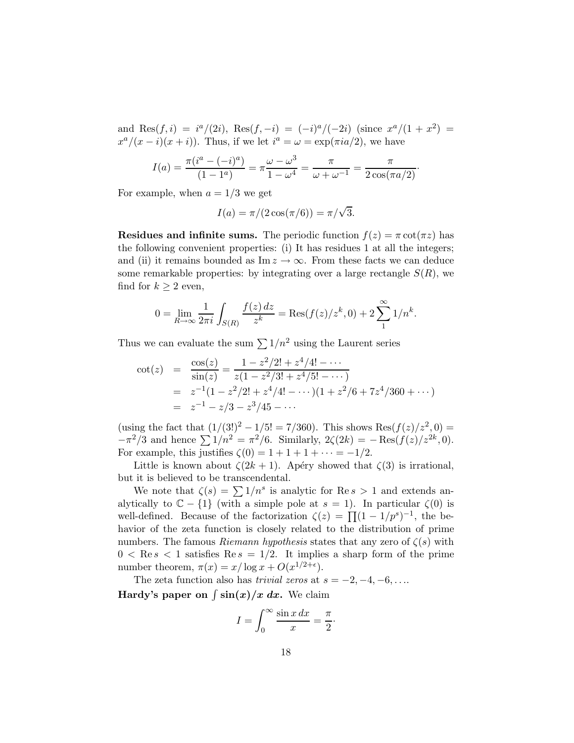and Res $(f, i) = i^a/(2i)$ , Res $(f, -i) = (-i)^a/(-2i)$  (since  $x^a/(1+x^2) =$  $x^a/(x-i)(x+i)$ . Thus, if we let  $i^a = \omega = \exp(\pi i a/2)$ , we have

$$
I(a) = \frac{\pi(i^a - (-i)^a)}{(1 - 1^a)} = \pi \frac{\omega - \omega^3}{1 - \omega^4} = \frac{\pi}{\omega + \omega^{-1}} = \frac{\pi}{2\cos(\pi a/2)}.
$$

For example, when  $a = 1/3$  we get

$$
I(a) = \pi/(2\cos(\pi/6)) = \pi/\sqrt{3}.
$$

**Residues and infinite sums.** The periodic function  $f(z) = \pi \cot(\pi z)$  has the following convenient properties: (i) It has residues 1 at all the integers; and (ii) it remains bounded as Im  $z \to \infty$ . From these facts we can deduce some remarkable properties: by integrating over a large rectangle  $S(R)$ , we find for  $k \geq 2$  even,

$$
0 = \lim_{R \to \infty} \frac{1}{2\pi i} \int_{S(R)} \frac{f(z) dz}{z^k} = \text{Res}(f(z)/z^k, 0) + 2 \sum_{1}^{\infty} 1/n^k.
$$

Thus we can evaluate the sum  $\sum 1/n^2$  using the Laurent series

$$
\begin{array}{rcl}\n\cot(z) & = & \frac{\cos(z)}{\sin(z)} = \frac{1 - z^2/2! + z^4/4! - \dots}{z(1 - z^2/3! + z^4/5! - \dots)} \\
& = & z^{-1}(1 - z^2/2! + z^4/4! - \dots)(1 + z^2/6 + 7z^4/360 + \dots) \\
& = & z^{-1} - z/3 - z^3/45 - \dots\n\end{array}
$$

(using the fact that  $(1/(3!)^2 - 1/5! = 7/360)$ . This shows Res $(f(z)/z^2, 0) =$  $-\pi^2/3$  and hence  $\sum 1/n^2 = \pi^2/6$ . Similarly,  $2\zeta(2k) = -\text{Res}(f(z)/z^{2k}, 0)$ . For example, this justifies  $\zeta(0) = 1 + 1 + 1 + \cdots = -1/2$ .

Little is known about  $\zeta(2k+1)$ . Apéry showed that  $\zeta(3)$  is irrational, but it is believed to be transcendental.

We note that  $\zeta(s) = \sum 1/n^s$  is analytic for Re  $s > 1$  and extends analytically to  $\mathbb{C} - \{1\}$  (with a simple pole at  $s = 1$ ). In particular  $\zeta(0)$  is well-defined. Because of the factorization  $\zeta(z) = \prod (1 - 1/p^s)^{-1}$ , the behavior of the zeta function is closely related to the distribution of prime numbers. The famous *Riemann hypothesis* states that any zero of  $\zeta(s)$  with  $0 < \text{Re } s < 1$  satisfies  $\text{Re } s = 1/2$ . It implies a sharp form of the prime number theorem,  $\pi(x) = x/\log x + O(x^{1/2+\epsilon}).$ 

The zeta function also has *trivial zeros* at  $s = -2, -4, -6, \ldots$ Hardy's paper on  $\int \sin(x)/x \ dx$ . We claim

$$
I = \int_0^\infty \frac{\sin x \, dx}{x} = \frac{\pi}{2}.
$$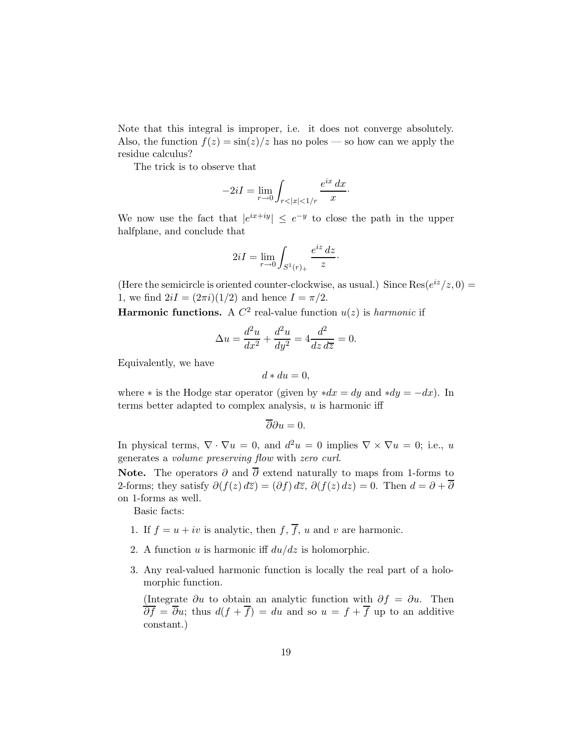Note that this integral is improper, i.e. it does not converge absolutely. Also, the function  $f(z) = \frac{\sin(z)}{z}$  has no poles — so how can we apply the residue calculus?

The trick is to observe that

$$
-2iI = \lim_{r \to 0} \int_{r < |x| < 1/r} \frac{e^{ix} \, dx}{x}.
$$

We now use the fact that  $|e^{ix+iy}| \leq e^{-y}$  to close the path in the upper halfplane, and conclude that

$$
2iI = \lim_{r \to 0} \int_{S^1(r)_+} \frac{e^{iz} \, dz}{z} \cdot
$$

(Here the semicircle is oriented counter-clockwise, as usual.) Since  $\text{Res}(e^{iz}/z,0) =$ 1, we find  $2iI = (2\pi i)(1/2)$  and hence  $I = \pi/2$ .

Harmonic functions. A  $C^2$  real-value function  $u(z)$  is *harmonic* if

$$
\Delta u = \frac{d^2 u}{dx^2} + \frac{d^2 u}{dy^2} = 4 \frac{d^2}{dz \, d\overline{z}} = 0.
$$

Equivalently, we have

$$
d * du = 0,
$$

where  $*$  is the Hodge star operator (given by  $*dx = dy$  and  $*dy = -dx$ ). In terms better adapted to complex analysis,  $u$  is harmonic iff

$$
\overline{\partial}\partial u=0.
$$

In physical terms,  $\nabla \cdot \nabla u = 0$ , and  $d^2u = 0$  implies  $\nabla \times \nabla u = 0$ ; i.e., u generates a *volume preserving flow* with *zero curl*.

Note. The operators  $\partial$  and  $\overline{\partial}$  extend naturally to maps from 1-forms to 2-forms; they satisfy  $\partial (f(z) d\overline{z}) = (\partial f) d\overline{z}$ ,  $\partial (f(z) dz) = 0$ . Then  $d = \partial + \overline{\partial}$ on 1-forms as well.

Basic facts:

- 1. If  $f = u + iv$  is analytic, then f,  $\overline{f}$ , u and v are harmonic.
- 2. A function u is harmonic iff  $du/dz$  is holomorphic.
- 3. Any real-valued harmonic function is locally the real part of a holomorphic function.

(Integrate  $\partial u$  to obtain an analytic function with  $\partial f = \partial u$ . Then  $\overline{\partial f} = \overline{\partial}u$ ; thus  $d(f + \overline{f}) = du$  and so  $u = f + \overline{f}$  up to an additive constant.)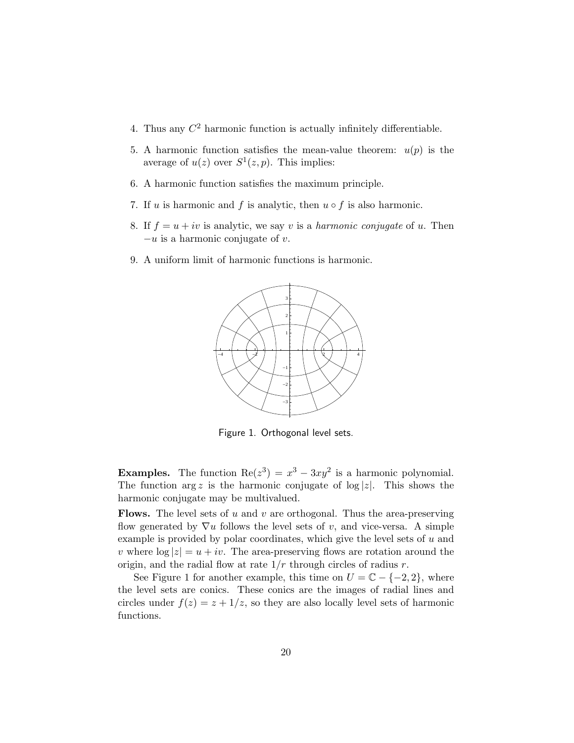- 4. Thus any  $C<sup>2</sup>$  harmonic function is actually infinitely differentiable.
- 5. A harmonic function satisfies the mean-value theorem:  $u(p)$  is the average of  $u(z)$  over  $S^1(z, p)$ . This implies:
- 6. A harmonic function satisfies the maximum principle.
- 7. If u is harmonic and f is analytic, then  $u \circ f$  is also harmonic.
- 8. If  $f = u + iv$  is analytic, we say v is a *harmonic conjugate* of u. Then  $-u$  is a harmonic conjugate of v.
- 9. A uniform limit of harmonic functions is harmonic.



Figure 1. Orthogonal level sets.

**Examples.** The function  $\text{Re}(z^3) = x^3 - 3xy^2$  is a harmonic polynomial. The function  $\arg z$  is the harmonic conjugate of  $\log |z|$ . This shows the harmonic conjugate may be multivalued.

**Flows.** The level sets of u and v are orthogonal. Thus the area-preserving flow generated by  $\nabla u$  follows the level sets of v, and vice-versa. A simple example is provided by polar coordinates, which give the level sets of  $u$  and v where  $\log |z| = u + iv$ . The area-preserving flows are rotation around the origin, and the radial flow at rate  $1/r$  through circles of radius r.

See Figure 1 for another example, this time on  $U = \mathbb{C} - \{-2, 2\}$ , where the level sets are conics. These conics are the images of radial lines and circles under  $f(z) = z + 1/z$ , so they are also locally level sets of harmonic functions.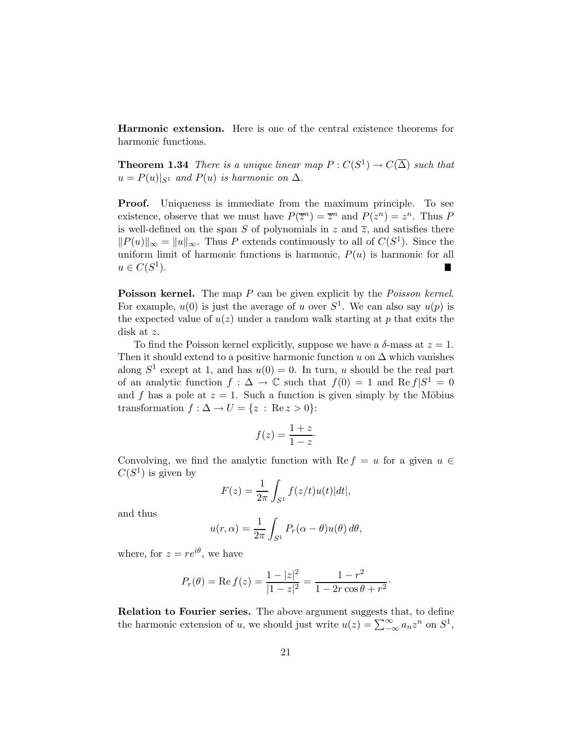Harmonic extension. Here is one of the central existence theorems for harmonic functions.

**Theorem 1.34** *There is a unique linear map*  $P: C(S^1) \to C(\overline{\Delta})$  *such that*  $u = P(u)|_{S^1}$  *and*  $P(u)$  *is harmonic on*  $\Delta$ *.* 

Proof. Uniqueness is immediate from the maximum principle. To see existence, observe that we must have  $P(\overline{z}^n) = \overline{z}^n$  and  $P(z^n) = z^n$ . Thus P is well-defined on the span S of polynomials in z and  $\overline{z}$ , and satisfies there  $||P(u)||_{\infty} = ||u||_{\infty}$ . Thus P extends continuously to all of  $C(S^1)$ . Since the uniform limit of harmonic functions is harmonic,  $P(u)$  is harmonic for all  $u \in C(S^1).$ 

Poisson kernel. The map P can be given explicit by the *Poisson kernel*. For example,  $u(0)$  is just the average of u over  $S<sup>1</sup>$ . We can also say  $u(p)$  is the expected value of  $u(z)$  under a random walk starting at p that exits the disk at z.

To find the Poisson kernel explicitly, suppose we have a  $\delta$ -mass at  $z = 1$ . Then it should extend to a positive harmonic function u on  $\Delta$  which vanishes along  $S^1$  except at 1, and has  $u(0) = 0$ . In turn, u should be the real part of an analytic function  $f: \Delta \to \mathbb{C}$  such that  $f(0) = 1$  and  $\text{Re } f | S^1 = 0$ and f has a pole at  $z = 1$ . Such a function is given simply by the Möbius transformation  $f : \Delta \to U = \{z : \text{Re } z > 0\}$ :

$$
f(z) = \frac{1+z}{1-z}.
$$

Convolving, we find the analytic function with Re  $f = u$  for a given  $u \in$  $C(S^1)$  is given by

$$
F(z) = \frac{1}{2\pi} \int_{S^1} f(z/t)u(t)|dt|,
$$

and thus

$$
u(r,\alpha) = \frac{1}{2\pi} \int_{S^1} P_r(\alpha - \theta) u(\theta) d\theta,
$$

where, for  $z = re^{i\theta}$ , we have

$$
P_r(\theta) = \text{Re } f(z) = \frac{1 - |z|^2}{|1 - z|^2} = \frac{1 - r^2}{1 - 2r\cos\theta + r^2}.
$$

Relation to Fourier series. The above argument suggests that, to define the harmonic extension of u, we should just write  $u(z) = \sum_{-\infty}^{\infty} a_n z^n$  on  $S^1$ ,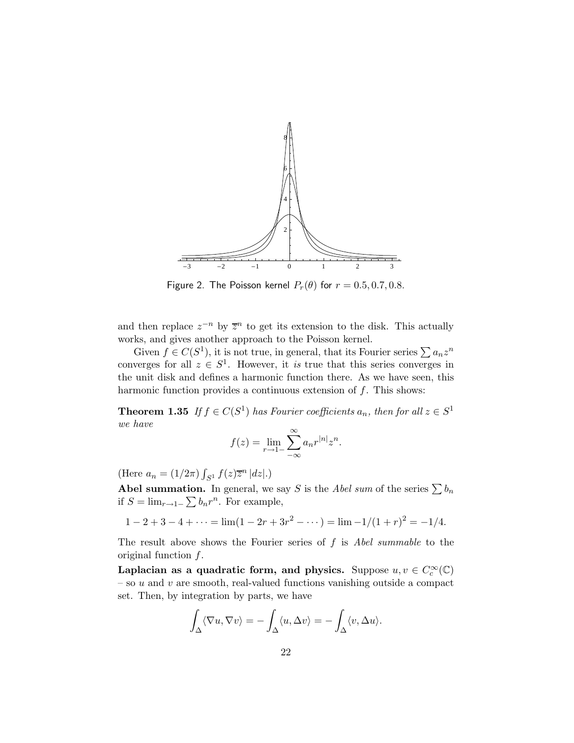

Figure 2. The Poisson kernel  $P_r(\theta)$  for  $r = 0.5, 0.7, 0.8$ .

and then replace  $z^{-n}$  by  $\overline{z}^n$  to get its extension to the disk. This actually works, and gives another approach to the Poisson kernel.

Given  $f \in C(S^1)$ , it is not true, in general, that its Fourier series  $\sum a_n z^n$ converges for all  $z \in S^1$ . However, it *is* true that this series converges in the unit disk and defines a harmonic function there. As we have seen, this harmonic function provides a continuous extension of  $f$ . This shows:

**Theorem 1.35** *If*  $f \in C(S^1)$  *has Fourier coefficients*  $a_n$ *, then for all*  $z \in S^1$ *we have*

$$
f(z) = \lim_{r \to 1^-} \sum_{-\infty}^{\infty} a_n r^{|n|} z^n.
$$

(Here  $a_n = (1/2\pi) \int_{S^1} f(z) \overline{z}^n |dz|$ .)

**Abel summation.** In general, we say S is the *Abel sum* of the series  $\sum b_n$ if  $S = \lim_{r \to 1^-} \sum b_n r^n$ . For example,

$$
1 - 2 + 3 - 4 + \dots = \lim(1 - 2r + 3r^{2} - \dots) = \lim_{n \to \infty} \frac{-1}{(1 + r)^{2}} = -\frac{1}{4}.
$$

The result above shows the Fourier series of f is *Abel summable* to the original function  $f$ .

Laplacian as a quadratic form, and physics. Suppose  $u, v \in C_c^{\infty}(\mathbb{C})$  $-$  so  $u$  and  $v$  are smooth, real-valued functions vanishing outside a compact set. Then, by integration by parts, we have

$$
\int_{\Delta} \langle \nabla u, \nabla v \rangle = -\int_{\Delta} \langle u, \Delta v \rangle = -\int_{\Delta} \langle v, \Delta u \rangle.
$$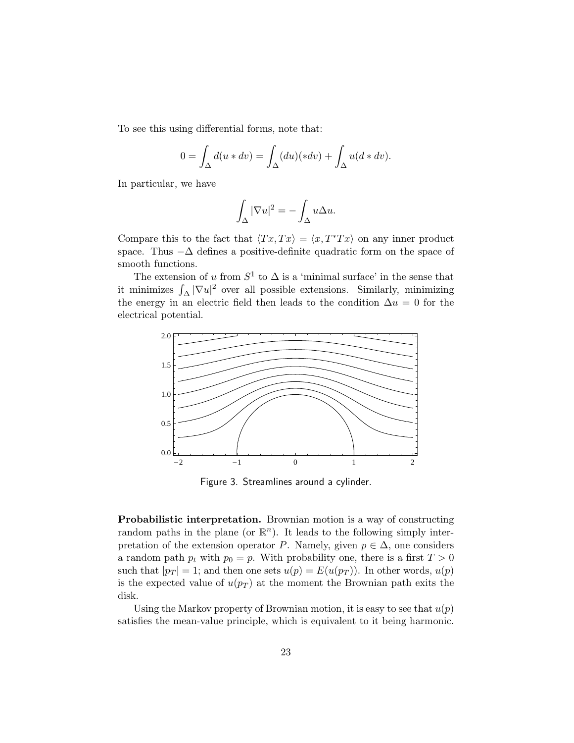To see this using differential forms, note that:

$$
0 = \int_{\Delta} d(u * dv) = \int_{\Delta} (du)(* dv) + \int_{\Delta} u(d * dv).
$$

In particular, we have

$$
\int_{\Delta} |\nabla u|^2 = -\int_{\Delta} u \Delta u.
$$

Compare this to the fact that  $\langle Tx, Tx \rangle = \langle x, T^*Tx \rangle$  on any inner product space. Thus  $-\Delta$  defines a positive-definite quadratic form on the space of smooth functions.

The extension of u from  $S^1$  to  $\Delta$  is a 'minimal surface' in the sense that it minimizes  $\int_{\Delta} |\nabla u|^2$  over all possible extensions. Similarly, minimizing the energy in an electric field then leads to the condition  $\Delta u = 0$  for the electrical potential.



Figure 3. Streamlines around a cylinder.

Probabilistic interpretation. Brownian motion is a way of constructing random paths in the plane (or  $\mathbb{R}^n$ ). It leads to the following simply interpretation of the extension operator P. Namely, given  $p \in \Delta$ , one considers a random path  $p_t$  with  $p_0 = p$ . With probability one, there is a first  $T > 0$ such that  $|p_T| = 1$ ; and then one sets  $u(p) = E(u(p_T))$ . In other words,  $u(p)$ is the expected value of  $u(p_T)$  at the moment the Brownian path exits the disk.

Using the Markov property of Brownian motion, it is easy to see that  $u(p)$ satisfies the mean-value principle, which is equivalent to it being harmonic.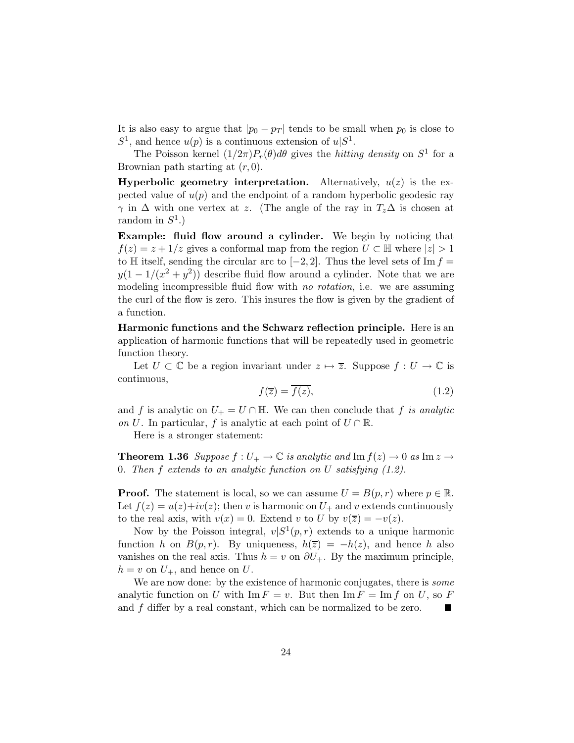It is also easy to argue that  $|p_0 - p_T|$  tends to be small when  $p_0$  is close to  $S^1$ , and hence  $u(p)$  is a continuous extension of  $u|S^1$ .

The Poisson kernel  $(1/2\pi)P_r(\theta)d\theta$  gives the *hitting density* on  $S^1$  for a Brownian path starting at  $(r, 0)$ .

**Hyperbolic geometry interpretation.** Alternatively,  $u(z)$  is the expected value of  $u(p)$  and the endpoint of a random hyperbolic geodesic ray  $\gamma$  in  $\Delta$  with one vertex at z. (The angle of the ray in  $T_z\Delta$  is chosen at random in  $S^1$ .)

Example: fluid flow around a cylinder. We begin by noticing that  $f(z) = z + 1/z$  gives a conformal map from the region  $U \subset \mathbb{H}$  where  $|z| > 1$ to H itself, sending the circular arc to  $[-2, 2]$ . Thus the level sets of Im  $f =$  $y(1 - 1/(x^2 + y^2))$  describe fluid flow around a cylinder. Note that we are modeling incompressible fluid flow with *no rotation*, i.e. we are assuming the curl of the flow is zero. This insures the flow is given by the gradient of a function.

Harmonic functions and the Schwarz reflection principle. Here is an application of harmonic functions that will be repeatedly used in geometric function theory.

Let  $U \subset \mathbb{C}$  be a region invariant under  $z \mapsto \overline{z}$ . Suppose  $f : U \to \mathbb{C}$  is continuous,

$$
f(\overline{z}) = \overline{f(z)},\tag{1.2}
$$

and f is analytic on  $U_+ = U \cap \mathbb{H}$ . We can then conclude that f *is analytic on* U. In particular, f is analytic at each point of  $U \cap \mathbb{R}$ .

Here is a stronger statement:

**Theorem 1.36** Suppose  $f: U_+ \to \mathbb{C}$  is analytic and  $\text{Im } f(z) \to 0$  as  $\text{Im } z \to 0$ 0*. Then* f *extends to an analytic function on* U *satisfying (1.2).*

**Proof.** The statement is local, so we can assume  $U = B(p, r)$  where  $p \in \mathbb{R}$ . Let  $f(z) = u(z) + iv(z)$ ; then v is harmonic on  $U_+$  and v extends continuously to the real axis, with  $v(x) = 0$ . Extend v to U by  $v(\overline{z}) = -v(z)$ .

Now by the Poisson integral,  $v|S^1(p,r)$  extends to a unique harmonic function h on  $B(p,r)$ . By uniqueness,  $h(\overline{z}) = -h(z)$ , and hence h also vanishes on the real axis. Thus  $h = v$  on  $\partial U_+$ . By the maximum principle,  $h = v$  on  $U_+$ , and hence on U.

We are now done: by the existence of harmonic conjugates, there is *some* analytic function on U with  $\text{Im } F = v$ . But then  $\text{Im } F = \text{Im } f$  on U, so F and f differ by a real constant, which can be normalized to be zero. H.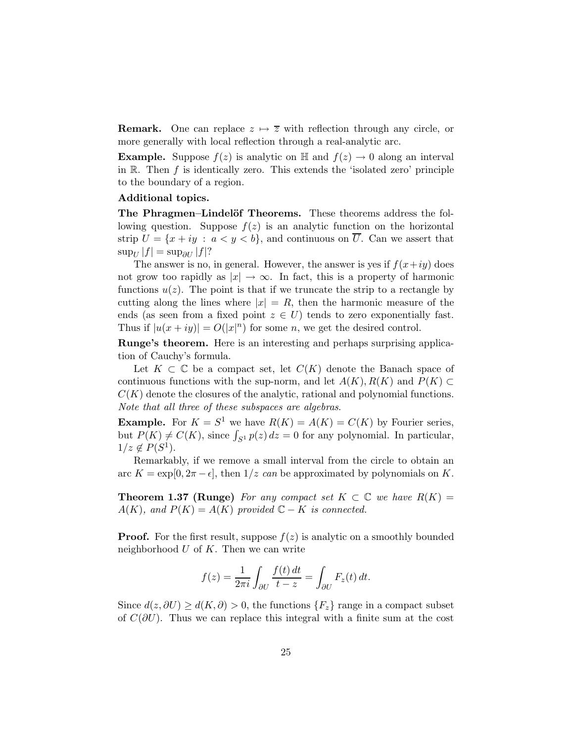**Remark.** One can replace  $z \mapsto \overline{z}$  with reflection through any circle, or more generally with local reflection through a real-analytic arc.

**Example.** Suppose  $f(z)$  is analytic on H and  $f(z) \to 0$  along an interval in  $\mathbb R$ . Then  $f$  is identically zero. This extends the 'isolated zero' principle to the boundary of a region.

#### Additional topics.

The Phragmen–Lindelöf Theorems. These theorems address the following question. Suppose  $f(z)$  is an analytic function on the horizontal strip  $U = \{x + iy : a < y < b\}$ , and continuous on  $\overline{U}$ . Can we assert that  $\sup_U |f| = \sup_{\partial U} |f|?$ 

The answer is no, in general. However, the answer is yes if  $f(x+iy)$  does not grow too rapidly as  $|x| \to \infty$ . In fact, this is a property of harmonic functions  $u(z)$ . The point is that if we truncate the strip to a rectangle by cutting along the lines where  $|x| = R$ , then the harmonic measure of the ends (as seen from a fixed point  $z \in U$ ) tends to zero exponentially fast. Thus if  $|u(x+iy)| = O(|x|^n)$  for some n, we get the desired control.

Runge's theorem. Here is an interesting and perhaps surprising application of Cauchy's formula.

Let  $K \subset \mathbb{C}$  be a compact set, let  $C(K)$  denote the Banach space of continuous functions with the sup-norm, and let  $A(K)$ ,  $R(K)$  and  $P(K) \subset$  $C(K)$  denote the closures of the analytic, rational and polynomial functions. *Note that all three of these subspaces are algebras*.

**Example.** For  $K = S^1$  we have  $R(K) = A(K) = C(K)$  by Fourier series, but  $P(K) \neq C(K)$ , since  $\int_{S^1} p(z) dz = 0$  for any polynomial. In particular,  $1/z \notin P(S^1)$ .

Remarkably, if we remove a small interval from the circle to obtain an arc  $K = \exp[0, 2\pi - \epsilon]$ , then  $1/z$  *can* be approximated by polynomials on K.

**Theorem 1.37 (Runge)** For any compact set  $K \subset \mathbb{C}$  we have  $R(K) =$  $A(K)$ *, and*  $P(K) = A(K)$  *provided*  $\mathbb{C} - K$  *is connected.* 

**Proof.** For the first result, suppose  $f(z)$  is analytic on a smoothly bounded neighborhood  $U$  of  $K$ . Then we can write

$$
f(z) = \frac{1}{2\pi i} \int_{\partial U} \frac{f(t) dt}{t - z} = \int_{\partial U} F_z(t) dt.
$$

Since  $d(z, \partial U) \geq d(K, \partial) > 0$ , the functions  $\{F_z\}$  range in a compact subset of  $C(\partial U)$ . Thus we can replace this integral with a finite sum at the cost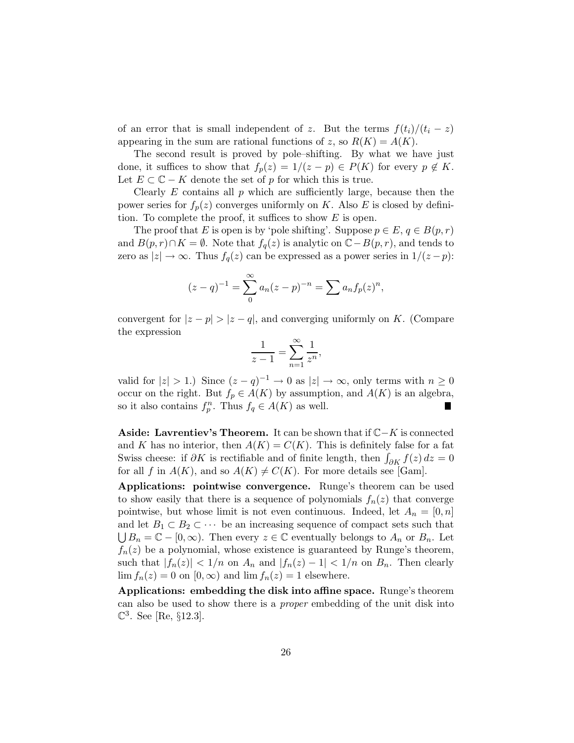of an error that is small independent of z. But the terms  $f(t_i)/(t_i - z)$ appearing in the sum are rational functions of z, so  $R(K) = A(K)$ .

The second result is proved by pole–shifting. By what we have just done, it suffices to show that  $f_p(z) = 1/(z - p) \in P(K)$  for every  $p \notin K$ . Let  $E \subset \mathbb{C} - K$  denote the set of p for which this is true.

Clearly  $E$  contains all  $p$  which are sufficiently large, because then the power series for  $f_p(z)$  converges uniformly on K. Also E is closed by definition. To complete the proof, it suffices to show  $E$  is open.

The proof that E is open is by 'pole shifting'. Suppose  $p \in E$ ,  $q \in B(p,r)$ and  $B(p,r) \cap K = \emptyset$ . Note that  $f_q(z)$  is analytic on  $\mathbb{C} - B(p,r)$ , and tends to zero as  $|z| \to \infty$ . Thus  $f_q(z)$  can be expressed as a power series in  $1/(z - p)$ :

$$
(z-q)^{-1} = \sum_{n=0}^{\infty} a_n (z-p)^{-n} = \sum_{n=0}^{\infty} a_n f_p(z)^n,
$$

convergent for  $|z - p| > |z - q|$ , and converging uniformly on K. (Compare the expression

$$
\frac{1}{z-1} = \sum_{n=1}^{\infty} \frac{1}{z^n},
$$

valid for  $|z| > 1$ .) Since  $(z - q)^{-1} \to 0$  as  $|z| \to \infty$ , only terms with  $n \ge 0$ occur on the right. But  $f_p \in A(K)$  by assumption, and  $A(K)$  is an algebra, so it also contains  $f_p^n$ . Thus  $f_q \in A(K)$  as well.

Aside: Lavrentiev's Theorem. It can be shown that if  $\mathbb{C}-K$  is connected and K has no interior, then  $A(K) = C(K)$ . This is definitely false for a fat Swiss cheese: if  $\partial K$  is rectifiable and of finite length, then  $\int_{\partial K} f(z) dz = 0$ for all f in  $A(K)$ , and so  $A(K) \neq C(K)$ . For more details see [Gam].

Applications: pointwise convergence. Runge's theorem can be used to show easily that there is a sequence of polynomials  $f_n(z)$  that converge pointwise, but whose limit is not even continuous. Indeed, let  $A_n = [0, n]$ and let  $B_1 \subset B_2 \subset \cdots$  be an increasing sequence of compact sets such that  $\bigcup B_n = \mathbb{C} - [0, \infty)$ . Then every  $z \in \mathbb{C}$  eventually belongs to  $A_n$  or  $B_n$ . Let  $f_n(z)$  be a polynomial, whose existence is guaranteed by Runge's theorem, such that  $|f_n(z)| < 1/n$  on  $A_n$  and  $|f_n(z) - 1| < 1/n$  on  $B_n$ . Then clearly  $\lim f_n(z) = 0$  on  $[0, \infty)$  and  $\lim f_n(z) = 1$  elsewhere.

Applications: embedding the disk into affine space. Runge's theorem can also be used to show there is a *proper* embedding of the unit disk into  $\mathbb{C}^3$ . See [Re, §12.3].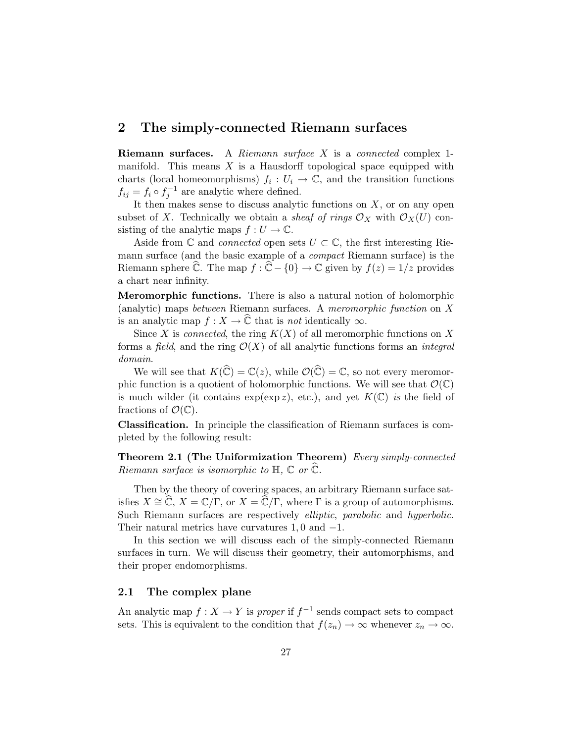## 2 The simply-connected Riemann surfaces

Riemann surfaces. A *Riemann surface* X is a *connected* complex 1 manifold. This means  $X$  is a Hausdorff topological space equipped with charts (local homeomorphisms)  $f_i: U_i \to \mathbb{C}$ , and the transition functions  $f_{ij} = f_i \circ f_j^{-1}$  are analytic where defined.

It then makes sense to discuss analytic functions on  $X$ , or on any open subset of X. Technically we obtain a *sheaf of rings*  $\mathcal{O}_X$  with  $\mathcal{O}_X(U)$  consisting of the analytic maps  $f: U \to \mathbb{C}$ .

Aside from  $\mathbb C$  and *connected* open sets  $U \subset \mathbb C$ , the first interesting Riemann surface (and the basic example of a *compact* Riemann surface) is the Riemann sphere  $\hat{\mathbb{C}}$ . The map  $f : \hat{\mathbb{C}} - \{0\} \to \mathbb{C}$  given by  $f(z) = 1/z$  provides a chart near infinity.

Meromorphic functions. There is also a natural notion of holomorphic (analytic) maps *between* Riemann surfaces. A *meromorphic function* on X is an analytic map  $f : X \to \mathbb{C}$  that is *not* identically  $\infty$ .

Since X is *connected*, the ring  $K(X)$  of all meromorphic functions on X forms a *field*, and the ring  $\mathcal{O}(X)$  of all analytic functions forms an *integral domain*.

We will see that  $K(\widehat{\mathbb{C}}) = \mathbb{C}(z)$ , while  $\mathcal{O}(\widehat{\mathbb{C}}) = \mathbb{C}$ , so not every meromorphic function is a quotient of holomorphic functions. We will see that  $\mathcal{O}(\mathbb{C})$ is much wilder (it contains  $\exp(\exp z)$ , etc.), and yet  $K(\mathbb{C})$  *is* the field of fractions of  $\mathcal{O}(\mathbb{C})$ .

Classification. In principle the classification of Riemann surfaces is completed by the following result:

Theorem 2.1 (The Uniformization Theorem) *Every simply-connected Riemann surface is isomorphic to*  $H$ *,*  $\mathbb{C}$  *or*  $\widehat{\mathbb{C}}$ *.* 

Then by the theory of covering spaces, an arbitrary Riemann surface satisfies  $X \cong \widehat{\mathbb{C}}, X = \mathbb{C}/\Gamma$ , or  $X = \widehat{\mathbb{C}}/\Gamma$ , where  $\Gamma$  is a group of automorphisms. Such Riemann surfaces are respectively *elliptic*, *parabolic* and *hyperbolic*. Their natural metrics have curvatures  $1,0$  and  $-1$ .

In this section we will discuss each of the simply-connected Riemann surfaces in turn. We will discuss their geometry, their automorphisms, and their proper endomorphisms.

#### 2.1 The complex plane

An analytic map  $f: X \to Y$  is *proper* if  $f^{-1}$  sends compact sets to compact sets. This is equivalent to the condition that  $f(z_n) \to \infty$  whenever  $z_n \to \infty$ .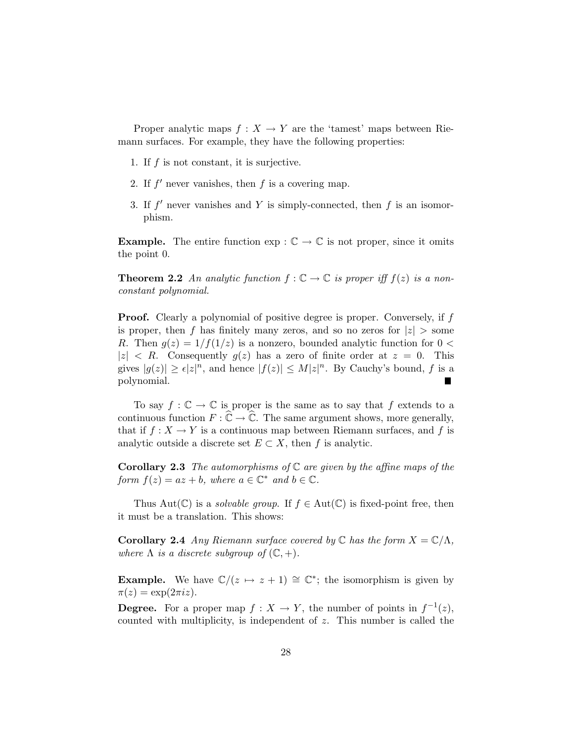Proper analytic maps  $f : X \to Y$  are the 'tamest' maps between Riemann surfaces. For example, they have the following properties:

- 1. If  $f$  is not constant, it is surjective.
- 2. If  $f'$  never vanishes, then  $f$  is a covering map.
- 3. If  $f'$  never vanishes and Y is simply-connected, then  $f$  is an isomorphism.

**Example.** The entire function  $\exp : \mathbb{C} \to \mathbb{C}$  is not proper, since it omits the point 0.

**Theorem 2.2** An analytic function  $f : \mathbb{C} \to \mathbb{C}$  is proper iff  $f(z)$  is a non*constant polynomial.*

**Proof.** Clearly a polynomial of positive degree is proper. Conversely, if f is proper, then f has finitely many zeros, and so no zeros for  $|z| >$  some R. Then  $g(z) = 1/f(1/z)$  is a nonzero, bounded analytic function for  $0 <$  $|z|$  < R. Consequently  $g(z)$  has a zero of finite order at  $z = 0$ . This gives  $|g(z)| \geq \epsilon |z|^n$ , and hence  $|f(z)| \leq M |z|^n$ . By Cauchy's bound, f is a polynomial. П

To say  $f: \mathbb{C} \to \mathbb{C}$  is proper is the same as to say that f extends to a continuous function  $F: \widehat{\mathbb{C}} \to \widehat{\mathbb{C}}$ . The same argument shows, more generally, that if  $f: X \to Y$  is a continuous map between Riemann surfaces, and f is analytic outside a discrete set  $E \subset X$ , then f is analytic.

Corollary 2.3 *The automorphisms of* C *are given by the affine maps of the form*  $f(z) = az + b$ , where  $a \in \mathbb{C}^*$  and  $b \in \mathbb{C}$ .

Thus Aut( $\mathbb{C}$ ) is a *solvable group*. If  $f \in Aut(\mathbb{C})$  is fixed-point free, then it must be a translation. This shows:

**Corollary 2.4** *Any Riemann surface covered by*  $\mathbb C$  *has the form*  $X = \mathbb C/\Lambda$ *, where*  $\Lambda$  *is a discrete subgroup of*  $(\mathbb{C}, +)$ *.* 

**Example.** We have  $\mathbb{C}/(z \mapsto z + 1) \cong \mathbb{C}^*$ ; the isomorphism is given by  $\pi(z) = \exp(2\pi i z).$ 

**Degree.** For a proper map  $f: X \to Y$ , the number of points in  $f^{-1}(z)$ , counted with multiplicity, is independent of z. This number is called the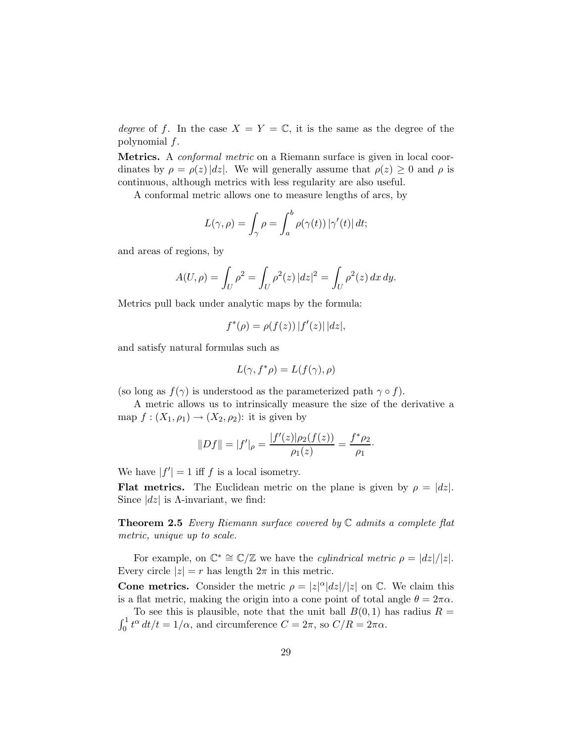*degree* of f. In the case  $X = Y = \mathbb{C}$ , it is the same as the degree of the polynomial f.

Metrics. A *conformal metric* on a Riemann surface is given in local coordinates by  $\rho = \rho(z) |dz|$ . We will generally assume that  $\rho(z) \geq 0$  and  $\rho$  is continuous, although metrics with less regularity are also useful.

A conformal metric allows one to measure lengths of arcs, by

$$
L(\gamma, \rho) = \int_{\gamma} \rho = \int_{a}^{b} \rho(\gamma(t)) |\gamma'(t)| dt;
$$

and areas of regions, by

$$
A(U, \rho) = \int_U \rho^2 = \int_U \rho^2(z) |dz|^2 = \int_U \rho^2(z) dx dy.
$$

Metrics pull back under analytic maps by the formula:

$$
f^*(\rho) = \rho(f(z)) |f'(z)| |dz|,
$$

and satisfy natural formulas such as

$$
L(\gamma, f^*\rho) = L(f(\gamma), \rho)
$$

(so long as  $f(\gamma)$  is understood as the parameterized path  $\gamma \circ f$ ).

A metric allows us to intrinsically measure the size of the derivative a map  $f: (X_1, \rho_1) \to (X_2, \rho_2)$ : it is given by

$$
||Df|| = |f'|_{\rho} = \frac{|f'(z)|\rho_2(f(z))}{\rho_1(z)} = \frac{f^*\rho_2}{\rho_1}.
$$

We have  $|f'| = 1$  iff f is a local isometry.

**Flat metrics.** The Euclidean metric on the plane is given by  $\rho = |dz|$ . Since  $|dz|$  is  $\Lambda$ -invariant, we find:

Theorem 2.5 *Every Riemann surface covered by* C *admits a complete flat metric, unique up to scale.*

For example, on  $\mathbb{C}^* \cong \mathbb{C}/\mathbb{Z}$  we have the *cylindrical metric*  $\rho = |dz|/|z|$ . Every circle  $|z| = r$  has length  $2\pi$  in this metric.

**Cone metrics.** Consider the metric  $\rho = |z|^{\alpha} |dz| / |z|$  on C. We claim this is a flat metric, making the origin into a cone point of total angle  $\theta = 2\pi\alpha$ .

To see this is plausible, note that the unit ball  $B(0, 1)$  has radius  $R =$  $\int_0^1 t^{\alpha} dt/t = 1/\alpha$ , and circumference  $C = 2\pi$ , so  $C/R = 2\pi\alpha$ .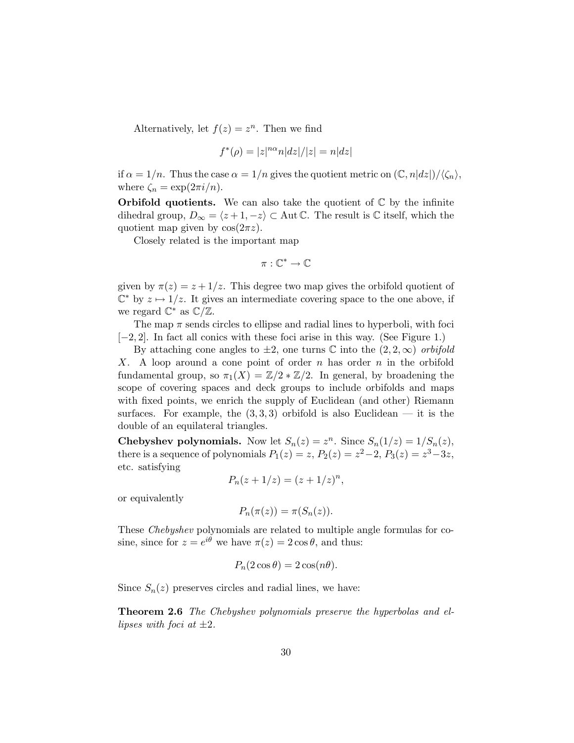Alternatively, let  $f(z) = z^n$ . Then we find

$$
f^*(\rho) = |z|^{n\alpha} n|dz|/|z| = n|dz|
$$

if  $\alpha = 1/n$ . Thus the case  $\alpha = 1/n$  gives the quotient metric on  $(\mathbb{C}, n|dz|)/\langle\zeta_n\rangle$ , where  $\zeta_n = \exp(2\pi i/n)$ .

**Orbifold quotients.** We can also take the quotient of  $\mathbb{C}$  by the infinite dihedral group,  $D_{\infty} = \langle z + 1, -z \rangle \subset \text{Aut } \mathbb{C}$ . The result is  $\mathbb{C}$  itself, which the quotient map given by  $cos(2\pi z)$ .

Closely related is the important map

$$
\pi:\mathbb{C}^*\to\mathbb{C}
$$

given by  $\pi(z) = z + 1/z$ . This degree two map gives the orbifold quotient of  $\mathbb{C}^*$  by  $z \mapsto 1/z$ . It gives an intermediate covering space to the one above, if we regard  $\mathbb{C}^*$  as  $\mathbb{C}/\mathbb{Z}$ .

The map  $\pi$  sends circles to ellipse and radial lines to hyperboli, with foci [−2, 2]. In fact all conics with these foci arise in this way. (See Figure 1.)

By attaching cone angles to  $\pm 2$ , one turns  $\mathbb C$  into the  $(2, 2, \infty)$  *orbifold* X. A loop around a cone point of order n has order n in the orbifold fundamental group, so  $\pi_1(X) = \mathbb{Z}/2 \times \mathbb{Z}/2$ . In general, by broadening the scope of covering spaces and deck groups to include orbifolds and maps with fixed points, we enrich the supply of Euclidean (and other) Riemann surfaces. For example, the  $(3,3,3)$  orbifold is also Euclidean — it is the double of an equilateral triangles.

**Chebyshev polynomials.** Now let  $S_n(z) = z^n$ . Since  $S_n(1/z) = 1/S_n(z)$ , there is a sequence of polynomials  $P_1(z) = z$ ,  $P_2(z) = z^2 - 2$ ,  $P_3(z) = z^3 - 3z$ , etc. satisfying

$$
P_n(z+1/z) = (z+1/z)^n,
$$

or equivalently

$$
P_n(\pi(z)) = \pi(S_n(z)).
$$

These *Chebyshev* polynomials are related to multiple angle formulas for cosine, since for  $z = e^{i\theta}$  we have  $\pi(z) = 2 \cos \theta$ , and thus:

$$
P_n(2\cos\theta) = 2\cos(n\theta).
$$

Since  $S_n(z)$  preserves circles and radial lines, we have:

Theorem 2.6 *The Chebyshev polynomials preserve the hyperbolas and ellipses with foci at* ±2*.*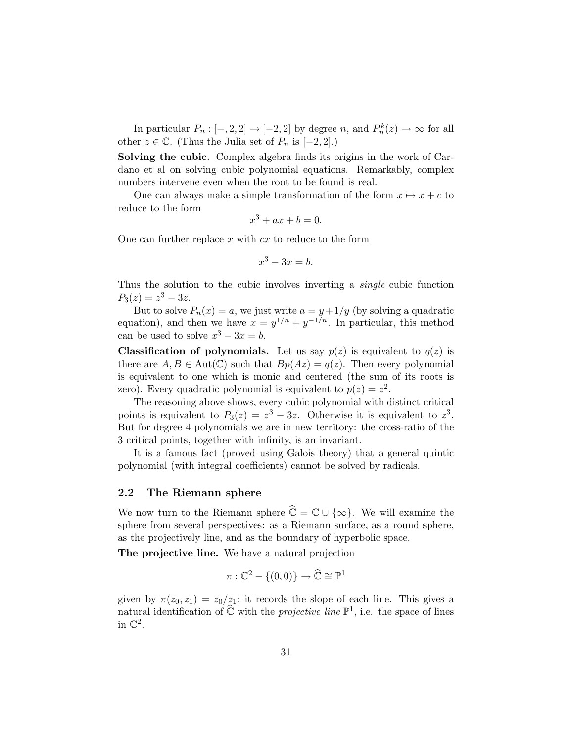In particular  $P_n : [-, 2, 2] \to [-2, 2]$  by degree n, and  $P_n^k(z) \to \infty$  for all other  $z \in \mathbb{C}$ . (Thus the Julia set of  $P_n$  is  $[-2, 2]$ .)

Solving the cubic. Complex algebra finds its origins in the work of Cardano et al on solving cubic polynomial equations. Remarkably, complex numbers intervene even when the root to be found is real.

One can always make a simple transformation of the form  $x \mapsto x + c$  to reduce to the form

$$
x^3 + ax + b = 0.
$$

One can further replace x with  $cx$  to reduce to the form

$$
x^3 - 3x = b.
$$

Thus the solution to the cubic involves inverting a *single* cubic function  $P_3(z) = z^3 - 3z.$ 

But to solve  $P_n(x) = a$ , we just write  $a = y + 1/y$  (by solving a quadratic equation), and then we have  $x = y^{1/n} + y^{-1/n}$ . In particular, this method can be used to solve  $x^3 - 3x = b$ .

**Classification of polynomials.** Let us say  $p(z)$  is equivalent to  $q(z)$  is there are  $A, B \in Aut(\mathbb{C})$  such that  $Bp(Az) = q(z)$ . Then every polynomial is equivalent to one which is monic and centered (the sum of its roots is zero). Every quadratic polynomial is equivalent to  $p(z) = z^2$ .

The reasoning above shows, every cubic polynomial with distinct critical points is equivalent to  $P_3(z) = z^3 - 3z$ . Otherwise it is equivalent to  $z^3$ . But for degree 4 polynomials we are in new territory: the cross-ratio of the 3 critical points, together with infinity, is an invariant.

It is a famous fact (proved using Galois theory) that a general quintic polynomial (with integral coefficients) cannot be solved by radicals.

#### 2.2 The Riemann sphere

We now turn to the Riemann sphere  $\hat{\mathbb{C}} = \mathbb{C} \cup \{\infty\}$ . We will examine the sphere from several perspectives: as a Riemann surface, as a round sphere, as the projectively line, and as the boundary of hyperbolic space.

The projective line. We have a natural projection

$$
\pi : \mathbb{C}^2 - \{(0,0)\} \to \widehat{\mathbb{C}} \cong \mathbb{P}^1
$$

given by  $\pi(z_0, z_1) = z_0/z_1$ ; it records the slope of each line. This gives a natural identification of  $\widehat{\mathbb{C}}$  with the *projective line*  $\mathbb{P}^1$ , i.e. the space of lines in  $\mathbb{C}^2$ .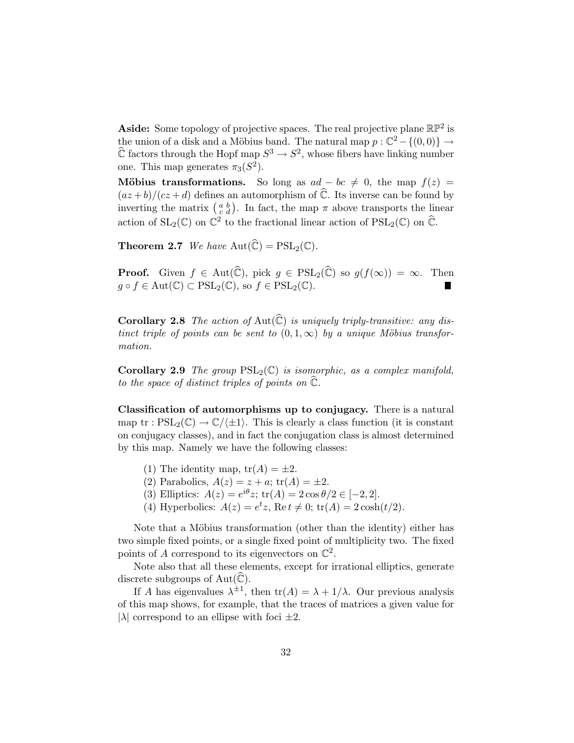Aside: Some topology of projective spaces. The real projective plane  $\mathbb{RP}^2$  is the union of a disk and a Möbius band. The natural map  $p : \mathbb{C}^2 - \{(0,0)\} \to$  $\widehat{\mathbb{C}}$  factors through the Hopf map  $S^3 \to S^2$ , whose fibers have linking number one. This map generates  $\pi_3(S^2)$ .

Möbius transformations. So long as  $ad - bc \neq 0$ , the map  $f(z) =$  $\frac{(\alpha z + b)}{cz + d}$  defines an automorphism of  $\hat{\mathbb{C}}$ . Its inverse can be found by inverting the matrix  $\begin{pmatrix} a & b \\ c & d \end{pmatrix}$ . In fact, the map  $\pi$  above transports the linear action of  $SL_2(\mathbb{C})$  on  $\mathbb{C}^2$  to the fractional linear action of  $PSL_2(\mathbb{C})$  on  $\widehat{\mathbb{C}}$ .

**Theorem 2.7** *We have*  $Aut(\widehat{\mathbb{C}}) = PSL_2(\mathbb{C})$ *.* 

**Proof.** Given  $f \in Aut(\widehat{\mathbb{C}})$ , pick  $g \in \mathrm{PSL}_2(\widehat{\mathbb{C}})$  so  $g(f(\infty)) = \infty$ . Then  $g \circ f \in \text{Aut}(\mathbb{C}) \subset \text{PSL}_2(\mathbb{C}), \text{ so } f \in \text{PSL}_2(\mathbb{C}).$ 

**Corollary 2.8** The action of Aut $(\widehat{C})$  is uniquely triply-transitive: any dis*tinct triple of points can be sent to*  $(0,1,\infty)$  *by a unique Möbius transformation.*

**Corollary 2.9** *The group*  $PSL_2(\mathbb{C})$  *is isomorphic, as a complex manifold, to the space of distinct triples of points on*  $\tilde{\mathbb{C}}$ *.* 

Classification of automorphisms up to conjugacy. There is a natural map tr :  $PSL_2(\mathbb{C}) \to \mathbb{C}/\langle \pm 1 \rangle$ . This is clearly a class function (it is constant on conjugacy classes), and in fact the conjugation class is almost determined by this map. Namely we have the following classes:

- (1) The identity map,  $tr(A) = \pm 2$ .
- (2) Parabolics,  $A(z) = z + a$ ;  $tr(A) = \pm 2$ .
- (3) Elliptics:  $A(z) = e^{i\theta} z$ ;  $tr(A) = 2 \cos \theta / 2 \in [-2, 2]$ .
- (4) Hyperbolics:  $A(z) = e^t z$ , Re  $t \neq 0$ ;  $\text{tr}(A) = 2 \cosh(t/2)$ .

Note that a Möbius transformation (other than the identity) either has two simple fixed points, or a single fixed point of multiplicity two. The fixed points of A correspond to its eigenvectors on  $\mathbb{C}^2$ .

Note also that all these elements, except for irrational elliptics, generate discrete subgroups of  $Aut(\widehat{\mathbb{C}})$ .

If A has eigenvalues  $\lambda^{\pm 1}$ , then  $tr(A) = \lambda + 1/\lambda$ . Our previous analysis of this map shows, for example, that the traces of matrices a given value for  $|\lambda|$  correspond to an ellipse with foci  $\pm 2$ .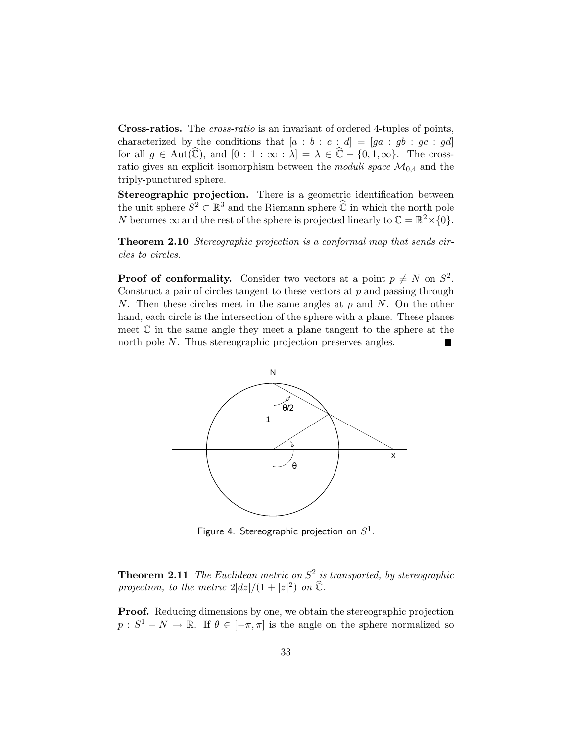Cross-ratios. The *cross-ratio* is an invariant of ordered 4-tuples of points, characterized by the conditions that  $[a : b : c : d] = [ga : gb : gc : gd]$ for all  $g \in Aut(\mathbb{C})$ , and  $[0 : 1 : \infty : \lambda] = \lambda \in \mathbb{C} - \{0, 1, \infty\}$ . The crossratio gives an explicit isomorphism between the *moduli space*  $\mathcal{M}_{0,4}$  and the triply-punctured sphere.

Stereographic projection. There is a geometric identification between the unit sphere  $S^2 \subset \mathbb{R}^3$  and the Riemann sphere  $\widehat{\mathbb{C}}$  in which the north pole N becomes  $\infty$  and the rest of the sphere is projected linearly to  $\mathbb{C} = \mathbb{R}^2 \times \{0\}.$ 

Theorem 2.10 *Stereographic projection is a conformal map that sends circles to circles.*

**Proof of conformality.** Consider two vectors at a point  $p \neq N$  on  $S^2$ . Construct a pair of circles tangent to these vectors at  $p$  and passing through N. Then these circles meet in the same angles at  $p$  and  $N$ . On the other hand, each circle is the intersection of the sphere with a plane. These planes meet  $\mathbb C$  in the same angle they meet a plane tangent to the sphere at the north pole N. Thus stereographic projection preserves angles.



Figure 4. Stereographic projection on  $S^1$ .

Theorem 2.11 *The Euclidean metric on* S 2 *is transported, by stereographic* projection, to the metric  $2|dz|/(1+|z|^2)$  on  $\widehat{\mathbb{C}}$ *.* 

Proof. Reducing dimensions by one, we obtain the stereographic projection  $p: S^1 - N \to \mathbb{R}$ . If  $\theta \in [-\pi, \pi]$  is the angle on the sphere normalized so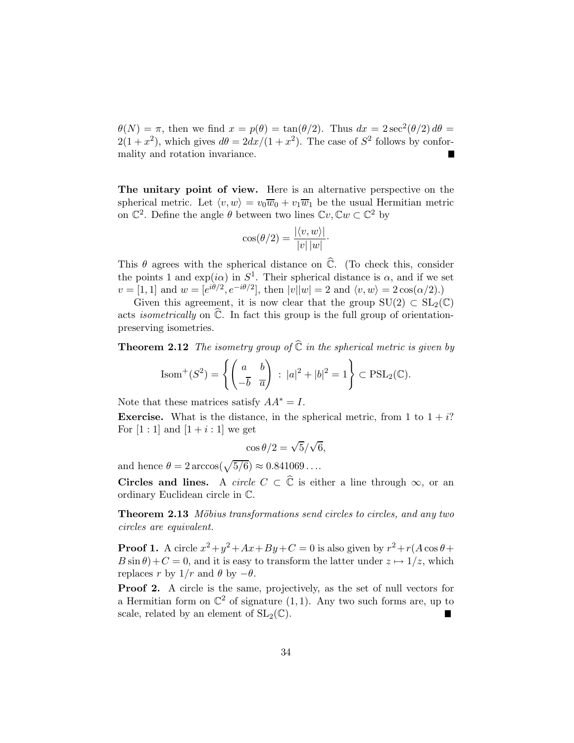$\theta(N) = \pi$ , then we find  $x = p(\theta) = \tan(\theta/2)$ . Thus  $dx = 2\sec^2(\theta/2) d\theta =$  $2(1+x^2)$ , which gives  $d\theta = 2dx/(1+x^2)$ . The case of  $S^2$  follows by conformality and rotation invariance.

The unitary point of view. Here is an alternative perspective on the spherical metric. Let  $\langle v, w \rangle = v_0 \overline{w}_0 + v_1 \overline{w}_1$  be the usual Hermitian metric on  $\mathbb{C}^2$ . Define the angle  $\theta$  between two lines  $\mathbb{C}v, \mathbb{C}w \subset \mathbb{C}^2$  by

$$
\cos(\theta/2) = \frac{|\langle v, w \rangle|}{|v| |w|}.
$$

This  $\theta$  agrees with the spherical distance on  $\hat{\mathbb{C}}$ . (To check this, consider the points 1 and  $\exp(i\alpha)$  in  $S^1$ . Their spherical distance is  $\alpha$ , and if we set  $v = [1, 1]$  and  $w = [e^{i\theta/2}, e^{-i\theta/2}]$ , then  $|v||w| = 2$  and  $\langle v, w \rangle = 2 \cos(\alpha/2)$ .)

Given this agreement, it is now clear that the group  $SU(2) \subset SL_2(\mathbb{C})$ acts *isometrically* on  $\hat{\mathbb{C}}$ . In fact this group is the full group of orientationpreserving isometries.

**Theorem 2.12** *The isometry group of*  $\hat{\mathbb{C}}$  *in the spherical metric is given by* 

$$
Isom^{+}(S^{2}) = \left\{ \begin{pmatrix} a & b \ -\overline{b} & \overline{a} \end{pmatrix} : |a|^{2} + |b|^{2} = 1 \right\} \subset \text{PSL}_{2}(\mathbb{C}).
$$

Note that these matrices satisfy  $AA^* = I$ .

**Exercise.** What is the distance, in the spherical metric, from 1 to  $1 + i$ ? For  $[1:1]$  and  $[1 + i:1]$  we get

$$
\cos \theta / 2 = \sqrt{5}/\sqrt{6},
$$

and hence  $\theta = 2 \arccos(\sqrt{5/6}) \approx 0.841069 \dots$ 

**Circles and lines.** A *circle*  $C \subset \hat{C}$  is either a line through  $\infty$ , or an ordinary Euclidean circle in C.

Theorem 2.13 *Möbius transformations send circles to circles, and any two circles are equivalent.*

**Proof 1.** A circle  $x^2 + y^2 + Ax + By + C = 0$  is also given by  $r^2 + r(A \cos \theta +$  $B \sin \theta$  +  $C = 0$ , and it is easy to transform the latter under  $z \mapsto 1/z$ , which replaces r by  $1/r$  and  $\theta$  by  $-\theta$ .

Proof 2. A circle is the same, projectively, as the set of null vectors for a Hermitian form on  $\mathbb{C}^2$  of signature  $(1,1)$ . Any two such forms are, up to scale, related by an element of  $SL_2(\mathbb{C})$ .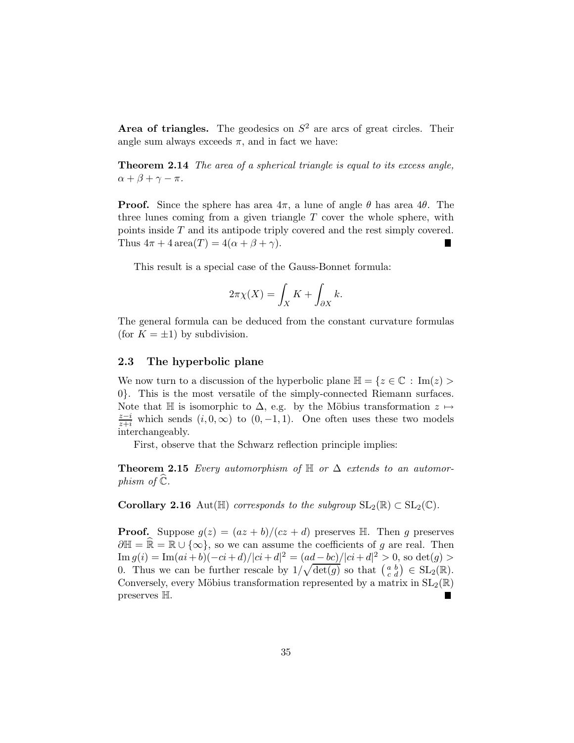Area of triangles. The geodesics on  $S<sup>2</sup>$  are arcs of great circles. Their angle sum always exceeds  $\pi$ , and in fact we have:

Theorem 2.14 *The area of a spherical triangle is equal to its excess angle,*  $\alpha + \beta + \gamma - \pi$ .

**Proof.** Since the sphere has area  $4\pi$ , a lune of angle  $\theta$  has area  $4\theta$ . The three lunes coming from a given triangle  $T$  cover the whole sphere, with points inside T and its antipode triply covered and the rest simply covered. Thus  $4\pi + 4 \operatorname{area}(T) = 4(\alpha + \beta + \gamma)$ .

This result is a special case of the Gauss-Bonnet formula:

$$
2\pi\chi(X) = \int_X K + \int_{\partial X} k.
$$

The general formula can be deduced from the constant curvature formulas (for  $K = \pm 1$ ) by subdivision.

#### 2.3 The hyperbolic plane

We now turn to a discussion of the hyperbolic plane  $\mathbb{H} = \{z \in \mathbb{C} : \text{Im}(z) >$ 0}. This is the most versatile of the simply-connected Riemann surfaces. Note that H is isomorphic to  $\Delta$ , e.g. by the Möbius transformation  $z \mapsto$  $\frac{z-i}{z+i}$  which sends  $(i, 0, \infty)$  to  $(0, -1, 1)$ . One often uses these two models interchangeably.

First, observe that the Schwarz reflection principle implies:

**Theorem 2.15** *Every automorphism of*  $H$  *or*  $\Delta$  *extends to an automorphism of*  $\mathbb{C}$ *.* 

**Corollary 2.16** Aut( $\mathbb{H}$ ) *corresponds to the subgroup*  $SL_2(\mathbb{R}) \subset SL_2(\mathbb{C})$ *.* 

**Proof.** Suppose  $g(z) = (az + b)/(cz + d)$  preserves H. Then g preserves  $\partial \mathbb{H} = \mathbb{R} \cup \{\infty\}$ , so we can assume the coefficients of g are real. Then  $\text{Im } g(i) = \text{Im}(ai+b)(-ci+d)/|ci+d|^2 = (ad-bc)/|ci+d|^2 > 0$ , so  $\det(g) > 0$ 0. Thus we can be further rescale by  $1/\sqrt{\det(g)}$  so that  $\begin{pmatrix} a & b \\ c & d \end{pmatrix} \in SL_2(\mathbb{R})$ . Conversely, every Möbius transformation represented by a matrix in  $SL_2(\mathbb{R})$ preserves H.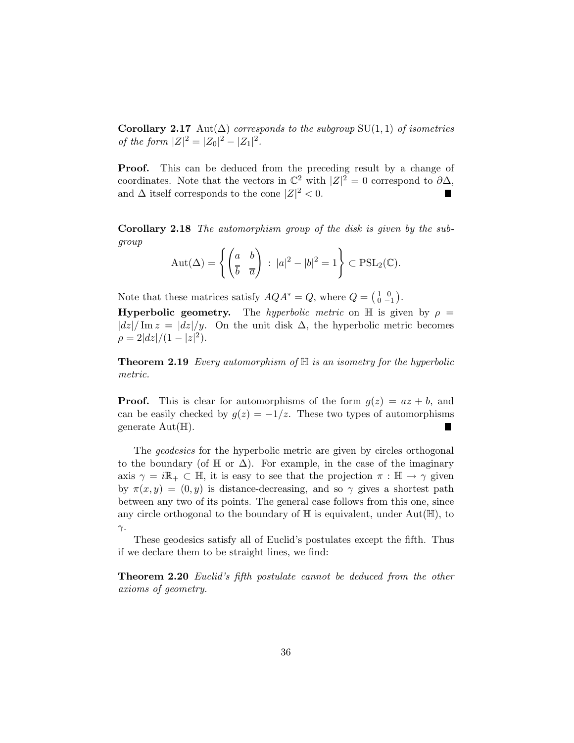**Corollary 2.17** Aut $(\Delta)$  *corresponds to the subgroup* SU(1, 1) *of isometries of the form*  $|Z|^2 = |Z_0|^2 - |Z_1|^2$ .

**Proof.** This can be deduced from the preceding result by a change of coordinates. Note that the vectors in  $\mathbb{C}^2$  with  $|Z|^2 = 0$  correspond to  $\partial \Delta$ , and  $\Delta$  itself corresponds to the cone  $|Z|^2 < 0$ .

Corollary 2.18 *The automorphism group of the disk is given by the subgroup*

$$
Aut(\Delta) = \left\{ \begin{pmatrix} a & b \\ \overline{b} & \overline{a} \end{pmatrix} : |a|^2 - |b|^2 = 1 \right\} \subset \mathrm{PSL}_2(\mathbb{C}).
$$

Note that these matrices satisfy  $AQA^* = Q$ , where  $Q = \begin{pmatrix} 1 & 0 \\ 0 & -1 \end{pmatrix}$ .

**Hyperbolic geometry.** The *hyperbolic metric* on  $\mathbb{H}$  is given by  $\rho =$  $|dz|/\text{Im } z = |dz|/y$ . On the unit disk  $\Delta$ , the hyperbolic metric becomes  $\rho = 2|dz|/(1-|z|^2).$ 

Theorem 2.19 *Every automorphism of* H *is an isometry for the hyperbolic metric.*

**Proof.** This is clear for automorphisms of the form  $g(z) = az + b$ , and can be easily checked by  $g(z) = -1/z$ . These two types of automorphisms generate  $Aut(\mathbb{H}).$ 

The *geodesics* for the hyperbolic metric are given by circles orthogonal to the boundary (of  $\mathbb H$  or  $\Delta$ ). For example, in the case of the imaginary axis  $\gamma = i\mathbb{R}_+ \subset \mathbb{H}$ , it is easy to see that the projection  $\pi : \mathbb{H} \to \gamma$  given by  $\pi(x, y) = (0, y)$  is distance-decreasing, and so  $\gamma$  gives a shortest path between any two of its points. The general case follows from this one, since any circle orthogonal to the boundary of  $\mathbb H$  is equivalent, under Aut $(\mathbb H)$ , to γ.

These geodesics satisfy all of Euclid's postulates except the fifth. Thus if we declare them to be straight lines, we find:

Theorem 2.20 *Euclid's fifth postulate cannot be deduced from the other axioms of geometry.*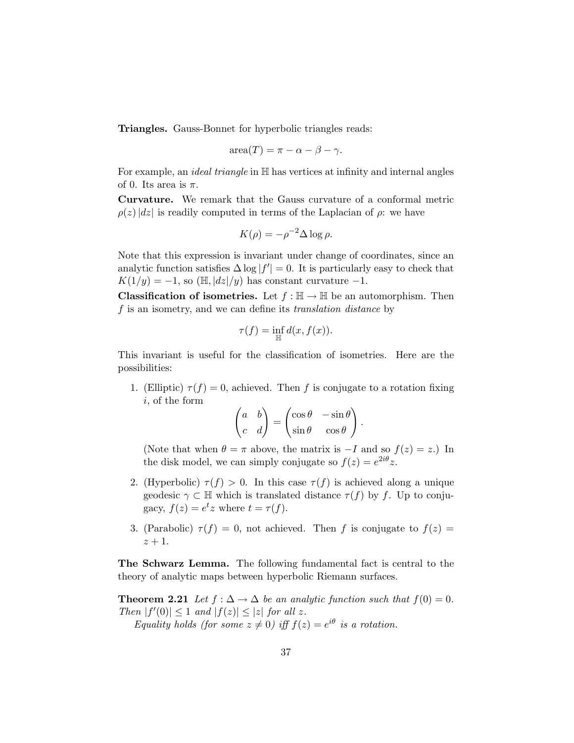Triangles. Gauss-Bonnet for hyperbolic triangles reads:

$$
\operatorname{area}(T) = \pi - \alpha - \beta - \gamma.
$$

For example, an *ideal triangle* in H has vertices at infinity and internal angles of 0. Its area is  $\pi$ .

Curvature. We remark that the Gauss curvature of a conformal metric  $\rho(z)|dz|$  is readily computed in terms of the Laplacian of  $\rho$ : we have

$$
K(\rho) = -\rho^{-2} \Delta \log \rho.
$$

Note that this expression is invariant under change of coordinates, since an analytic function satisfies  $\Delta \log |f'| = 0$ . It is particularly easy to check that  $K(1/y) = -1$ , so (H,  $|dz|/y$ ) has constant curvature -1.

**Classification of isometries.** Let  $f : \mathbb{H} \to \mathbb{H}$  be an automorphism. Then f is an isometry, and we can define its *translation distance* by

$$
\tau(f) = \inf_{\mathbb{H}} d(x, f(x)).
$$

This invariant is useful for the classification of isometries. Here are the possibilities:

1. (Elliptic)  $\tau(f) = 0$ , achieved. Then f is conjugate to a rotation fixing i, of the form

$$
\begin{pmatrix} a & b \\ c & d \end{pmatrix} = \begin{pmatrix} \cos \theta & -\sin \theta \\ \sin \theta & \cos \theta \end{pmatrix}.
$$

(Note that when  $\theta = \pi$  above, the matrix is  $-I$  and so  $f(z) = z$ .) In the disk model, we can simply conjugate so  $f(z) = e^{2i\theta}z$ .

- 2. (Hyperbolic)  $\tau(f) > 0$ . In this case  $\tau(f)$  is achieved along a unique geodesic  $\gamma \subset \mathbb{H}$  which is translated distance  $\tau(f)$  by f. Up to conjugacy,  $f(z) = e^t z$  where  $t = \tau(f)$ .
- 3. (Parabolic)  $\tau(f) = 0$ , not achieved. Then f is conjugate to  $f(z) =$  $z+1$ .

The Schwarz Lemma. The following fundamental fact is central to the theory of analytic maps between hyperbolic Riemann surfaces.

**Theorem 2.21** *Let*  $f : \Delta \to \Delta$  *be an analytic function such that*  $f(0) = 0$ *. Then*  $|f'(0)| \leq 1$  *and*  $|f(z)| \leq |z|$  *for all z*. *Equality holds (for some*  $z \neq 0$ ) *iff*  $f(z) = e^{i\theta}$  *is a rotation.*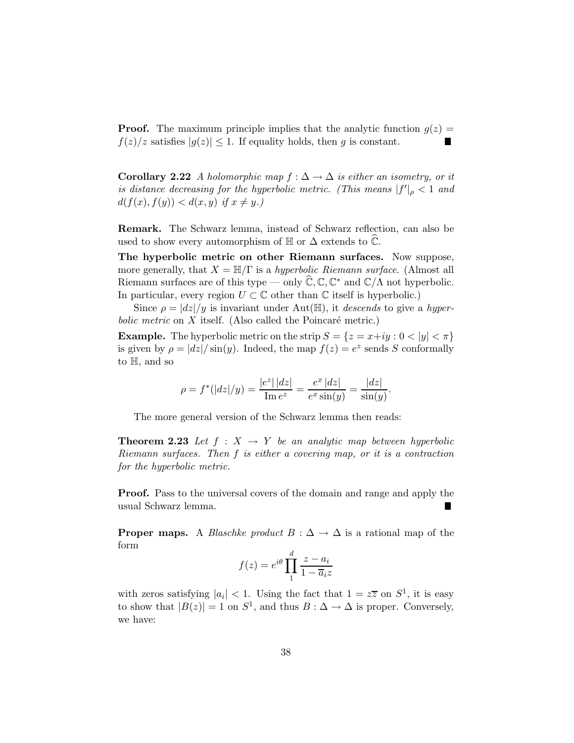**Proof.** The maximum principle implies that the analytic function  $g(z)$  =  $f(z)/z$  satisfies  $|g(z)| \leq 1$ . If equality holds, then g is constant. п

Corollary 2.22 *A holomorphic map*  $f : ∆ → ∆$  *is either an isometry, or it is distance decreasing for the hyperbolic metric. (This means*  $|f'|_{\rho} < 1$  *and*  $d(f(x), f(y)) < d(x, y)$  if  $x \neq y$ .

Remark. The Schwarz lemma, instead of Schwarz reflection, can also be used to show every automorphism of  $\mathbb H$  or  $\Delta$  extends to  $\mathbb C$ .

The hyperbolic metric on other Riemann surfaces. Now suppose, more generally, that  $X = \mathbb{H}/\Gamma$  is a *hyperbolic Riemann surface*. (Almost all Riemann surfaces are of this type — only  $\hat{\mathbb{C}}, \mathbb{C}, \mathbb{C}^*$  and  $\mathbb{C}/\Lambda$  not hyperbolic. In particular, every region  $U \subset \mathbb{C}$  other than  $\mathbb{C}$  itself is hyperbolic.)

Since  $\rho = |dz|/y$  is invariant under Aut( $\mathbb{H}$ ), it *descends* to give a *hyper* $bolic$   $metric$  on  $X$  itself. (Also called the Poincaré metric.)

**Example.** The hyperbolic metric on the strip  $S = \{z = x+iy : 0 < |y| < \pi\}$ is given by  $\rho = |dz| / \sin(y)$ . Indeed, the map  $f(z) = e^z$  sends S conformally to H, and so

$$
\rho = f^*(|dz|/y) = \frac{|e^z| |dz|}{\text{Im }e^z} = \frac{e^x |dz|}{e^x \sin(y)} = \frac{|dz|}{\sin(y)}.
$$

The more general version of the Schwarz lemma then reads:

**Theorem 2.23** Let  $f : X \to Y$  be an analytic map between hyperbolic *Riemann surfaces. Then* f *is either a covering map, or it is a contraction for the hyperbolic metric.*

Proof. Pass to the universal covers of the domain and range and apply the usual Schwarz lemma.

**Proper maps.** A *Blaschke product*  $B : \Delta \to \Delta$  is a rational map of the form

$$
f(z) = e^{i\theta} \prod_{1}^{d} \frac{z - a_i}{1 - \overline{a}_i z}
$$

with zeros satisfying  $|a_i| < 1$ . Using the fact that  $1 = z\overline{z}$  on  $S^1$ , it is easy to show that  $|B(z)| = 1$  on  $S^1$ , and thus  $B : \Delta \to \Delta$  is proper. Conversely, we have: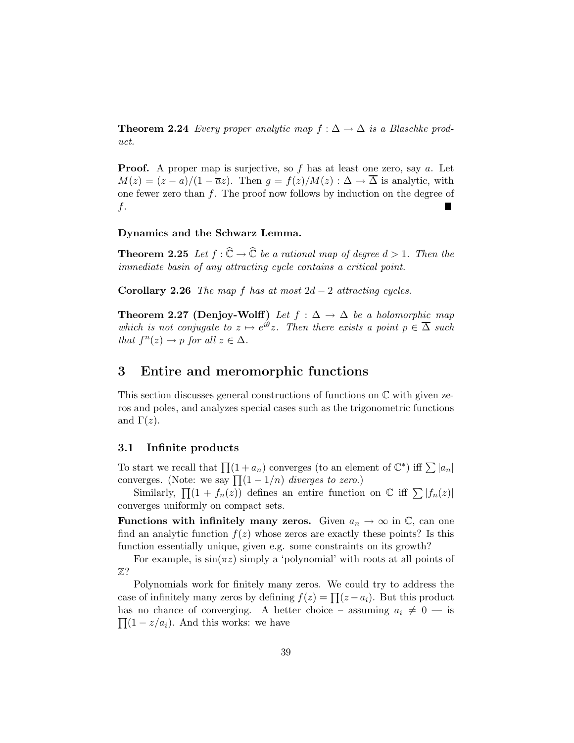**Theorem 2.24** *Every proper analytic map*  $f : \Delta \to \Delta$  *is a Blaschke product.*

**Proof.** A proper map is surjective, so  $f$  has at least one zero, say  $a$ . Let  $M(z) = (z - a)/(1 - \overline{a}z)$ . Then  $g = f(z)/M(z) : \Delta \to \overline{\Delta}$  is analytic, with one fewer zero than  $f$ . The proof now follows by induction on the degree of f.

### Dynamics and the Schwarz Lemma.

**Theorem 2.25** Let  $f : \hat{\mathbb{C}} \to \hat{\mathbb{C}}$  be a rational map of degree  $d > 1$ . Then the *immediate basin of any attracting cycle contains a critical point.*

Corollary 2.26 *The map* f *has at most*  $2d - 2$  *attracting cycles.* 

**Theorem 2.27 (Denjoy-Wolff)** *Let*  $f : \Delta \rightarrow \Delta$  *be a holomorphic map which is not conjugate to*  $z \mapsto e^{i\theta}z$ . Then there exists a point  $p \in \overline{\Delta}$  such *that*  $f^{n}(z) \rightarrow p$  *for all*  $z \in \Delta$ *.* 

## 3 Entire and meromorphic functions

This section discusses general constructions of functions on  $\mathbb C$  with given zeros and poles, and analyzes special cases such as the trigonometric functions and  $\Gamma(z)$ .

### 3.1 Infinite products

To start we recall that  $\prod_{n=1}^{\infty} (1 + a_n)$  converges (to an element of  $\mathbb{C}^*$ ) iff  $\sum |a_n|$ converges. (Note: we say  $\prod_{n=1}^{n} (1 - 1/n)$  *diverges to zero.*)

Similarly,  $\prod(1 + f_n(z))$  defines an entire function on  $\mathbb{C}$  iff  $\sum |f_n(z)|$ converges uniformly on compact sets.

Functions with infinitely many zeros. Given  $a_n \to \infty$  in  $\mathbb{C}$ , can one find an analytic function  $f(z)$  whose zeros are exactly these points? Is this function essentially unique, given e.g. some constraints on its growth?

For example, is  $sin(\pi z)$  simply a 'polynomial' with roots at all points of  $\mathbb{Z}$ ?

Polynomials work for finitely many zeros. We could try to address the case of infinitely many zeros by defining  $f(z) = \prod (z - a_i)$ . But this product has no chance of converging. A better choice – assuming  $a_i \neq 0$  — is  $\prod (1 - z/a_i)$ . And this works: we have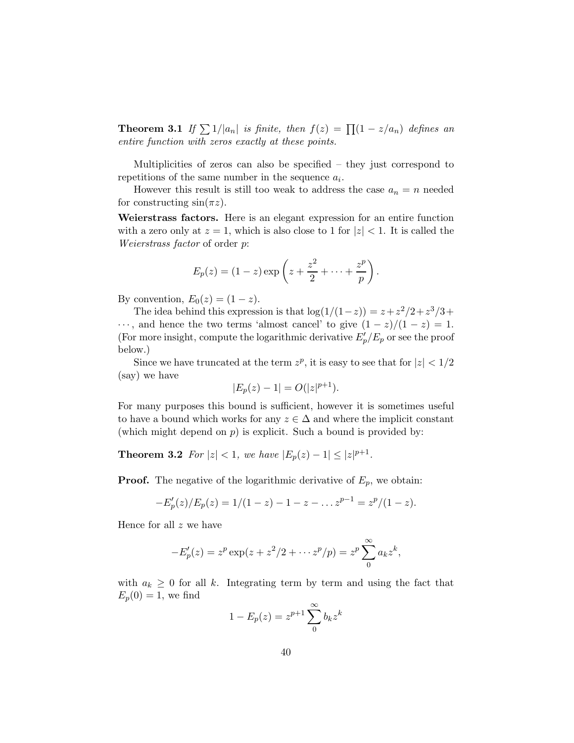**Theorem 3.1** *If*  $\sum 1/|a_n|$  *is finite, then*  $f(z) = \prod (1 - z/a_n)$  *defines an entire function with zeros exactly at these points.*

Multiplicities of zeros can also be specified – they just correspond to repetitions of the same number in the sequence  $a_i$ .

However this result is still too weak to address the case  $a_n = n$  needed for constructing  $sin(\pi z)$ .

Weierstrass factors. Here is an elegant expression for an entire function with a zero only at  $z = 1$ , which is also close to 1 for  $|z| < 1$ . It is called the *Weierstrass factor* of order p:

$$
E_p(z) = (1 - z) \exp\left(z + \frac{z^2}{2} + \dots + \frac{z^p}{p}\right).
$$

By convention,  $E_0(z) = (1 - z)$ .

The idea behind this expression is that  $\log(1/(1-z)) = z + z^2/2 + z^3/3 + z^4$  $\cdots$ , and hence the two terms 'almost cancel' to give  $(1-z)/(1-z) = 1$ . (For more insight, compute the logarithmic derivative  $E'_p/E_p$  or see the proof below.)

Since we have truncated at the term  $z^p$ , it is easy to see that for  $|z| < 1/2$ (say) we have

$$
|E_p(z) - 1| = O(|z|^{p+1}).
$$

For many purposes this bound is sufficient, however it is sometimes useful to have a bound which works for any  $z \in \Delta$  and where the implicit constant (which might depend on  $p$ ) is explicit. Such a bound is provided by:

**Theorem 3.2** *For*  $|z| < 1$ *, we have*  $|E_p(z) - 1| \le |z|^{p+1}$ *.* 

**Proof.** The negative of the logarithmic derivative of  $E_p$ , we obtain:

$$
-E'_p(z)/E_p(z) = 1/(1-z) - 1 - z - \dots z^{p-1} = z^p/(1-z).
$$

Hence for all  $z$  we have

$$
-E'_p(z) = z^p \exp(z + z^2/2 + \cdots z^p/p) = z^p \sum_0^{\infty} a_k z^k,
$$

with  $a_k \geq 0$  for all k. Integrating term by term and using the fact that  $E_p(0) = 1$ , we find

$$
1 - E_p(z) = z^{p+1} \sum_0^{\infty} b_k z^k
$$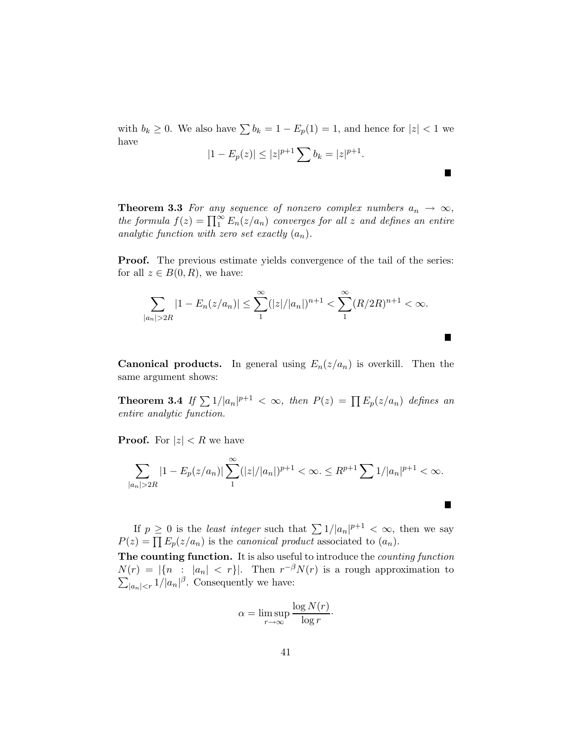with  $b_k \geq 0$ . We also have  $\sum b_k = 1 - E_p(1) = 1$ , and hence for  $|z| < 1$  we have

$$
|1 - E_p(z)| \le |z|^{p+1} \sum b_k = |z|^{p+1}.
$$

П

 $\blacksquare$ 

∎

**Theorem 3.3** *For any sequence of nonzero complex numbers*  $a_n \rightarrow \infty$ *, the formula*  $f(z) = \prod_{1}^{\infty} E_n(z/a_n)$  *converges for all* z *and defines an entire analytic function with zero set exactly*  $(a_n)$ *.* 

**Proof.** The previous estimate yields convergence of the tail of the series: for all  $z \in B(0, R)$ , we have:

$$
\sum_{|a_n|>2R} |1 - E_n(z/a_n)| \le \sum_{n=1}^{\infty} (|z|/|a_n|)^{n+1} < \sum_{n=1}^{\infty} (R/2R)^{n+1} < \infty.
$$

**Canonical products.** In general using  $E_n(z/a_n)$  is overkill. Then the same argument shows:

**Theorem 3.4** If  $\sum 1/|a_n|^{p+1} < \infty$ , then  $P(z) = \prod E_p(z/a_n)$  defines an *entire analytic function.*

**Proof.** For  $|z| < R$  we have

$$
\sum_{|a_n|>2R} |1 - E_p(z/a_n)| \sum_{1}^{\infty} (|z|/|a_n|)^{p+1} < \infty. \leq R^{p+1} \sum_{n} 1/|a_n|^{p+1} < \infty.
$$

If  $p \geq 0$  is the *least integer* such that  $\sum 1/|a_n|^{p+1} < \infty$ , then we say  $P(z) = \prod E_p(z/a_n)$  is the *canonical product* associated to  $(a_n)$ .

The counting function. It is also useful to introduce the *counting function*  $N(r) = |\{n : |a_n| < r\}|.$  Then r  $\sum$  $-\beta N(r)$  is a rough approximation to  $|a_n| < r 1/|a_n|^{\beta}$ . Consequently we have:

$$
\alpha = \limsup_{r \to \infty} \frac{\log N(r)}{\log r}.
$$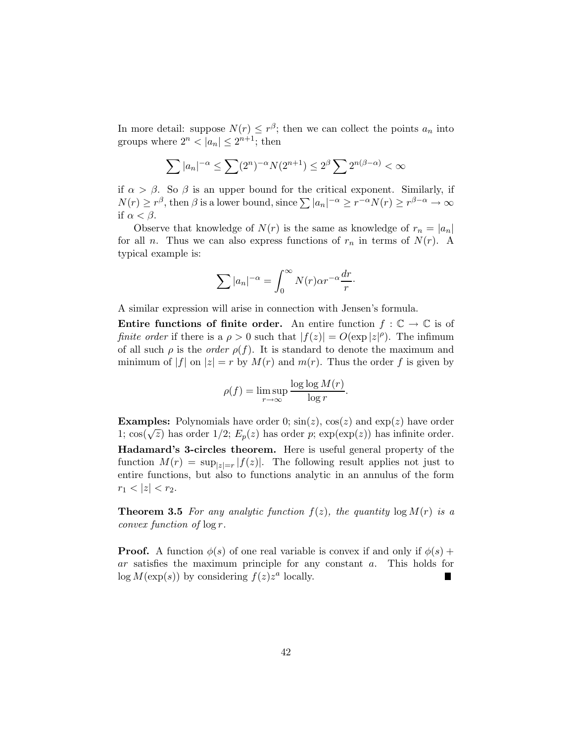In more detail: suppose  $N(r) \leq r^{\beta}$ ; then we can collect the points  $a_n$  into groups where  $2^n < |a_n| \leq 2^{n+1}$ ; then

$$
\sum |a_n|^{-\alpha} \le \sum (2^n)^{-\alpha} N(2^{n+1}) \le 2^{\beta} \sum 2^{n(\beta-\alpha)} < \infty
$$

if  $\alpha > \beta$ . So  $\beta$  is an upper bound for the critical exponent. Similarly, if  $N(r) \ge r^{\beta}$ , then  $\beta$  is a lower bound, since  $\sum |a_n|^{-\alpha} \ge r^{-\alpha} N(r) \ge r^{\beta-\alpha} \to \infty$ if  $\alpha < \beta$ .

Observe that knowledge of  $N(r)$  is the same as knowledge of  $r_n = |a_n|$ for all *n*. Thus we can also express functions of  $r_n$  in terms of  $N(r)$ . A typical example is:

$$
\sum |a_n|^{-\alpha} = \int_0^\infty N(r) \alpha r^{-\alpha} \frac{dr}{r}.
$$

A similar expression will arise in connection with Jensen's formula.

**Entire functions of finite order.** An entire function  $f : \mathbb{C} \to \mathbb{C}$  is of *finite order* if there is a  $\rho > 0$  such that  $|f(z)| = O(\exp|z|^\rho)$ . The infimum of all such  $\rho$  is the *order*  $\rho(f)$ . It is standard to denote the maximum and minimum of |f| on  $|z| = r$  by  $M(r)$  and  $m(r)$ . Thus the order f is given by

$$
\rho(f) = \limsup_{r \to \infty} \frac{\log \log M(r)}{\log r}.
$$

**Examples:** Polynomials have order 0;  $sin(z)$ ,  $cos(z)$  and  $exp(z)$  have order 1;  $\cos(\sqrt{z})$  has order 1/2;  $E_p(z)$  has order p;  $\exp(\exp(z))$  has infinite order. Hadamard's 3-circles theorem. Here is useful general property of the function  $M(r) = \sup_{|z|=r} |f(z)|$ . The following result applies not just to entire functions, but also to functions analytic in an annulus of the form  $r_1 < |z| < r_2$ .

**Theorem 3.5** For any analytic function  $f(z)$ , the quantity  $\log M(r)$  is a *convex function of* log r*.*

**Proof.** A function  $\phi(s)$  of one real variable is convex if and only if  $\phi(s)$  + ar satisfies the maximum principle for any constant a. This holds for  $log M(exp(s))$  by considering  $f(z)z^a$  locally.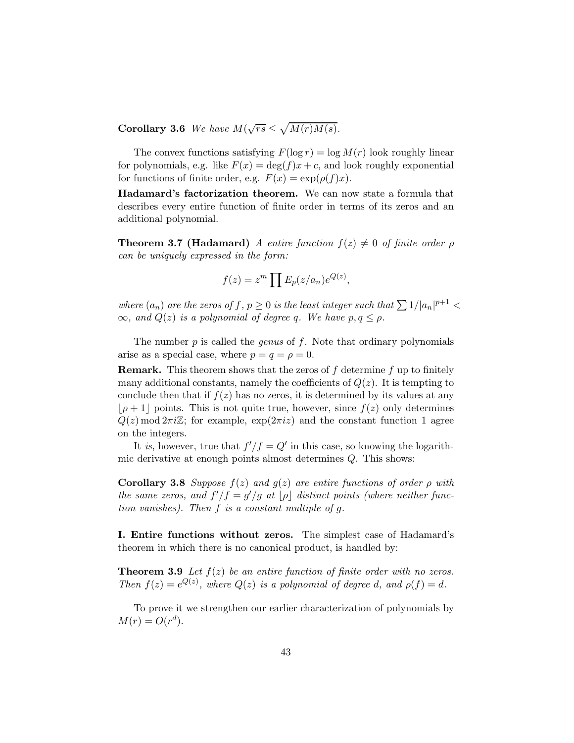Corollary 3.6 *We have*  $M(\sqrt{rs}) \leq \sqrt{M(r)M(s)}$ .

The convex functions satisfying  $F(\log r) = \log M(r)$  look roughly linear for polynomials, e.g. like  $F(x) = \deg(f)x + c$ , and look roughly exponential for functions of finite order, e.g.  $F(x) = \exp(\rho(f)x)$ .

Hadamard's factorization theorem. We can now state a formula that describes every entire function of finite order in terms of its zeros and an additional polynomial.

**Theorem 3.7 (Hadamard)** *A entire function*  $f(z) \neq 0$  *of finite order*  $\rho$ *can be uniquely expressed in the form:*

$$
f(z) = zm \prod E_p(z/a_n) e^{Q(z)},
$$

*where*  $(a_n)$  *are the zeros of*  $f, p \ge 0$  *is the least integer such that*  $\sum 1/|a_n|^{p+1}$  <  $\infty$ *, and*  $Q(z)$  *is a polynomial of degree q. We have*  $p, q \leq \rho$ *.* 

The number p is called the *genus* of f. Note that ordinary polynomials arise as a special case, where  $p = q = \rho = 0$ .

**Remark.** This theorem shows that the zeros of  $f$  determine  $f$  up to finitely many additional constants, namely the coefficients of  $Q(z)$ . It is tempting to conclude then that if  $f(z)$  has no zeros, it is determined by its values at any  $|\rho + 1|$  points. This is not quite true, however, since  $f(z)$  only determines  $Q(z) \mod 2\pi i \mathbb{Z}$ ; for example,  $\exp(2\pi i z)$  and the constant function 1 agree on the integers.

It *is*, however, true that  $f'/f = Q'$  in this case, so knowing the logarithmic derivative at enough points almost determines Q. This shows:

Corollary 3.8 *Suppose* f(z) *and* g(z) *are entire functions of order* ρ *with the same zeros, and*  $f'/f = g'/g$  *at*  $\lfloor \rho \rfloor$  *distinct points (where neither function vanishes). Then* f *is a constant multiple of* g*.*

I. Entire functions without zeros. The simplest case of Hadamard's theorem in which there is no canonical product, is handled by:

**Theorem 3.9** Let  $f(z)$  be an entire function of finite order with no zeros. *Then*  $f(z) = e^{Q(z)}$ *, where*  $Q(z)$  *is a polynomial of degree d, and*  $\rho(f) = d$ *.* 

To prove it we strengthen our earlier characterization of polynomials by  $M(r) = O(r^d).$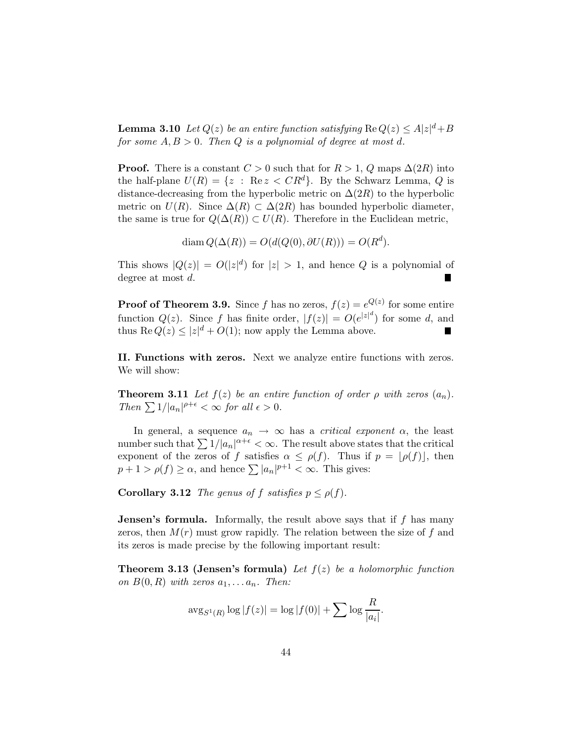**Lemma 3.10** *Let*  $Q(z)$  *be an entire function satisfying*  $\text{Re } Q(z) \leq A|z|^d + B$ *for some*  $A, B > 0$ *. Then*  $Q$  *is a polynomial of degree at most d.* 

**Proof.** There is a constant  $C > 0$  such that for  $R > 1$ , Q maps  $\Delta(2R)$  into the half-plane  $U(R) = \{z : \text{Re } z < CR^d\}$ . By the Schwarz Lemma, Q is distance-decreasing from the hyperbolic metric on  $\Delta(2R)$  to the hyperbolic metric on  $U(R)$ . Since  $\Delta(R) \subset \Delta(2R)$  has bounded hyperbolic diameter, the same is true for  $Q(\Delta(R)) \subset U(R)$ . Therefore in the Euclidean metric,

$$
\operatorname{diam} Q(\Delta(R)) = O(d(Q(0), \partial U(R))) = O(R^d).
$$

This shows  $|Q(z)| = O(|z|^d)$  for  $|z| > 1$ , and hence Q is a polynomial of degree at most d.

**Proof of Theorem 3.9.** Since f has no zeros,  $f(z) = e^{Q(z)}$  for some entire function  $Q(z)$ . Since f has finite order,  $|f(z)| = O(e^{|z|^d})$  for some d, and thus  $\text{Re } Q(z) \leq |z|^d + O(1)$ ; now apply the Lemma above. Г

II. Functions with zeros. Next we analyze entire functions with zeros. We will show:

**Theorem 3.11** *Let*  $f(z)$  *be an entire function of order*  $\rho$  *with zeros*  $(a_n)$ *. Then*  $\sum 1/|a_n|^{\rho+\epsilon} < \infty$  *for all*  $\epsilon > 0$ *.* 

In general, a sequence  $a_n \to \infty$  has a *critical exponent*  $\alpha$ , the least number such that  $\sum 1/|a_n|^{\alpha+\epsilon} < \infty$ . The result above states that the critical exponent of the zeros of f satisfies  $\alpha \leq \rho(f)$ . Thus if  $p = |\rho(f)|$ , then  $p + 1 > \rho(f) \ge \alpha$ , and hence  $\sum |a_n|^{p+1} < \infty$ . This gives:

**Corollary 3.12** *The genus of* f *satisfies*  $p \leq \rho(f)$ *.* 

**Jensen's formula.** Informally, the result above says that if  $f$  has many zeros, then  $M(r)$  must grow rapidly. The relation between the size of f and its zeros is made precise by the following important result:

Theorem 3.13 (Jensen's formula) *Let* f(z) *be a holomorphic function on*  $B(0, R)$  *with zeros*  $a_1, \ldots, a_n$ . *Then:* 

$$
\arg_{S^1(R)} \log |f(z)| = \log |f(0)| + \sum \log \frac{R}{|a_i|}.
$$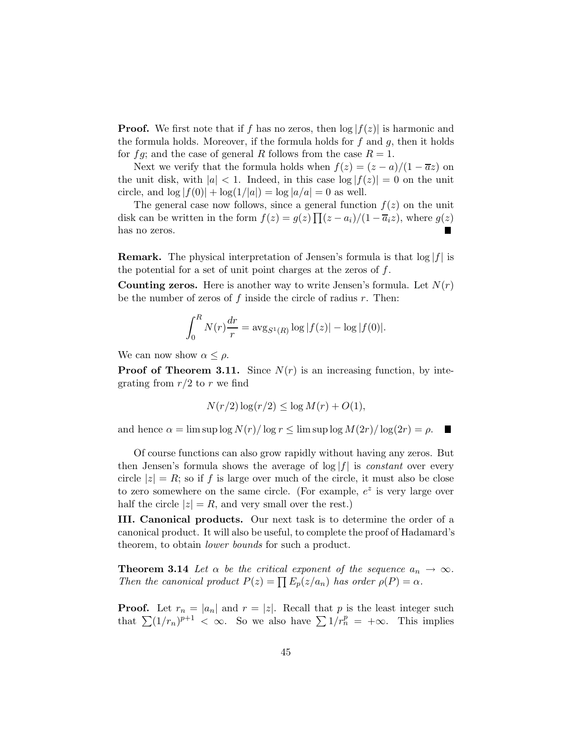**Proof.** We first note that if f has no zeros, then  $\log|f(z)|$  is harmonic and the formula holds. Moreover, if the formula holds for  $f$  and  $g$ , then it holds for fg; and the case of general R follows from the case  $R = 1$ .

Next we verify that the formula holds when  $f(z) = (z - a)/(1 - \overline{a}z)$  on the unit disk, with  $|a| < 1$ . Indeed, in this case  $\log |f(z)| = 0$  on the unit circle, and  $\log |f(0)| + \log(1/|a|) = \log |a/a| = 0$  as well.

The general case now follows, since a general function  $f(z)$  on the unit disk can be written in the form  $f(z) = g(z) \prod (z - a_i)/(1 - \overline{a}_i z)$ , where  $g(z)$ has no zeros.

**Remark.** The physical interpretation of Jensen's formula is that  $\log|f|$  is the potential for a set of unit point charges at the zeros of  $f$ .

**Counting zeros.** Here is another way to write Jensen's formula. Let  $N(r)$ be the number of zeros of  $f$  inside the circle of radius  $r$ . Then:

$$
\int_0^R N(r) \frac{dr}{r} = \arg_{S^1(R)} \log |f(z)| - \log |f(0)|.
$$

We can now show  $\alpha \leq \rho$ .

**Proof of Theorem 3.11.** Since  $N(r)$  is an increasing function, by integrating from  $r/2$  to r we find

$$
N(r/2)\log(r/2) \leq \log M(r) + O(1),
$$

and hence  $\alpha = \limsup \log N(r)/\log r \leq \limsup \log M(2r)/\log(2r) = \rho$ .

Of course functions can also grow rapidly without having any zeros. But then Jensen's formula shows the average of log |f| is *constant* over every circle  $|z| = R$ ; so if f is large over much of the circle, it must also be close to zero somewhere on the same circle. (For example,  $e^z$  is very large over half the circle  $|z| = R$ , and very small over the rest.)

III. Canonical products. Our next task is to determine the order of a canonical product. It will also be useful, to complete the proof of Hadamard's theorem, to obtain *lower bounds* for such a product.

**Theorem 3.14** Let  $\alpha$  be the critical exponent of the sequence  $a_n \to \infty$ . *Then the canonical product*  $P(z) = \prod E_p(z/a_n)$  *has order*  $\rho(P) = \alpha$ *.* 

**Proof.** Let  $r_n = |a_n|$  and  $r = |z|$ . Recall that p is the least integer such that  $\sum (1/r_n)^{p+1} < \infty$ . So we also have  $\sum 1/r_n^p = +\infty$ . This implies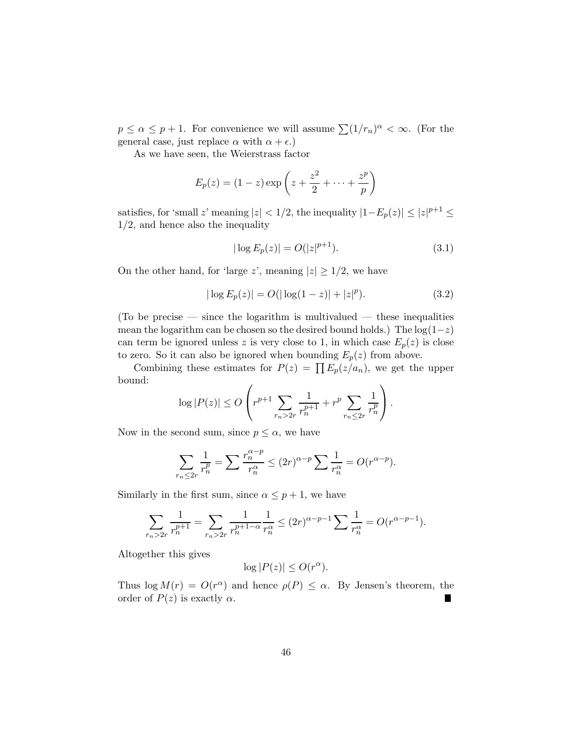$p \le \alpha \le p+1$ . For convenience we will assume  $\sum (1/r_n)^{\alpha} < \infty$ . (For the general case, just replace  $\alpha$  with  $\alpha + \epsilon$ .)

As we have seen, the Weierstrass factor

$$
E_p(z) = (1-z)\exp\left(z + \frac{z^2}{2} + \dots + \frac{z^p}{p}\right)
$$

satisfies, for 'small z' meaning  $|z| < 1/2$ , the inequality  $|1 - E_p(z)| \le |z|^{p+1} \le$ 1/2, and hence also the inequality

$$
|\log E_p(z)| = O(|z|^{p+1}).\tag{3.1}
$$

On the other hand, for 'large z', meaning  $|z| \geq 1/2$ , we have

$$
|\log E_p(z)| = O(|\log(1-z)| + |z|^p). \tag{3.2}
$$

(To be precise — since the logarithm is multivalued — these inequalities mean the logarithm can be chosen so the desired bound holds.) The  $log(1-z)$ can term be ignored unless z is very close to 1, in which case  $E_p(z)$  is close to zero. So it can also be ignored when bounding  $E_p(z)$  from above.

Combining these estimates for  $P(z) = \prod E_p(z/a_n)$ , we get the upper bound:

$$
\log |P(z)| \le O\left(r^{p+1} \sum_{r_n > 2r} \frac{1}{r_n^{p+1}} + r^p \sum_{r_n \le 2r} \frac{1}{r_n^p}\right).
$$

Now in the second sum, since  $p \leq \alpha$ , we have

$$
\sum_{r_n \le 2r} \frac{1}{r_n^p} = \sum \frac{r_n^{\alpha - p}}{r_n^{\alpha}} \le (2r)^{\alpha - p} \sum \frac{1}{r_n^{\alpha}} = O(r^{\alpha - p}).
$$

Similarly in the first sum, since  $\alpha \leq p+1$ , we have

$$
\sum_{r_n > 2r} \frac{1}{r_n^{p+1}} = \sum_{r_n > 2r} \frac{1}{r_n^{p+1-\alpha}} \frac{1}{r_n^{\alpha}} \le (2r)^{\alpha - p - 1} \sum \frac{1}{r_n^{\alpha}} = O(r^{\alpha - p - 1}).
$$

Altogether this gives

$$
\log |P(z)| \leq O(r^{\alpha}).
$$

Thus  $\log M(r) = O(r^{\alpha})$  and hence  $\rho(P) \leq \alpha$ . By Jensen's theorem, the order of  $P(z)$  is exactly  $\alpha$ .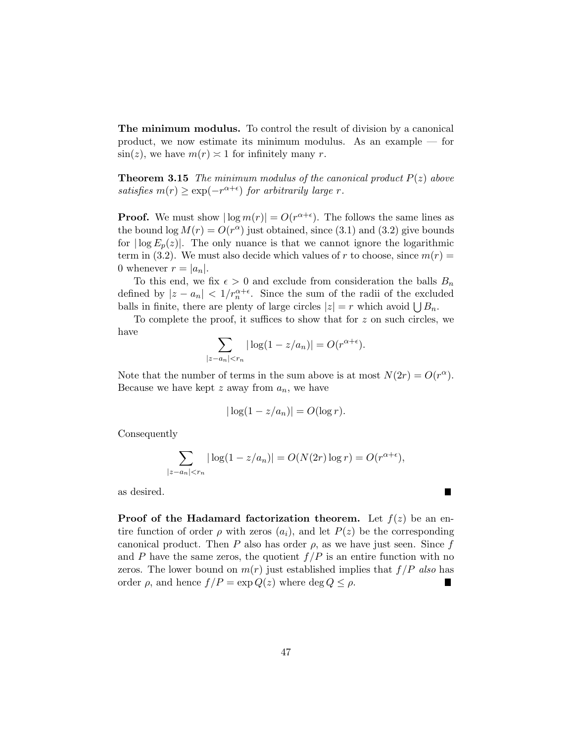The minimum modulus. To control the result of division by a canonical product, we now estimate its minimum modulus. As an example — for  $\sin(z)$ , we have  $m(r) \approx 1$  for infinitely many r.

**Theorem 3.15** *The minimum modulus of the canonical product*  $P(z)$  *above satisfies*  $m(r) \geq \exp(-r^{\alpha+\epsilon})$  *for arbitrarily large r.* 

**Proof.** We must show  $|\log m(r)| = O(r^{\alpha+\epsilon})$ . The follows the same lines as the bound  $\log M(r) = O(r^{\alpha})$  just obtained, since (3.1) and (3.2) give bounds for  $|\log E_p(z)|$ . The only nuance is that we cannot ignore the logarithmic term in (3.2). We must also decide which values of r to choose, since  $m(r)$  = 0 whenever  $r = |a_n|$ .

To this end, we fix  $\epsilon > 0$  and exclude from consideration the balls  $B_n$ defined by  $|z - a_n| < 1/r_n^{\alpha + \epsilon}$ . Since the sum of the radii of the excluded balls in finite, there are plenty of large circles  $|z| = r$  which avoid  $\bigcup B_n$ .

To complete the proof, it suffices to show that for z on such circles, we have

$$
\sum_{|z-a_n|< r_n} |\log(1-z/a_n)| = O(r^{\alpha+\epsilon}).
$$

Note that the number of terms in the sum above is at most  $N(2r) = O(r^{\alpha})$ . Because we have kept z away from  $a_n$ , we have

$$
|\log(1 - z/a_n)| = O(\log r).
$$

Consequently

$$
\sum_{|z-a_n|< r_n} |\log(1-z/a_n)| = O(N(2r)\log r) = O(r^{\alpha+\epsilon}),
$$

П

as desired.

**Proof of the Hadamard factorization theorem.** Let  $f(z)$  be an entire function of order  $\rho$  with zeros  $(a_i)$ , and let  $P(z)$  be the corresponding canonical product. Then P also has order  $\rho$ , as we have just seen. Since f and P have the same zeros, the quotient  $f/P$  is an entire function with no zeros. The lower bound on  $m(r)$  just established implies that  $f/P$  *also* has order  $\rho$ , and hence  $f/P = \exp Q(z)$  where deg  $Q \leq \rho$ . H.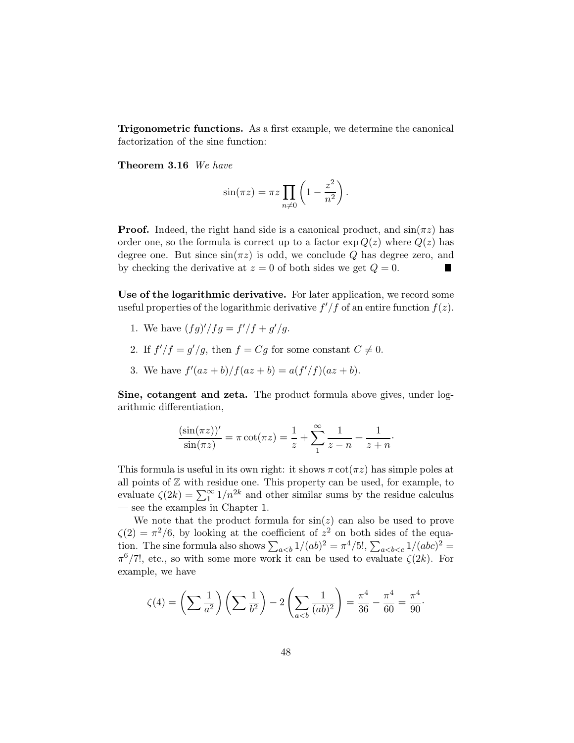Trigonometric functions. As a first example, we determine the canonical factorization of the sine function:

Theorem 3.16 *We have*

$$
\sin(\pi z) = \pi z \prod_{n \neq 0} \left( 1 - \frac{z^2}{n^2} \right).
$$

**Proof.** Indeed, the right hand side is a canonical product, and  $\sin(\pi z)$  has order one, so the formula is correct up to a factor  $\exp Q(z)$  where  $Q(z)$  has degree one. But since  $\sin(\pi z)$  is odd, we conclude Q has degree zero, and by checking the derivative at  $z = 0$  of both sides we get  $Q = 0$ .

Use of the logarithmic derivative. For later application, we record some useful properties of the logarithmic derivative  $f'/f$  of an entire function  $f(z)$ .

- 1. We have  $(fg)'/fg = f'/f + g'/g$ .
- 2. If  $f'/f = g'/g$ , then  $f = Cg$  for some constant  $C \neq 0$ .
- 3. We have  $f'(az + b)/f(az + b) = a(f'/f)(az + b)$ .

Sine, cotangent and zeta. The product formula above gives, under logarithmic differentiation,

$$
\frac{(\sin(\pi z))'}{\sin(\pi z)} = \pi \cot(\pi z) = \frac{1}{z} + \sum_{1}^{\infty} \frac{1}{z - n} + \frac{1}{z + n}.
$$

This formula is useful in its own right: it shows  $\pi \cot(\pi z)$  has simple poles at all points of  $\mathbb Z$  with residue one. This property can be used, for example, to evaluate  $\zeta(2k) = \sum_{1}^{\infty} 1/n^{2k}$  and other similar sums by the residue calculus — see the examples in Chapter 1.

We note that the product formula for  $sin(z)$  can also be used to prove  $\zeta(2) = \pi^2/6$ , by looking at the coefficient of  $z^2$  on both sides of the equation. The sine formula also shows  $\sum_{a,  $\sum_{a$$  $\pi^6/7!$ , etc., so with some more work it can be used to evaluate  $\zeta(2k)$ . For example, we have

$$
\zeta(4) = \left(\sum \frac{1}{a^2}\right) \left(\sum \frac{1}{b^2}\right) - 2 \left(\sum_{a < b} \frac{1}{(ab)^2}\right) = \frac{\pi^4}{36} - \frac{\pi^4}{60} = \frac{\pi^4}{90}.
$$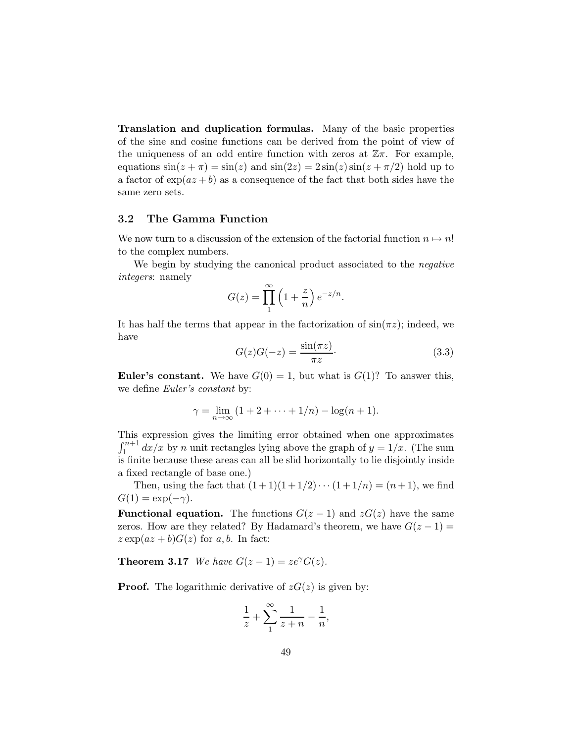Translation and duplication formulas. Many of the basic properties of the sine and cosine functions can be derived from the point of view of the uniqueness of an odd entire function with zeros at  $\mathbb{Z}\pi$ . For example, equations  $\sin(z + \pi) = \sin(z)$  and  $\sin(2z) = 2\sin(z)\sin(z + \pi/2)$  hold up to a factor of  $\exp(az + b)$  as a consequence of the fact that both sides have the same zero sets.

### 3.2 The Gamma Function

We now turn to a discussion of the extension of the factorial function  $n \mapsto n!$ to the complex numbers.

We begin by studying the canonical product associated to the *negative integers*: namely

$$
G(z) = \prod_{n=1}^{\infty} \left(1 + \frac{z}{n}\right) e^{-z/n}.
$$

It has half the terms that appear in the factorization of  $\sin(\pi z)$ ; indeed, we have

$$
G(z)G(-z) = \frac{\sin(\pi z)}{\pi z}.
$$
\n(3.3)

**Euler's constant.** We have  $G(0) = 1$ , but what is  $G(1)$ ? To answer this, we define *Euler's constant* by:

$$
\gamma = \lim_{n \to \infty} (1 + 2 + \dots + 1/n) - \log(n + 1).
$$

This expression gives the limiting error obtained when one approximates  $\int_1^{n+1} dx/x$  by n unit rectangles lying above the graph of  $y = 1/x$ . (The sum is finite because these areas can all be slid horizontally to lie disjointly inside a fixed rectangle of base one.)

Then, using the fact that  $(1+1)(1+1/2)\cdots(1+1/n) = (n+1)$ , we find  $G(1) = \exp(-\gamma).$ 

**Functional equation.** The functions  $G(z-1)$  and  $zG(z)$  have the same zeros. How are they related? By Hadamard's theorem, we have  $G(z-1)$  =  $z \exp(az + b)G(z)$  for a, b. In fact:

**Theorem 3.17** *We have*  $G(z-1) = ze^{\gamma}G(z)$ *.* 

**Proof.** The logarithmic derivative of  $zG(z)$  is given by:

$$
\frac{1}{z} + \sum_{1}^{\infty} \frac{1}{z+n} - \frac{1}{n},
$$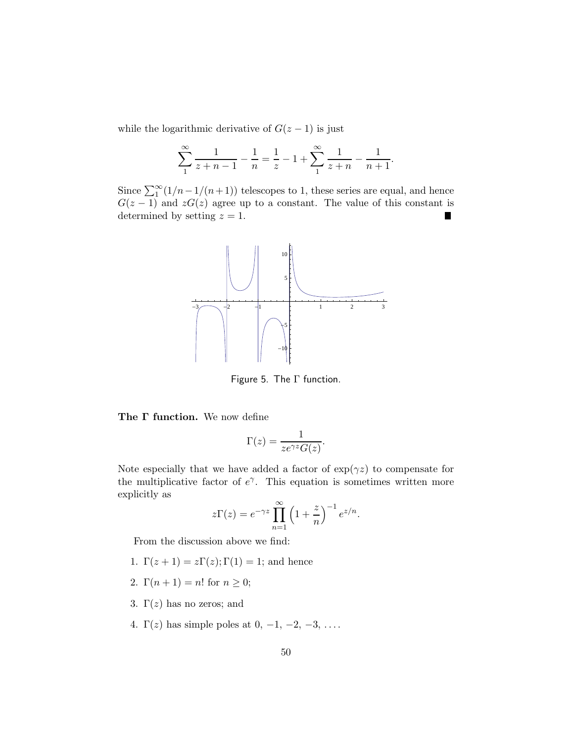while the logarithmic derivative of  $G(z-1)$  is just

$$
\sum_{1}^{\infty} \frac{1}{z+n-1} - \frac{1}{n} = \frac{1}{z} - 1 + \sum_{1}^{\infty} \frac{1}{z+n} - \frac{1}{n+1}.
$$

Since  $\sum_{1}^{\infty} (1/n - 1/(n+1))$  telescopes to 1, these series are equal, and hence  $G(z-1)$  and  $zG(z)$  agree up to a constant. The value of this constant is determined by setting  $z = 1$ .



Figure 5. The Γ function.

The Γ function. We now define

$$
\Gamma(z) = \frac{1}{ze^{\gamma z} G(z)}.
$$

Note especially that we have added a factor of  $\exp(\gamma z)$  to compensate for the multiplicative factor of  $e^{\gamma}$ . This equation is sometimes written more explicitly as

$$
z\Gamma(z) = e^{-\gamma z} \prod_{n=1}^{\infty} \left(1 + \frac{z}{n}\right)^{-1} e^{z/n}.
$$

From the discussion above we find:

- 1.  $\Gamma(z+1) = z\Gamma(z); \Gamma(1) = 1;$  and hence
- 2.  $\Gamma(n+1) = n!$  for  $n \geq 0$ ;
- 3.  $\Gamma(z)$  has no zeros; and
- 4.  $\Gamma(z)$  has simple poles at 0, -1, -2, -3, ....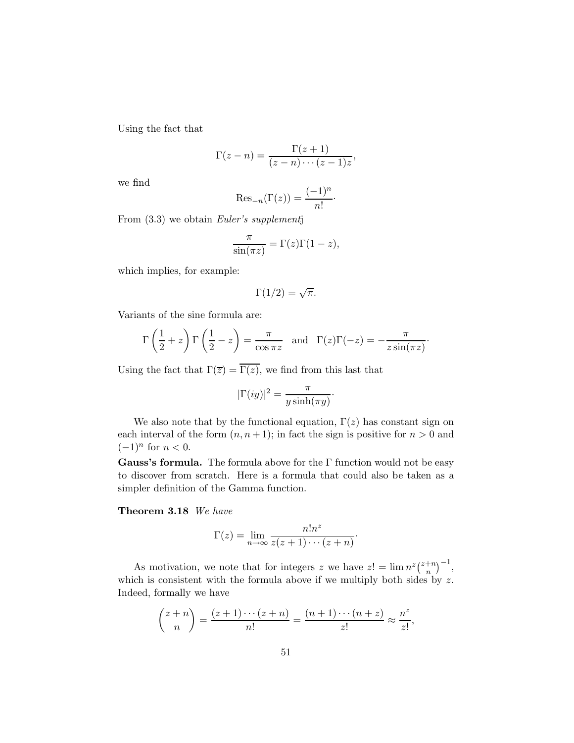Using the fact that

$$
\Gamma(z-n) = \frac{\Gamma(z+1)}{(z-n)\cdots(z-1)z},
$$

we find

$$
\mathrm{Res}_{-n}(\Gamma(z)) = \frac{(-1)^n}{n!} \cdot
$$

From (3.3) we obtain *Euler's supplement*j

$$
\frac{\pi}{\sin(\pi z)} = \Gamma(z)\Gamma(1-z),
$$

which implies, for example:

$$
\Gamma(1/2) = \sqrt{\pi}.
$$

Variants of the sine formula are:

$$
\Gamma\left(\frac{1}{2}+z\right)\Gamma\left(\frac{1}{2}-z\right) = \frac{\pi}{\cos \pi z}
$$
 and  $\Gamma(z)\Gamma(-z) = -\frac{\pi}{z\sin(\pi z)}$ .

Using the fact that  $\Gamma(\overline{z}) = \overline{\Gamma(z)}$ , we find from this last that

$$
|\Gamma(iy)|^2 = \frac{\pi}{y \sinh(\pi y)}.
$$

We also note that by the functional equation,  $\Gamma(z)$  has constant sign on each interval of the form  $(n, n+1)$ ; in fact the sign is positive for  $n > 0$  and  $(-1)^n$  for  $n < 0$ .

Gauss's formula. The formula above for the  $\Gamma$  function would not be easy to discover from scratch. Here is a formula that could also be taken as a simpler definition of the Gamma function.

Theorem 3.18 *We have*

$$
\Gamma(z) = \lim_{n \to \infty} \frac{n! n^z}{z(z+1) \cdots (z+n)}.
$$

As motivation, we note that for integers z we have  $z' = \lim_{n \to \infty} n^{z} \binom{z+n}{n}$  $\binom{+n}{n}^{-1},$ which is consistent with the formula above if we multiply both sides by  $z$ . Indeed, formally we have

$$
\binom{z+n}{n} = \frac{(z+1)\cdots(z+n)}{n!} = \frac{(n+1)\cdots(n+z)}{z!} \approx \frac{n^z}{z!},
$$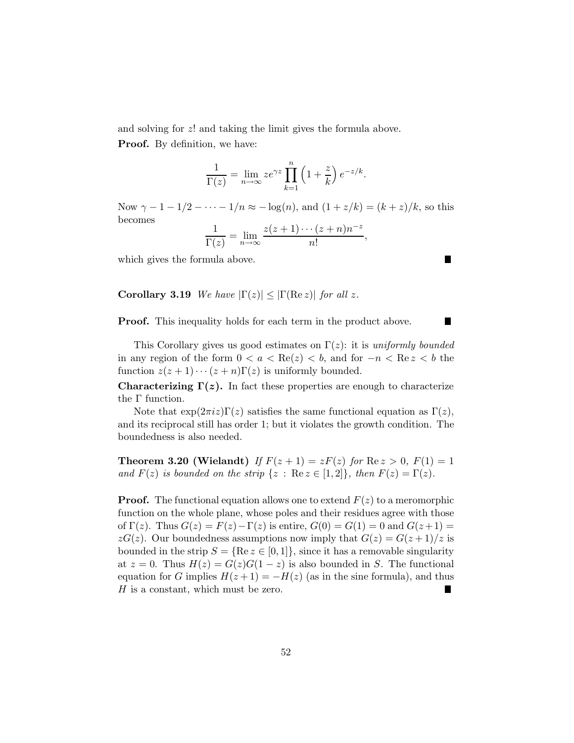and solving for z! and taking the limit gives the formula above. Proof. By definition, we have:

$$
\frac{1}{\Gamma(z)} = \lim_{n \to \infty} z e^{\gamma z} \prod_{k=1}^{n} \left( 1 + \frac{z}{k} \right) e^{-z/k}.
$$

Now  $\gamma - 1 - 1/2 - \cdots - 1/n \approx -\log(n)$ , and  $(1 + z/k) = (k + z)/k$ , so this becomes

$$
\frac{1}{\Gamma(z)} = \lim_{n \to \infty} \frac{z(z+1)\cdots(z+n)n^{-z}}{n!},
$$

П

П

which gives the formula above.

**Corollary 3.19** *We have*  $|\Gamma(z)| \leq |\Gamma(\text{Re } z)|$  *for all z.* 

**Proof.** This inequality holds for each term in the product above.

This Corollary gives us good estimates on  $\Gamma(z)$ : it is *uniformly bounded* in any region of the form  $0 < a < \text{Re}(z) < b$ , and for  $-n < \text{Re}(z) < b$  the function  $z(z + 1) \cdots (z + n) \Gamma(z)$  is uniformly bounded.

**Characterizing Γ(z).** In fact these properties are enough to characterize the Γ function.

Note that  $\exp(2\pi i z)\Gamma(z)$  satisfies the same functional equation as  $\Gamma(z)$ , and its reciprocal still has order 1; but it violates the growth condition. The boundedness is also needed.

**Theorem 3.20 (Wielandt)** *If*  $F(z + 1) = zF(z)$  *for*  $\text{Re } z > 0$ ,  $F(1) = 1$ *and*  $F(z)$  *is bounded on the strip*  $\{z : \text{Re } z \in [1,2]\},\$  *then*  $F(z) = \Gamma(z)$ *.* 

**Proof.** The functional equation allows one to extend  $F(z)$  to a meromorphic function on the whole plane, whose poles and their residues agree with those of  $\Gamma(z)$ . Thus  $G(z) = F(z) - \Gamma(z)$  is entire,  $G(0) = G(1) = 0$  and  $G(z+1) =$  $zG(z)$ . Our boundedness assumptions now imply that  $G(z) = G(z+1)/z$  is bounded in the strip  $S = \{ \text{Re } z \in [0,1] \}$ , since it has a removable singularity at  $z = 0$ . Thus  $H(z) = G(z)G(1 - z)$  is also bounded in S. The functional equation for G implies  $H(z+1) = -H(z)$  (as in the sine formula), and thus H is a constant, which must be zero. H is a constant, which must be zero.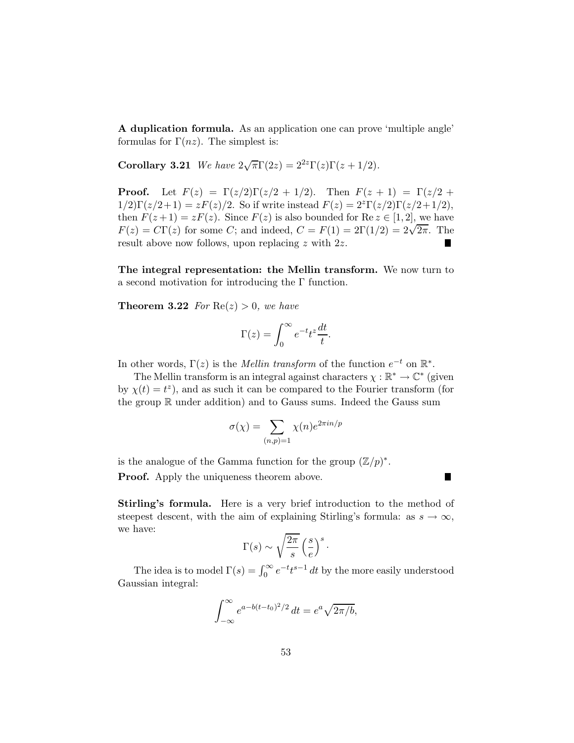A duplication formula. As an application one can prove 'multiple angle' formulas for  $\Gamma(nz)$ . The simplest is:

**Corollary 3.21** *We have*  $2\sqrt{\pi}\Gamma(2z) = 2^{2z}\Gamma(z)\Gamma(z + 1/2)$ *.* 

**Proof.** Let  $F(z) = \Gamma(z/2)\Gamma(z/2 + 1/2)$ . Then  $F(z + 1) = \Gamma(z/2 + 1/2)$ .  $1/2\Gamma(z/2+1) = zF(z)/2$ . So if write instead  $F(z) = 2^{z}\Gamma(z/2)\Gamma(z/2+1/2)$ , then  $F(z+1) = zF(z)$ . Since  $F(z)$  is also bounded for Re  $z \in [1,2]$ , we have  $F(z) = C\Gamma(z)$  for some C; and indeed,  $C = F(1) = 2\Gamma(1/2) = 2\sqrt{2\pi}$ . The result above now follows, upon replacing z with 2z.

The integral representation: the Mellin transform. We now turn to a second motivation for introducing the Γ function.

**Theorem 3.22** *For*  $Re(z) > 0$ *, we have* 

$$
\Gamma(z) = \int_0^\infty e^{-t} t^z \frac{dt}{t}.
$$

In other words,  $\Gamma(z)$  is the *Mellin transform* of the function  $e^{-t}$  on  $\mathbb{R}^*$ .

The Mellin transform is an integral against characters  $\chi : \mathbb{R}^* \to \mathbb{C}^*$  (given by  $\chi(t) = t^z$ ), and as such it can be compared to the Fourier transform (for the group  $\mathbb R$  under addition) and to Gauss sums. Indeed the Gauss sum

$$
\sigma(\chi)=\sum_{(n,p)=1}\chi(n)e^{2\pi in/p}
$$

is the analogue of the Gamma function for the group  $(\mathbb{Z}/p)^*$ .

**Proof.** Apply the uniqueness theorem above.

П

Stirling's formula. Here is a very brief introduction to the method of steepest descent, with the aim of explaining Stirling's formula: as  $s \to \infty$ , we have:

$$
\Gamma(s) \sim \sqrt{\frac{2\pi}{s}} \left(\frac{s}{e}\right)^s.
$$

The idea is to model  $\Gamma(s) = \int_0^\infty e^{-t} t^{s-1} dt$  by the more easily understood Gaussian integral:

$$
\int_{-\infty}^{\infty} e^{a - b(t - t_0)^2/2} dt = e^a \sqrt{2\pi/b},
$$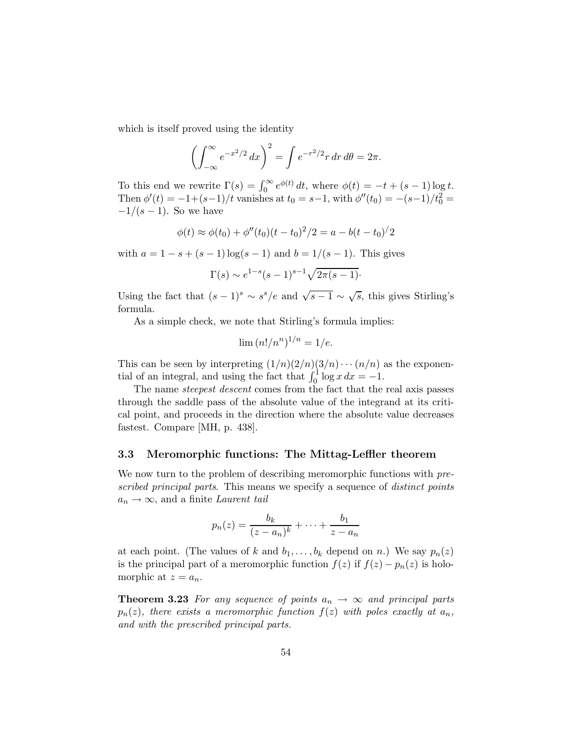which is itself proved using the identity

$$
\left(\int_{-\infty}^{\infty} e^{-x^2/2} dx\right)^2 = \int e^{-r^2/2} r dr d\theta = 2\pi.
$$

To this end we rewrite  $\Gamma(s) = \int_0^\infty e^{\phi(t)} dt$ , where  $\phi(t) = -t + (s-1) \log t$ . Then  $\phi'(t) = -1 + (s-1)/t$  vanishes at  $t_0 = s-1$ , with  $\phi''(t_0) = -(s-1)/t_0^2 =$  $-1/(s-1)$ . So we have

$$
\phi(t) \approx \phi(t_0) + \phi''(t_0)(t - t_0)^2/2 = a - b(t - t_0)^2/2
$$

with  $a = 1 - s + (s - 1) \log(s - 1)$  and  $b = 1/(s - 1)$ . This gives

$$
\Gamma(s) \sim e^{1-s}(s-1)^{s-1}\sqrt{2\pi(s-1)}
$$
.

Using the fact that  $(s-1)^s \sim s^s/e$  and  $\sqrt{s-1} \sim \sqrt{s}$ , this gives Stirling's formula.

As a simple check, we note that Stirling's formula implies:

$$
\lim (n!/n^n)^{1/n} = 1/e.
$$

This can be seen by interpreting  $(1/n)(2/n)(3/n) \cdots (n/n)$  as the exponential of an integral, and using the fact that  $\int_0^1 \log x \, dx = -1$ .

The name *steepest descent* comes from the fact that the real axis passes through the saddle pass of the absolute value of the integrand at its critical point, and proceeds in the direction where the absolute value decreases fastest. Compare [MH, p. 438].

#### 3.3 Meromorphic functions: The Mittag-Leffler theorem

We now turn to the problem of describing meromorphic functions with *prescribed principal parts*. This means we specify a sequence of *distinct points*  $a_n \rightarrow \infty$ , and a finite *Laurent tail* 

$$
p_n(z) = \frac{b_k}{(z-a_n)^k} + \dots + \frac{b_1}{z-a_n}
$$

at each point. (The values of k and  $b_1, \ldots, b_k$  depend on n.) We say  $p_n(z)$ is the principal part of a meromorphic function  $f(z)$  if  $f(z) - p_n(z)$  is holomorphic at  $z = a_n$ .

**Theorem 3.23** For any sequence of points  $a_n \to \infty$  and principal parts  $p_n(z)$ *, there exists a meromorphic function*  $f(z)$  *with poles exactly at*  $a_n$ *, and with the prescribed principal parts.*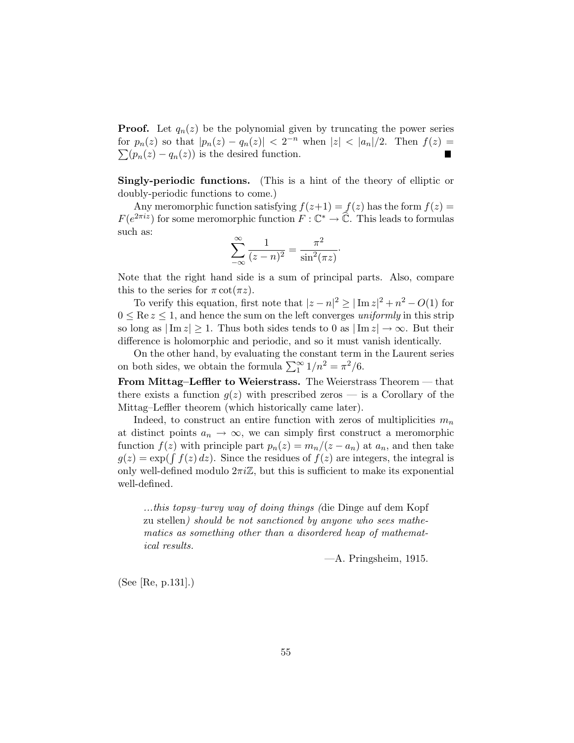**Proof.** Let  $q_n(z)$  be the polynomial given by truncating the power series for  $p_n(z)$  so that  $|p_n(z) - q_n(z)| < 2^{-n}$  when  $|z| < |a_n|/2$ . Then  $f(z) =$  $\sum (p_n(z) - q_n(z))$  is the desired function.

Singly-periodic functions. (This is a hint of the theory of elliptic or doubly-periodic functions to come.)

Any meromorphic function satisfying  $f(z+1) = f(z)$  has the form  $f(z) =$  $F(e^{2\pi i z})$  for some meromorphic function  $F: \mathbb{C}^* \to \widehat{\mathbb{C}}$ . This leads to formulas such as:

$$
\sum_{-\infty}^{\infty} \frac{1}{(z-n)^2} = \frac{\pi^2}{\sin^2(\pi z)}.
$$

Note that the right hand side is a sum of principal parts. Also, compare this to the series for  $\pi \cot(\pi z)$ .

To verify this equation, first note that  $|z - n|^2 \ge |\operatorname{Im} z|^2 + n^2 - O(1)$  for  $0 \leq Re z \leq 1$ , and hence the sum on the left converges *uniformly* in this strip so long as  $|\text{Im } z| \geq 1$ . Thus both sides tends to 0 as  $|\text{Im } z| \to \infty$ . But their difference is holomorphic and periodic, and so it must vanish identically.

On the other hand, by evaluating the constant term in the Laurent series on both sides, we obtain the formula  $\sum_{1}^{\infty} 1/n^2 = \pi^2/6$ .

From Mittag–Leffler to Weierstrass. The Weierstrass Theorem — that there exists a function  $g(z)$  with prescribed zeros — is a Corollary of the Mittag–Leffler theorem (which historically came later).

Indeed, to construct an entire function with zeros of multiplicities  $m_n$ at distinct points  $a_n \to \infty$ , we can simply first construct a meromorphic function  $f(z)$  with principle part  $p_n(z) = m_n/(z - a_n)$  at  $a_n$ , and then take  $g(z) = \exp(\int f(z) dz)$ . Since the residues of  $f(z)$  are integers, the integral is only well-defined modulo  $2\pi i\mathbb{Z}$ , but this is sufficient to make its exponential well-defined.

*...this topsy–turvy way of doing things (*die Dinge auf dem Kopf zu stellen*) should be not sanctioned by anyone who sees mathematics as something other than a disordered heap of mathematical results.*

—A. Pringsheim, 1915.

(See [Re, p.131].)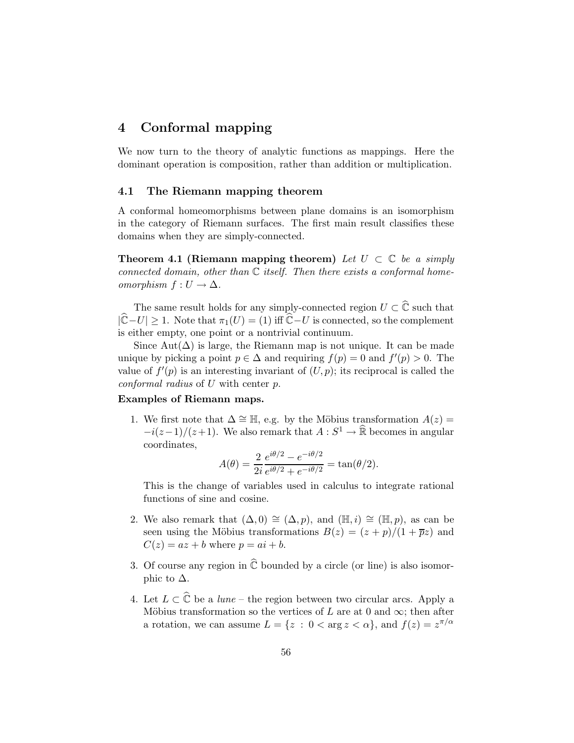# 4 Conformal mapping

We now turn to the theory of analytic functions as mappings. Here the dominant operation is composition, rather than addition or multiplication.

### 4.1 The Riemann mapping theorem

A conformal homeomorphisms between plane domains is an isomorphism in the category of Riemann surfaces. The first main result classifies these domains when they are simply-connected.

**Theorem 4.1 (Riemann mapping theorem)** Let  $U \subset \mathbb{C}$  be a simply *connected domain, other than* C *itself. Then there exists a conformal homeomorphism*  $f: U \to \Delta$ .

The same result holds for any simply-connected region  $U \subset \widehat{\mathbb{C}}$  such that  $|\widehat{\mathbb{C}}-U| \geq 1$ . Note that  $\pi_1(U) = (1)$  iff  $\widehat{\mathbb{C}}-U$  is connected, so the complement is either empty, one point or a nontrivial continuum.

Since Aut( $\Delta$ ) is large, the Riemann map is not unique. It can be made unique by picking a point  $p \in \Delta$  and requiring  $f(p) = 0$  and  $f'(p) > 0$ . The value of  $f'(p)$  is an interesting invariant of  $(U, p)$ ; its reciprocal is called the *conformal radius* of U with center p.

### Examples of Riemann maps.

1. We first note that  $\Delta \cong \mathbb{H}$ , e.g. by the Möbius transformation  $A(z)$  =  $-i(z-1)/(z+1)$ . We also remark that  $A: S^1 \to \mathbb{R}$  becomes in angular coordinates,

$$
A(\theta) = \frac{2}{2i} \frac{e^{i\theta/2} - e^{-i\theta/2}}{e^{i\theta/2} + e^{-i\theta/2}} = \tan(\theta/2).
$$

This is the change of variables used in calculus to integrate rational functions of sine and cosine.

- 2. We also remark that  $(\Delta, 0) \cong (\Delta, p)$ , and  $(\mathbb{H}, i) \cong (\mathbb{H}, p)$ , as can be seen using the Möbius transformations  $B(z) = (z + p)/(1 + \overline{p}z)$  and  $C(z) = az + b$  where  $p = ai + b$ .
- 3. Of course any region in  $\hat{\mathbb{C}}$  bounded by a circle (or line) is also isomorphic to  $\Delta$ .
- 4. Let  $L \subset \widehat{\mathbb{C}}$  be a *lune* the region between two circular arcs. Apply a Möbius transformation so the vertices of L are at 0 and  $\infty$ ; then after a rotation, we can assume  $L = \{z : 0 < \arg z < \alpha\}$ , and  $f(z) = z^{\pi/\alpha}$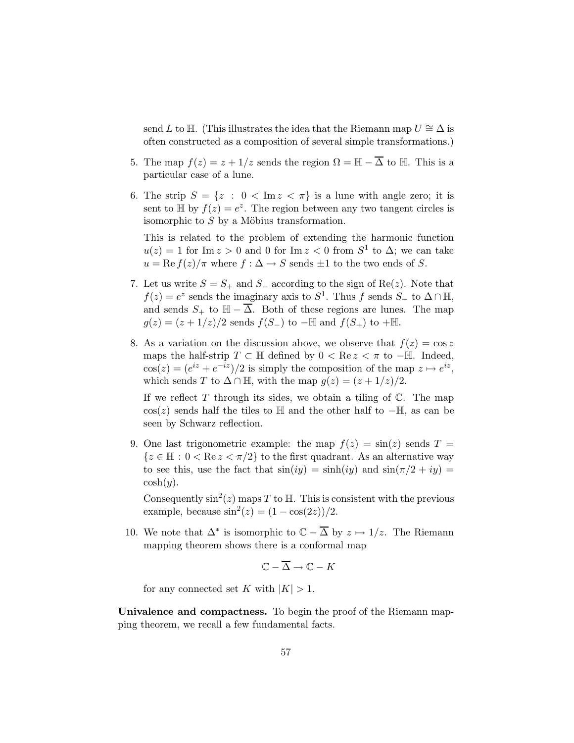send L to H. (This illustrates the idea that the Riemann map  $U \cong \Delta$  is often constructed as a composition of several simple transformations.)

- 5. The map  $f(z) = z + 1/z$  sends the region  $\Omega = \mathbb{H} \overline{\Delta}$  to  $\mathbb{H}$ . This is a particular case of a lune.
- 6. The strip  $S = \{z : 0 < \text{Im } z < \pi\}$  is a lune with angle zero; it is sent to  $\mathbb{H}$  by  $f(z) = e^z$ . The region between any two tangent circles is isomorphic to  $S$  by a Möbius transformation.

This is related to the problem of extending the harmonic function  $u(z) = 1$  for Im  $z > 0$  and 0 for Im  $z < 0$  from  $S<sup>1</sup>$  to  $\Delta$ ; we can take  $u = \text{Re } f(z)/\pi$  where  $f : \Delta \to S$  sends  $\pm 1$  to the two ends of S.

- 7. Let us write  $S = S_+$  and  $S_-$  according to the sign of Re(z). Note that  $f(z) = e^z$  sends the imaginary axis to  $S^1$ . Thus f sends  $S_-$  to  $\Delta \cap \mathbb{H}$ , and sends  $S_+$  to  $\mathbb{H} - \overline{\Delta}$ . Both of these regions are lunes. The map  $g(z) = (z + 1/z)/2$  sends  $f(S_+)$  to  $-\mathbb{H}$  and  $f(S_+)$  to  $+\mathbb{H}$ .
- 8. As a variation on the discussion above, we observe that  $f(z) = \cos z$ maps the half-strip  $T \subset \mathbb{H}$  defined by  $0 < \text{Re } z < \pi$  to  $-\mathbb{H}$ . Indeed,  $cos(z) = (e^{iz} + e^{-iz})/2$  is simply the composition of the map  $z \mapsto e^{iz}$ , which sends T to  $\Delta \cap \mathbb{H}$ , with the map  $g(z) = (z + 1/z)/2$ .

If we reflect  $T$  through its sides, we obtain a tiling of  $\mathbb{C}$ . The map  $\cos(z)$  sends half the tiles to H and the other half to  $-\mathbb{H}$ , as can be seen by Schwarz reflection.

9. One last trigonometric example: the map  $f(z) = \sin(z)$  sends  $T =$  ${z \in \mathbb{H} : 0 < \text{Re } z < \pi/2}$  to the first quadrant. As an alternative way to see this, use the fact that  $sin(iy) = sinh(iy)$  and  $sin(\pi/2 + iy) =$  $\cosh(y)$ .

Consequently  $\sin^2(z)$  maps T to H. This is consistent with the previous example, because  $\sin^2(z) = (1 - \cos(2z))/2$ .

10. We note that  $\Delta^*$  is isomorphic to  $\mathbb{C} - \overline{\Delta}$  by  $z \mapsto 1/z$ . The Riemann mapping theorem shows there is a conformal map

$$
\mathbb{C} - \overline{\Delta} \to \mathbb{C} - K
$$

for any connected set K with  $|K| > 1$ .

Univalence and compactness. To begin the proof of the Riemann mapping theorem, we recall a few fundamental facts.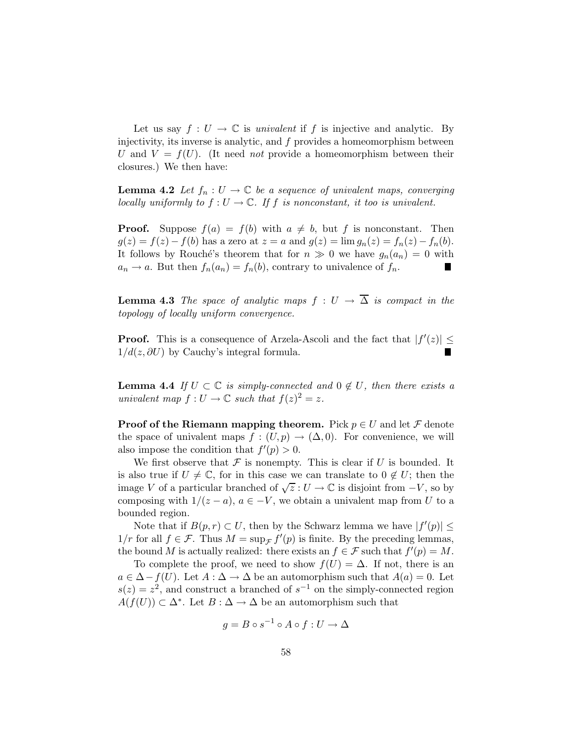Let us say  $f: U \to \mathbb{C}$  is *univalent* if f is injective and analytic. By injectivity, its inverse is analytic, and  $f$  provides a homeomorphism between U and  $V = f(U)$ . (It need *not* provide a homeomorphism between their closures.) We then have:

**Lemma 4.2** *Let*  $f_n: U \to \mathbb{C}$  *be a sequence of univalent maps, converging locally uniformly to*  $f: U \to \mathbb{C}$ *. If*  $f$  *is nonconstant, it too is univalent.* 

**Proof.** Suppose  $f(a) = f(b)$  with  $a \neq b$ , but f is nonconstant. Then  $g(z) = f(z) - f(b)$  has a zero at  $z = a$  and  $g(z) = \lim g_n(z) = f_n(z) - f_n(b)$ . It follows by Rouché's theorem that for  $n \gg 0$  we have  $g_n(a_n) = 0$  with  $a_n \to a$ . But then  $f_n(a_n) = f_n(b)$ , contrary to univalence of  $f_n$ .

**Lemma 4.3** *The space of analytic maps*  $f : U \rightarrow \overline{\Delta}$  *is compact in the topology of locally uniform convergence.*

**Proof.** This is a consequence of Arzela-Ascoli and the fact that  $|f'(z)| \le$  $1/d(z, \partial U)$  by Cauchy's integral formula.

**Lemma 4.4** *If*  $U \subset \mathbb{C}$  *is simply-connected and*  $0 \notin U$ *, then there exists a univalent map*  $f: U \to \mathbb{C}$  *such that*  $f(z)^2 = z$ .

**Proof of the Riemann mapping theorem.** Pick  $p \in U$  and let  $\mathcal F$  denote the space of univalent maps  $f : (U, p) \to (\Delta, 0)$ . For convenience, we will also impose the condition that  $f'(p) > 0$ .

We first observe that  $\mathcal F$  is nonempty. This is clear if U is bounded. It is also true if  $U \neq \mathbb{C}$ , for in this case we can translate to  $0 \notin U$ ; then the image V of a particular branched of  $\sqrt{z}: U \to \mathbb{C}$  is disjoint from  $-V$ , so by composing with  $1/(z - a)$ ,  $a \in -V$ , we obtain a univalent map from U to a bounded region.

Note that if  $B(p,r) \subset U$ , then by the Schwarz lemma we have  $|f'(p)| \leq$  $1/r$  for all  $f \in \mathcal{F}$ . Thus  $M = \sup_{\mathcal{F}} f'(p)$  is finite. By the preceding lemmas, the bound M is actually realized: there exists an  $f \in \mathcal{F}$  such that  $f'(p) = M$ .

To complete the proof, we need to show  $f(U) = \Delta$ . If not, there is an  $a \in \Delta - f(U)$ . Let  $A : \Delta \to \Delta$  be an automorphism such that  $A(a) = 0$ . Let  $s(z) = z<sup>2</sup>$ , and construct a branched of  $s<sup>-1</sup>$  on the simply-connected region  $A(f(U)) \subset \Delta^*$ . Let  $B : \Delta \to \Delta$  be an automorphism such that

$$
g = B \circ s^{-1} \circ A \circ f : U \to \Delta
$$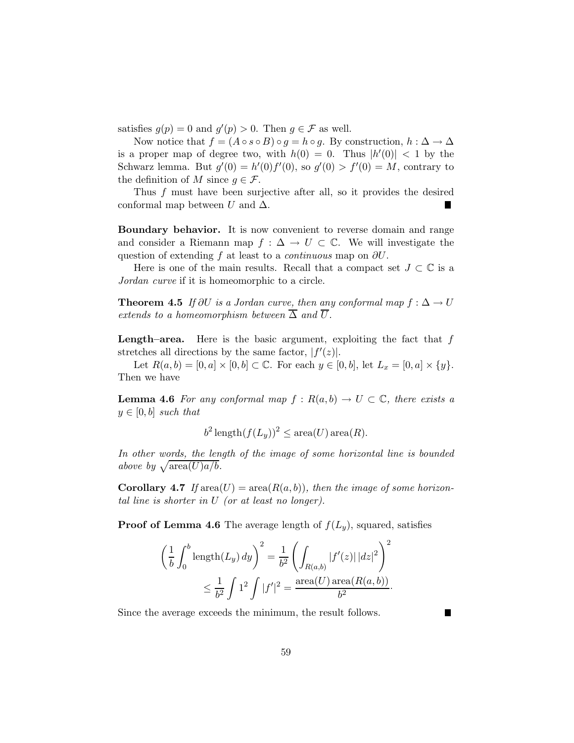satisfies  $g(p) = 0$  and  $g'(p) > 0$ . Then  $g \in \mathcal{F}$  as well.

Now notice that  $f = (A \circ s \circ B) \circ g = h \circ g$ . By construction,  $h : \Delta \to \Delta$ is a proper map of degree two, with  $h(0) = 0$ . Thus  $|h'(0)| < 1$  by the Schwarz lemma. But  $g'(0) = h'(0)f'(0)$ , so  $g'(0) > f'(0) = M$ , contrary to the definition of M since  $g \in \mathcal{F}$ .

Thus f must have been surjective after all, so it provides the desired conformal map between U and  $\Delta$ . H.

Boundary behavior. It is now convenient to reverse domain and range and consider a Riemann map  $f : \Delta \to U \subset \mathbb{C}$ . We will investigate the question of extending f at least to a *continuous* map on ∂U.

Here is one of the main results. Recall that a compact set  $J \subset \mathbb{C}$  is a *Jordan curve* if it is homeomorphic to a circle.

**Theorem 4.5** *If*  $\partial U$  *is a Jordan curve, then any conformal map*  $f : \Delta \to U$ *extends to a homeomorphism between*  $\overline{\Delta}$  *and*  $\overline{U}$ *.* 

**Length–area.** Here is the basic argument, exploiting the fact that  $f$ stretches all directions by the same factor,  $|f'(z)|$ .

Let  $R(a, b) = [0, a] \times [0, b] \subset \mathbb{C}$ . For each  $y \in [0, b]$ , let  $L_x = [0, a] \times \{y\}$ . Then we have

**Lemma 4.6** For any conformal map  $f : R(a, b) \to U \subset \mathbb{C}$ , there exists a  $y \in [0, b]$  *such that* 

$$
b^2 \operatorname{length}(f(L_y))^2 \le \operatorname{area}(U) \operatorname{area}(R).
$$

*In other words, the length of the image of some horizontal line is bounded above by*  $\sqrt{\text{area}(U)a/b}$ *.* 

**Corollary 4.7** If  $\text{area}(U) = \text{area}(R(a, b))$ , then the image of some horizon*tal line is shorter in* U *(or at least no longer).*

**Proof of Lemma 4.6** The average length of  $f(L_y)$ , squared, satisfies

$$
\left(\frac{1}{b}\int_0^b \text{length}(L_y) \, dy\right)^2 = \frac{1}{b^2} \left(\int_{R(a,b)} |f'(z)| \, |dz|^2\right)^2
$$
\n
$$
\leq \frac{1}{b^2} \int 1^2 \int |f'|^2 = \frac{\text{area}(U) \, \text{area}(R(a,b))}{b^2}.
$$

Since the average exceeds the minimum, the result follows.

П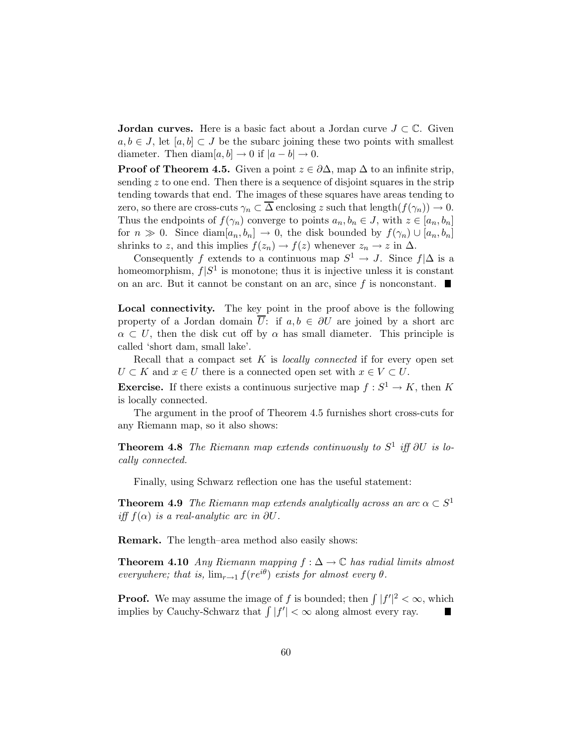**Jordan curves.** Here is a basic fact about a Jordan curve  $J \subset \mathbb{C}$ . Given  $a, b \in J$ , let  $[a, b] \subset J$  be the subarc joining these two points with smallest diameter. Then diam $[a, b] \rightarrow 0$  if  $|a - b| \rightarrow 0$ .

**Proof of Theorem 4.5.** Given a point  $z \in \partial \Delta$ , map  $\Delta$  to an infinite strip, sending  $z$  to one end. Then there is a sequence of disjoint squares in the strip tending towards that end. The images of these squares have areas tending to zero, so there are cross-cuts  $\gamma_n \subset \overline{\Delta}$  enclosing z such that length $(f(\gamma_n)) \to 0$ . Thus the endpoints of  $f(\gamma_n)$  converge to points  $a_n, b_n \in J$ , with  $z \in [a_n, b_n]$ for  $n \gg 0$ . Since diam $[a_n, b_n] \to 0$ , the disk bounded by  $f(\gamma_n) \cup [a_n, b_n]$ shrinks to z, and this implies  $f(z_n) \to f(z)$  whenever  $z_n \to z$  in  $\Delta$ .

Consequently f extends to a continuous map  $S^1 \to J$ . Since  $f|\Delta$  is a homeomorphism,  $f|S^1$  is monotone; thus it is injective unless it is constant on an arc. But it cannot be constant on an arc, since f is nonconstant.  $\blacksquare$ 

Local connectivity. The key point in the proof above is the following property of a Jordan domain  $\overline{U}$ : if  $a, b \in \partial U$  are joined by a short arc  $\alpha \subset U$ , then the disk cut off by  $\alpha$  has small diameter. This principle is called 'short dam, small lake'.

Recall that a compact set K is *locally connected* if for every open set  $U \subset K$  and  $x \in U$  there is a connected open set with  $x \in V \subset U$ .

**Exercise.** If there exists a continuous surjective map  $f : S^1 \to K$ , then K is locally connected.

The argument in the proof of Theorem 4.5 furnishes short cross-cuts for any Riemann map, so it also shows:

Theorem 4.8 *The Riemann map extends continuously to* S 1 *iff* ∂U *is locally connected.*

Finally, using Schwarz reflection one has the useful statement:

**Theorem 4.9** *The Riemann map extends analytically across an arc*  $\alpha \subset S^1$ *iff*  $f(\alpha)$  *is a real-analytic arc in* ∂U.

Remark. The length–area method also easily shows:

**Theorem 4.10** *Any Riemann mapping*  $f : \Delta \to \mathbb{C}$  *has radial limits almost everywhere; that is,*  $\lim_{r\to 1} f(re^{i\theta})$  *exists for almost every*  $\theta$ *.* 

**Proof.** We may assume the image of f is bounded; then  $\int |f'|^2 < \infty$ , which implies by Cauchy-Schwarz that  $\int |f'| < \infty$  along almost every ray.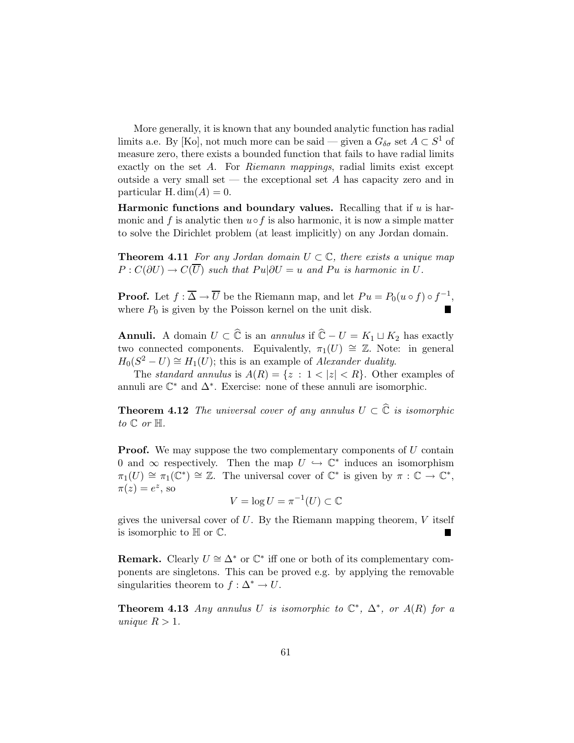More generally, it is known that any bounded analytic function has radial limits a.e. By [Ko], not much more can be said — given a  $G_{\delta\sigma}$  set  $A \subset S^1$  of measure zero, there exists a bounded function that fails to have radial limits exactly on the set A. For *Riemann mappings*, radial limits exist except outside a very small set — the exceptional set A has capacity zero and in particular H. dim $(A) = 0$ .

Harmonic functions and boundary values. Recalling that if  $u$  is harmonic and f is analytic then  $u \circ f$  is also harmonic, it is now a simple matter to solve the Dirichlet problem (at least implicitly) on any Jordan domain.

**Theorem 4.11** *For any Jordan domain*  $U \subset \mathbb{C}$ *, there exists a unique map*  $P: C(\partial U) \to C(\overline{U})$  such that  $Pu|\partial U = u$  and  $Pu$  is harmonic in U.

**Proof.** Let  $f : \overline{\Delta} \to \overline{U}$  be the Riemann map, and let  $Pu = P_0(u \circ f) \circ f^{-1}$ , where  $P_0$  is given by the Poisson kernel on the unit disk.

**Annuli.** A domain  $U \subset \widehat{\mathbb{C}}$  is an *annulus* if  $\widehat{\mathbb{C}} - U = K_1 \sqcup K_2$  has exactly two connected components. Equivalently,  $\pi_1(U) \cong \mathbb{Z}$ . Note: in general  $H_0(S^2 - U) \cong H_1(U)$ ; this is an example of *Alexander duality*.

The *standard annulus* is  $A(R) = \{z : 1 < |z| < R\}$ . Other examples of annuli are  $\mathbb{C}^*$  and  $\Delta^*$ . Exercise: none of these annuli are isomorphic.

**Theorem 4.12** *The universal cover of any annulus*  $U \subset \hat{\mathbb{C}}$  *is isomorphic*  $to \mathbb{C}$  *or*  $\mathbb{H}$ *.* 

**Proof.** We may suppose the two complementary components of  $U$  contain 0 and  $\infty$  respectively. Then the map  $U \hookrightarrow \mathbb{C}^*$  induces an isomorphism  $\pi_1(U) \cong \pi_1(\mathbb{C}^*) \cong \mathbb{Z}$ . The universal cover of  $\mathbb{C}^*$  is given by  $\pi : \mathbb{C} \to \mathbb{C}^*$ ,  $\pi(z) = e^z$ , so

$$
V = \log U = \pi^{-1}(U) \subset \mathbb{C}
$$

gives the universal cover of  $U$ . By the Riemann mapping theorem,  $V$  itself is isomorphic to  $H$  or  $\mathbb{C}$ . П

**Remark.** Clearly  $U \cong \Delta^*$  or  $\mathbb{C}^*$  iff one or both of its complementary components are singletons. This can be proved e.g. by applying the removable singularities theorem to  $f : \Delta^* \to U$ .

**Theorem 4.13** *Any annulus* U *is isomorphic to*  $\mathbb{C}^*$ ,  $\Delta^*$ *, or*  $A(R)$  *for a unique*  $R > 1$ *.*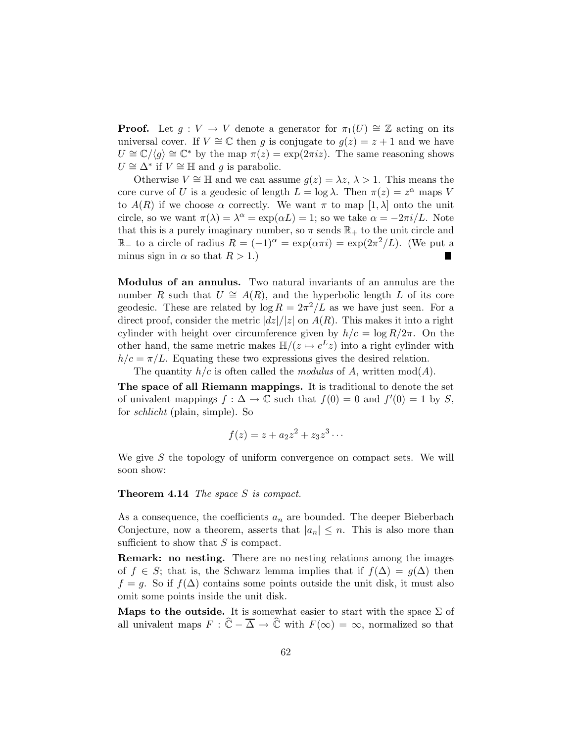**Proof.** Let  $g: V \to V$  denote a generator for  $\pi_1(U) \cong \mathbb{Z}$  acting on its universal cover. If  $V \cong \mathbb{C}$  then g is conjugate to  $g(z) = z + 1$  and we have  $U \cong \mathbb{C}/\langle g \rangle \cong \mathbb{C}^*$  by the map  $\pi(z) = \exp(2\pi i z)$ . The same reasoning shows  $U \cong \Delta^*$  if  $V \cong \mathbb{H}$  and g is parabolic.

Otherwise  $V \cong \mathbb{H}$  and we can assume  $g(z) = \lambda z, \lambda > 1$ . This means the core curve of U is a geodesic of length  $L = \log \lambda$ . Then  $\pi(z) = z^{\alpha}$  maps V to  $A(R)$  if we choose  $\alpha$  correctly. We want  $\pi$  to map  $[1, \lambda]$  onto the unit circle, so we want  $\pi(\lambda) = \lambda^{\alpha} = \exp(\alpha L) = 1$ ; so we take  $\alpha = -2\pi i/L$ . Note that this is a purely imaginary number, so  $\pi$  sends  $\mathbb{R}_+$  to the unit circle and  $\mathbb{R}_-$  to a circle of radius  $R = (-1)^\alpha = \exp(\alpha \pi i) = \exp(2\pi^2/L)$ . (We put a minus sign in  $\alpha$  so that  $R > 1$ .)  $\blacksquare$ 

Modulus of an annulus. Two natural invariants of an annulus are the number R such that  $U \cong A(R)$ , and the hyperbolic length L of its core geodesic. These are related by  $\log R = 2\pi^2/L$  as we have just seen. For a direct proof, consider the metric  $|dz|/|z|$  on  $A(R)$ . This makes it into a right cylinder with height over circumference given by  $h/c = \log R/2\pi$ . On the other hand, the same metric makes  $\mathbb{H}/(z \mapsto e^L z)$  into a right cylinder with  $h/c = \pi/L$ . Equating these two expressions gives the desired relation.

The quantity  $h/c$  is often called the *modulus* of A, written  $mod(A)$ .

The space of all Riemann mappings. It is traditional to denote the set of univalent mappings  $f: \Delta \to \mathbb{C}$  such that  $f(0) = 0$  and  $f'(0) = 1$  by S, for *schlicht* (plain, simple). So

$$
f(z) = z + a_2 z^2 + z_3 z^3 \cdots
$$

We give  $S$  the topology of uniform convergence on compact sets. We will soon show:

#### Theorem 4.14 *The space* S *is compact.*

As a consequence, the coefficients  $a_n$  are bounded. The deeper Bieberbach Conjecture, now a theorem, asserts that  $|a_n| \leq n$ . This is also more than sufficient to show that  $S$  is compact.

Remark: no nesting. There are no nesting relations among the images of  $f \in S$ ; that is, the Schwarz lemma implies that if  $f(\Delta) = g(\Delta)$  then  $f = g$ . So if  $f(\Delta)$  contains some points outside the unit disk, it must also omit some points inside the unit disk.

Maps to the outside. It is somewhat easier to start with the space  $\Sigma$  of all univalent maps  $F : \widehat{\mathbb{C}} - \overline{\Delta} \to \widehat{\mathbb{C}}$  with  $F(\infty) = \infty$ , normalized so that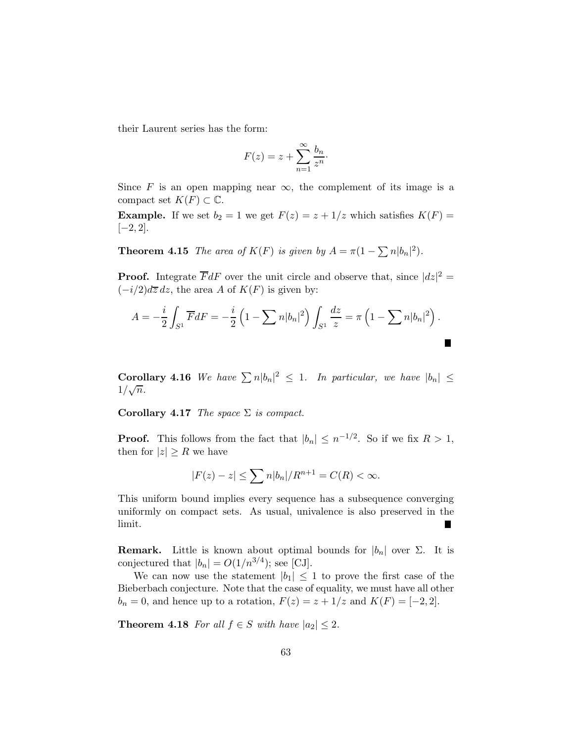their Laurent series has the form:

$$
F(z) = z + \sum_{n=1}^{\infty} \frac{b_n}{z^n}.
$$

Since F is an open mapping near  $\infty$ , the complement of its image is a compact set  $K(F) \subset \mathbb{C}$ .

**Example.** If we set  $b_2 = 1$  we get  $F(z) = z + 1/z$  which satisfies  $K(F) =$  $[-2, 2].$ 

**Theorem 4.15** *The area of*  $K(F)$  *is given by*  $A = \pi(1 - \sum n|b_n|^2)$ *.* 

**Proof.** Integrate  $\overline{F}dF$  over the unit circle and observe that, since  $|dz|^2 =$  $(-i/2)d\overline{z} dz$ , the area A of  $K(F)$  is given by:

$$
A = -\frac{i}{2} \int_{S^1} \overline{F} dF = -\frac{i}{2} \left( 1 - \sum n |b_n|^2 \right) \int_{S^1} \frac{dz}{z} = \pi \left( 1 - \sum n |b_n|^2 \right).
$$

**Corollary 4.16** We have  $\sum n |b_n|^2 \leq 1$ . In particular, we have  $|b_n| \leq$  $1/\sqrt{n}$ .

Corollary 4.17 *The space* Σ *is compact.*

**Proof.** This follows from the fact that  $|b_n| \leq n^{-1/2}$ . So if we fix  $R > 1$ , then for  $|z| \geq R$  we have

$$
|F(z) - z| \le \sum n|b_n|/R^{n+1} = C(R) < \infty.
$$

This uniform bound implies every sequence has a subsequence converging uniformly on compact sets. As usual, univalence is also preserved in the limit.

**Remark.** Little is known about optimal bounds for  $|b_n|$  over  $\Sigma$ . It is conjectured that  $|b_n| = O(1/n^{3/4})$ ; see [CJ].

We can now use the statement  $|b_1| \leq 1$  to prove the first case of the Bieberbach conjecture. Note that the case of equality, we must have all other  $b_n = 0$ , and hence up to a rotation,  $F(z) = z + 1/z$  and  $K(F) = [-2, 2]$ .

**Theorem 4.18** For all  $f \in S$  with have  $|a_2| \leq 2$ .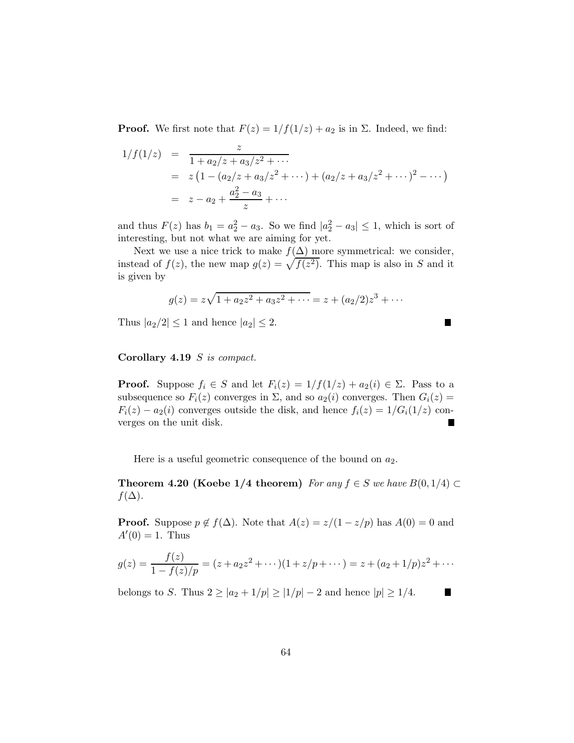**Proof.** We first note that  $F(z) = 1/f(1/z) + a_2$  is in  $\Sigma$ . Indeed, we find:

$$
1/f(1/z) = \frac{z}{1 + a_2/z + a_3/z^2 + \cdots}
$$
  
=  $z(1 - (a_2/z + a_3/z^2 + \cdots) + (a_2/z + a_3/z^2 + \cdots)^2 - \cdots)$   
=  $z - a_2 + \frac{a_2^2 - a_3}{z} + \cdots$ 

and thus  $F(z)$  has  $b_1 = a_2^2 - a_3$ . So we find  $|a_2^2 - a_3| \le 1$ , which is sort of interesting, but not what we are aiming for yet.

Next we use a nice trick to make  $f(\Delta)$  more symmetrical: we consider, instead of  $f(z)$ , the new map  $g(z) = \sqrt{f(z^2)}$ . This map is also in S and it is given by

$$
g(z) = z\sqrt{1 + a_2 z^2 + a_3 z^2 + \dots} = z + (a_2/2)z^3 + \dots
$$

П

 $\blacksquare$ 

Thus  $|a_2/2| \leq 1$  and hence  $|a_2| \leq 2$ .

Corollary 4.19 S *is compact.*

**Proof.** Suppose  $f_i \in S$  and let  $F_i(z) = 1/f(1/z) + a_2(i) \in \Sigma$ . Pass to a subsequence so  $F_i(z)$  converges in  $\Sigma$ , and so  $a_2(i)$  converges. Then  $G_i(z)$  =  $F_i(z) - a_2(i)$  converges outside the disk, and hence  $f_i(z) = 1/G_i(1/z)$  converges on the unit disk.

Here is a useful geometric consequence of the bound on  $a_2$ .

**Theorem 4.20 (Koebe 1/4 theorem)** *For any*  $f \in S$  *we have*  $B(0, 1/4) \subset$  $f(\Delta)$ .

**Proof.** Suppose  $p \notin f(\Delta)$ . Note that  $A(z) = z/(1 - z/p)$  has  $A(0) = 0$  and  $A'(0) = 1$ . Thus

$$
g(z) = \frac{f(z)}{1 - f(z)/p} = (z + a_2 z^2 + \dots)(1 + z/p + \dots) = z + (a_2 + 1/p)z^2 + \dots
$$

belongs to S. Thus  $2 \geq |a_2 + 1/p| \geq |1/p| - 2$  and hence  $|p| \geq 1/4$ .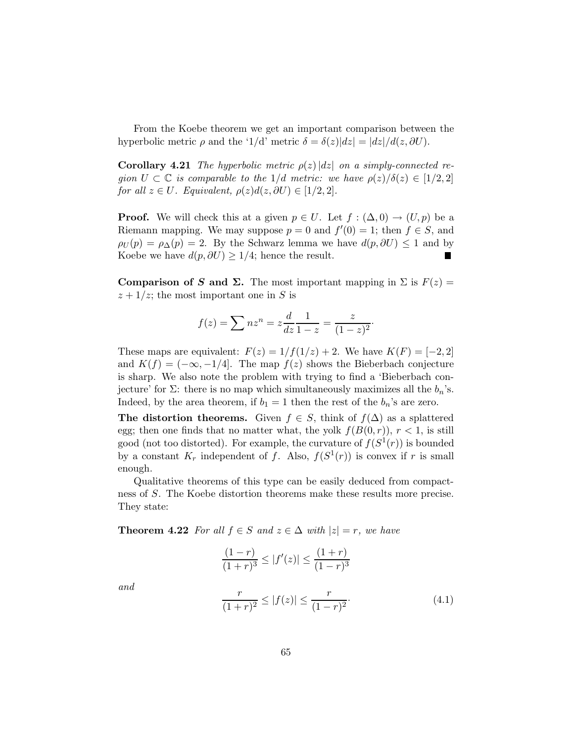From the Koebe theorem we get an important comparison between the hyperbolic metric  $\rho$  and the '1/d' metric  $\delta = \delta(z)|dz| = |dz|/d(z, \partial U)$ .

**Corollary 4.21** *The hyperbolic metric*  $\rho(z) |dz|$  *on a simply-connected region*  $U \subset \mathbb{C}$  *is comparable to the*  $1/d$  *metric: we have*  $\rho(z)/\delta(z) \in [1/2, 2]$ *for all*  $z \in U$ *. Equivalent,*  $\rho(z)d(z,\partial U) \in [1/2,2]$ *.* 

**Proof.** We will check this at a given  $p \in U$ . Let  $f : (\Delta, 0) \to (U, p)$  be a Riemann mapping. We may suppose  $p = 0$  and  $f'(0) = 1$ ; then  $f \in S$ , and  $\rho_U(p) = \rho_{\Delta}(p) = 2$ . By the Schwarz lemma we have  $d(p, \partial U) \leq 1$  and by Koebe we have  $d(p, \partial U) \geq 1/4$ ; hence the result. п

Comparison of S and  $\Sigma$ . The most important mapping in  $\Sigma$  is  $F(z) =$  $z + 1/z$ ; the most important one in S is

$$
f(z) = \sum nz^n = z \frac{d}{dz} \frac{1}{1-z} = \frac{z}{(1-z)^2}.
$$

These maps are equivalent:  $F(z) = 1/f(1/z) + 2$ . We have  $K(F) = [-2, 2]$ and  $K(f) = (-\infty, -1/4]$ . The map  $f(z)$  shows the Bieberbach conjecture is sharp. We also note the problem with trying to find a 'Bieberbach conjecture' for  $\Sigma$ : there is no map which simultaneously maximizes all the  $b_n$ 's. Indeed, by the area theorem, if  $b_1 = 1$  then the rest of the  $b_n$ 's are zero.

The distortion theorems. Given  $f \in S$ , think of  $f(\Delta)$  as a splattered egg; then one finds that no matter what, the yolk  $f(B(0,r))$ ,  $r < 1$ , is still good (not too distorted). For example, the curvature of  $f(S^1(r))$  is bounded by a constant  $K_r$  independent of f. Also,  $f(S^1(r))$  is convex if r is small enough.

Qualitative theorems of this type can be easily deduced from compactness of S. The Koebe distortion theorems make these results more precise. They state:

**Theorem 4.22** *For all*  $f \in S$  *and*  $z \in \Delta$  *with*  $|z| = r$ *, we have* 

$$
\frac{(1-r)}{(1+r)^3} \le |f'(z)| \le \frac{(1+r)}{(1-r)^3}
$$

$$
\frac{r}{(1+r)^2} \le |f(z)| \le \frac{r}{(1-r)^2}.
$$
(4.1)

*and*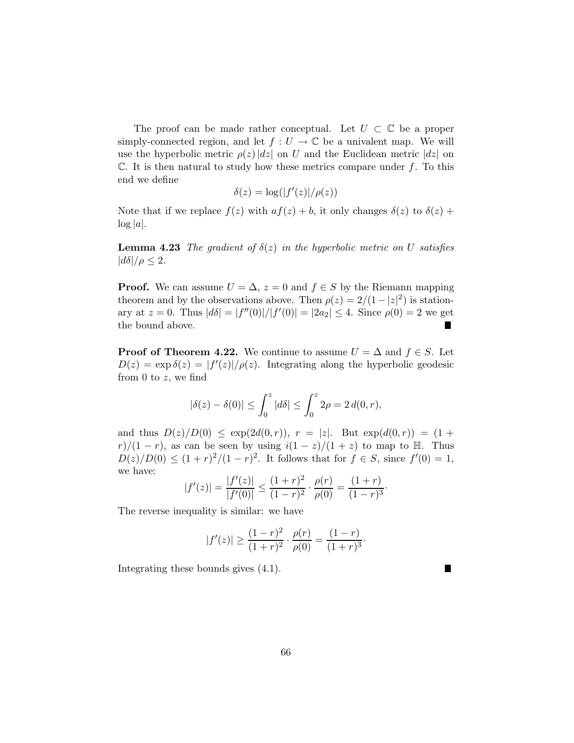The proof can be made rather conceptual. Let  $U \subset \mathbb{C}$  be a proper simply-connected region, and let  $f: U \to \mathbb{C}$  be a univalent map. We will use the hyperbolic metric  $\rho(z)|dz|$  on U and the Euclidean metric  $|dz|$  on  $\mathbb C$ . It is then natural to study how these metrics compare under f. To this end we define

$$
\delta(z)=\log(|f'(z)|/\rho(z))
$$

Note that if we replace  $f(z)$  with  $af(z) + b$ , it only changes  $\delta(z)$  to  $\delta(z)$  +  $\log |a|$ .

**Lemma 4.23** *The gradient of*  $\delta(z)$  *in the hyperbolic metric on* U *satisfies*  $|d\delta|/\rho \leq 2$ .

**Proof.** We can assume  $U = \Delta$ ,  $z = 0$  and  $f \in S$  by the Riemann mapping theorem and by the observations above. Then  $\rho(z) = 2/(1-|z|^2)$  is stationary at  $z = 0$ . Thus  $|d\delta| = |f''(0)|/|f'(0)| = |2a_2| \le 4$ . Since  $\rho(0) = 2$  we get the bound above.

**Proof of Theorem 4.22.** We continue to assume  $U = \Delta$  and  $f \in S$ . Let  $D(z) = \exp \delta(z) = |f'(z)|/\rho(z)$ . Integrating along the hyperbolic geodesic from 0 to  $z$ , we find

$$
|\delta(z) - \delta(0)| \le \int_0^z |d\delta| \le \int_0^z 2\rho = 2 d(0, r),
$$

and thus  $D(z)/D(0) \leq \exp(2d(0,r))$ ,  $r = |z|$ . But  $\exp(d(0,r)) = (1 +$ r)/(1 − r), as can be seen by using  $i(1-z)/(1+z)$  to map to H. Thus  $D(z)/D(0) \le (1+r)^2/(1-r)^2$ . It follows that for  $f \in S$ , since  $f'(0) = 1$ , we have:

$$
|f'(z)| = \frac{|f'(z)|}{|f'(0)|} \le \frac{(1+r)^2}{(1-r)^2} \cdot \frac{\rho(r)}{\rho(0)} = \frac{(1+r)}{(1-r)^3}.
$$

The reverse inequality is similar: we have

$$
|f'(z)| \ge \frac{(1-r)^2}{(1+r)^2} \cdot \frac{\rho(r)}{\rho(0)} = \frac{(1-r)}{(1+r)^3}.
$$

 $\blacksquare$ 

Integrating these bounds gives (4.1).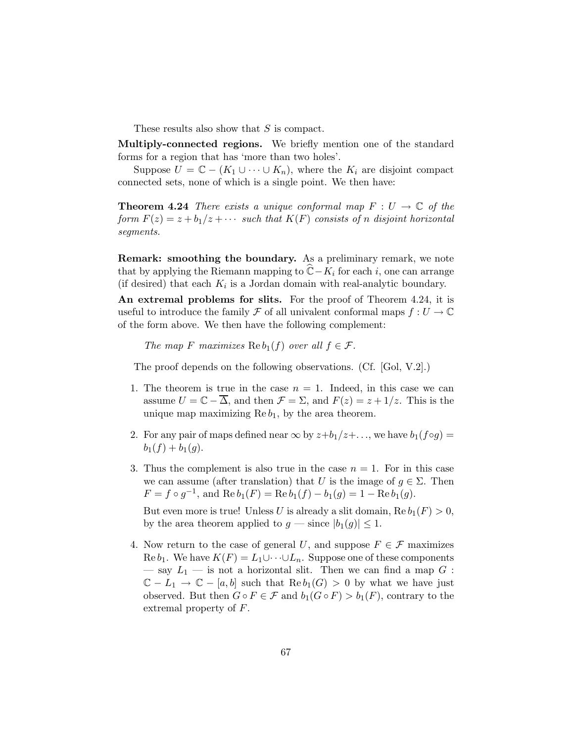These results also show that S is compact.

Multiply-connected regions. We briefly mention one of the standard forms for a region that has 'more than two holes'.

Suppose  $U = \mathbb{C} - (K_1 \cup \cdots \cup K_n)$ , where the  $K_i$  are disjoint compact connected sets, none of which is a single point. We then have:

**Theorem 4.24** *There exists a unique conformal map*  $F: U \to \mathbb{C}$  *of the form*  $F(z) = z + b_1/z + \cdots$  *such that*  $K(F)$  *consists of n disjoint horizontal segments.*

Remark: smoothing the boundary. As a preliminary remark, we note that by applying the Riemann mapping to  $\mathbb{C} - K_i$  for each i, one can arrange (if desired) that each  $K_i$  is a Jordan domain with real-analytic boundary.

An extremal problems for slits. For the proof of Theorem 4.24, it is useful to introduce the family F of all univalent conformal maps  $f: U \to \mathbb{C}$ of the form above. We then have the following complement:

*The map* F *maximizes*  $\text{Re } b_1(f)$  *over all*  $f \in \mathcal{F}$ *.* 

The proof depends on the following observations. (Cf. [Gol, V.2].)

- 1. The theorem is true in the case  $n = 1$ . Indeed, in this case we can assume  $U = \mathbb{C} - \overline{\Delta}$ , and then  $\mathcal{F} = \Sigma$ , and  $F(z) = z + 1/z$ . This is the unique map maximizing  $\text{Re } b_1$ , by the area theorem.
- 2. For any pair of maps defined near  $\infty$  by  $z+b_1/z+\ldots$ , we have  $b_1(f\circ g)=$  $b_1(f) + b_1(g)$ .
- 3. Thus the complement is also true in the case  $n = 1$ . For in this case we can assume (after translation) that U is the image of  $g \in \Sigma$ . Then  $F = f \circ g^{-1}$ , and  $\text{Re } b_1(F) = \text{Re } b_1(f) - b_1(g) = 1 - \text{Re } b_1(g)$ .

But even more is true! Unless U is already a slit domain,  $\text{Re } b_1(F) > 0$ , by the area theorem applied to  $g$  — since  $|b_1(g)| \leq 1$ .

4. Now return to the case of general U, and suppose  $F \in \mathcal{F}$  maximizes  $\text{Re }b_1$ . We have  $K(F) = L_1 \cup \cdots \cup L_n$ . Suppose one of these components — say  $L_1$  — is not a horizontal slit. Then we can find a map G :  $\mathbb{C} - L_1 \to \mathbb{C} - [a, b]$  such that  $\text{Re } b_1(G) > 0$  by what we have just observed. But then  $G \circ F \in \mathcal{F}$  and  $b_1(G \circ F) > b_1(F)$ , contrary to the extremal property of F.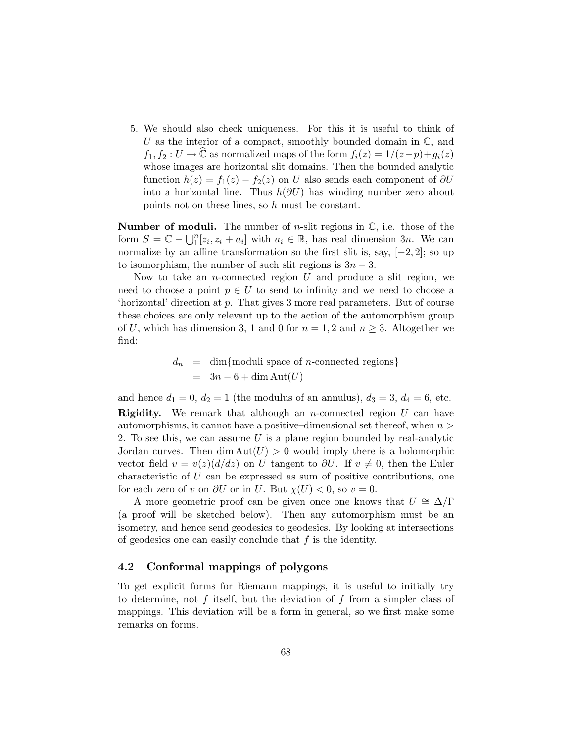5. We should also check uniqueness. For this it is useful to think of U as the interior of a compact, smoothly bounded domain in  $\mathbb{C}$ , and  $f_1, f_2 : U \to \mathbb{C}$  as normalized maps of the form  $f_i(z) = 1/(z-p)+g_i(z)$ whose images are horizontal slit domains. Then the bounded analytic function  $h(z) = f_1(z) - f_2(z)$  on U also sends each component of  $\partial U$ into a horizontal line. Thus  $h(\partial U)$  has winding number zero about points not on these lines, so h must be constant.

**Number of moduli.** The number of *n*-slit regions in  $\mathbb{C}$ , i.e. those of the form  $S = \mathbb{C} - \bigcup_{i=1}^{n} [z_i, z_i + a_i]$  with  $a_i \in \mathbb{R}$ , has real dimension 3n. We can normalize by an affine transformation so the first slit is, say, [−2, 2]; so up to isomorphism, the number of such slit regions is  $3n-3$ .

Now to take an *n*-connected region  $U$  and produce a slit region, we need to choose a point  $p \in U$  to send to infinity and we need to choose a 'horizontal' direction at p. That gives 3 more real parameters. But of course these choices are only relevant up to the action of the automorphism group of U, which has dimension 3, 1 and 0 for  $n = 1, 2$  and  $n \geq 3$ . Altogether we find:

$$
d_n = \dim\{\text{moduli space of } n\text{-connected regions}\}
$$
  
=  $3n - 6 + \dim\text{Aut}(U)$ 

and hence  $d_1 = 0$ ,  $d_2 = 1$  (the modulus of an annulus),  $d_3 = 3$ ,  $d_4 = 6$ , etc. **Rigidity.** We remark that although an *n*-connected region  $U$  can have automorphisms, it cannot have a positive–dimensional set thereof, when  $n >$ 2. To see this, we can assume  $U$  is a plane region bounded by real-analytic Jordan curves. Then dim  $Aut(U) > 0$  would imply there is a holomorphic vector field  $v = v(z)(d/dz)$  on U tangent to  $\partial U$ . If  $v \neq 0$ , then the Euler characteristic of U can be expressed as sum of positive contributions, one for each zero of v on  $\partial U$  or in U. But  $\chi(U) < 0$ , so  $v = 0$ .

A more geometric proof can be given once one knows that  $U \cong \Delta/\Gamma$ (a proof will be sketched below). Then any automorphism must be an isometry, and hence send geodesics to geodesics. By looking at intersections of geodesics one can easily conclude that  $f$  is the identity.

### 4.2 Conformal mappings of polygons

To get explicit forms for Riemann mappings, it is useful to initially try to determine, not f itself, but the deviation of f from a simpler class of mappings. This deviation will be a form in general, so we first make some remarks on forms.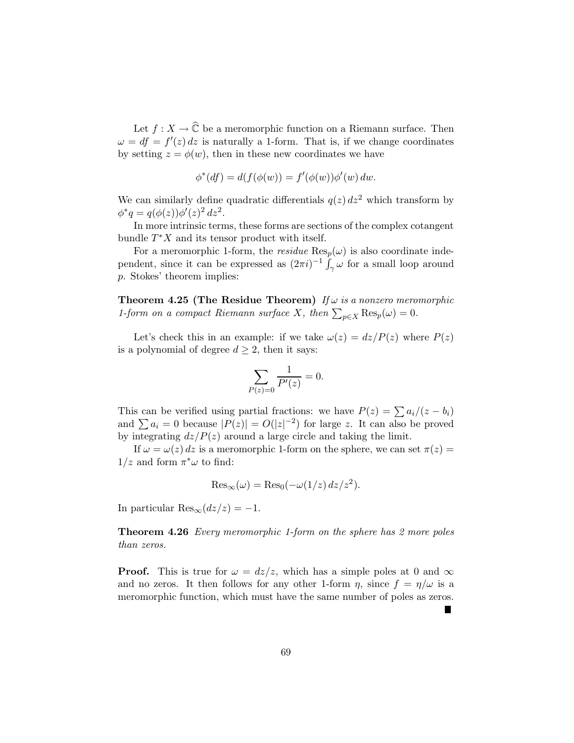Let  $f: X \to \widehat{\mathbb{C}}$  be a meromorphic function on a Riemann surface. Then  $\omega = df = f'(z) dz$  is naturally a 1-form. That is, if we change coordinates by setting  $z = \phi(w)$ , then in these new coordinates we have

$$
\phi^*(df) = d(f(\phi(w))) = f'(\phi(w))\phi'(w) dw.
$$

We can similarly define quadratic differentials  $q(z) dz^2$  which transform by  $\phi^* q = q(\phi(z))\phi'(z)^2 dz^2.$ 

In more intrinsic terms, these forms are sections of the complex cotangent bundle  $T^*X$  and its tensor product with itself.

For a meromorphic 1-form, the *residue*  $\text{Res}_p(\omega)$  is also coordinate independent, since it can be expressed as  $(2\pi i)^{-1} \int_{\gamma} \omega$  for a small loop around p. Stokes' theorem implies:

Theorem 4.25 (The Residue Theorem) *If* ω *is a nonzero meromorphic 1-form on a compact Riemann surface* X, then  $\sum_{p \in X} \text{Res}_p(\omega) = 0$ .

Let's check this in an example: if we take  $\omega(z) = dz/P(z)$  where  $P(z)$ is a polynomial of degree  $d \geq 2$ , then it says:

$$
\sum_{P(z)=0} \frac{1}{P'(z)} = 0.
$$

This can be verified using partial fractions: we have  $P(z) = \sum a_i/(z - b_i)$ and  $\sum a_i = 0$  because  $|P(z)| = O(|z|^{-2})$  for large z. It can also be proved by integrating  $dz/P(z)$  around a large circle and taking the limit.

If  $\omega = \omega(z) dz$  is a meromorphic 1-form on the sphere, we can set  $\pi(z) =$  $1/z$  and form  $\pi^*\omega$  to find:

$$
\operatorname{Res}_{\infty}(\omega) = \operatorname{Res}_{0}(-\omega(1/z) dz/z^{2}).
$$

In particular  $\text{Res}_{\infty}(dz/z) = -1$ .

Theorem 4.26 *Every meromorphic 1-form on the sphere has 2 more poles than zeros.*

**Proof.** This is true for  $\omega = dz/z$ , which has a simple poles at 0 and  $\infty$ and no zeros. It then follows for any other 1-form  $\eta$ , since  $f = \eta/\omega$  is a meromorphic function, which must have the same number of poles as zeros.

Ξ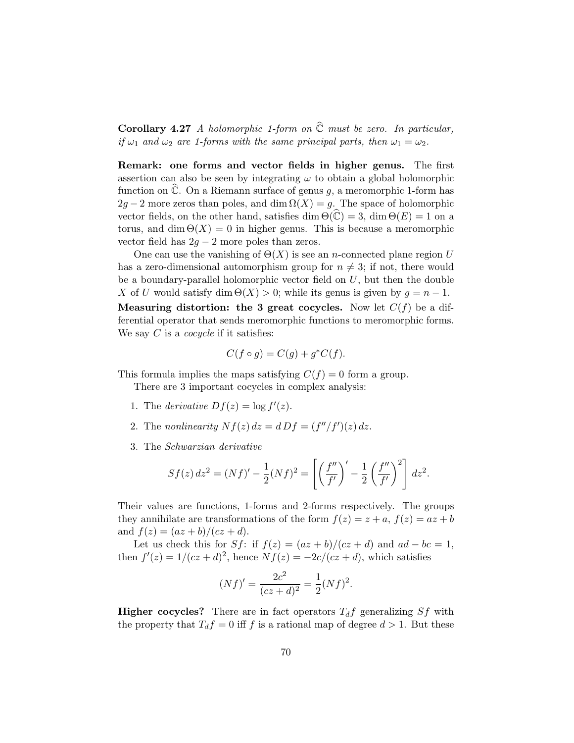Corollary 4.27 *A holomorphic 1-form on* Cb *must be zero. In particular, if*  $\omega_1$  *and*  $\omega_2$  *are 1-forms with the same principal parts, then*  $\omega_1 = \omega_2$ *.* 

Remark: one forms and vector fields in higher genus. The first assertion can also be seen by integrating  $\omega$  to obtain a global holomorphic function on  $\widehat{\mathbb{C}}$ . On a Riemann surface of genus g, a meromorphic 1-form has  $2g - 2$  more zeros than poles, and dim  $\Omega(X) = g$ . The space of holomorphic vector fields, on the other hand, satisfies dim  $\Theta(\hat{C}) = 3$ , dim  $\Theta(E) = 1$  on a torus, and dim  $\Theta(X) = 0$  in higher genus. This is because a meromorphic vector field has  $2g - 2$  more poles than zeros.

One can use the vanishing of  $\Theta(X)$  is see an *n*-connected plane region U has a zero-dimensional automorphism group for  $n \neq 3$ ; if not, there would be a boundary-parallel holomorphic vector field on  $U$ , but then the double X of U would satisfy dim  $\Theta(X) > 0$ ; while its genus is given by  $q = n - 1$ . **Measuring distortion: the 3 great cocycles.** Now let  $C(f)$  be a differential operator that sends meromorphic functions to meromorphic forms. We say C is a *cocycle* if it satisfies:

$$
C(f \circ g) = C(g) + g^*C(f).
$$

This formula implies the maps satisfying  $C(f) = 0$  form a group.

There are 3 important cocycles in complex analysis:

- 1. The *derivative*  $Df(z) = \log f'(z)$ .
- 2. The *nonlinearity*  $Nf(z) dz = d Df = (f''/f')(z) dz$ .
- 3. The *Schwarzian derivative*

$$
Sf(z) dz^{2} = (Nf)' - \frac{1}{2}(Nf)^{2} = \left[ \left( \frac{f''}{f'} \right)' - \frac{1}{2} \left( \frac{f''}{f'} \right)^{2} \right] dz^{2}.
$$

Their values are functions, 1-forms and 2-forms respectively. The groups they annihilate are transformations of the form  $f(z) = z + a$ ,  $f(z) = az + b$ and  $f(z) = (az + b)/(cz + d)$ .

Let us check this for Sf: if  $f(z) = (az + b)/(cz + d)$  and  $ad - bc = 1$ , then  $f'(z) = 1/(cz + d)^2$ , hence  $Nf(z) = -2c/(cz + d)$ , which satisfies

$$
(Nf)' = \frac{2c^2}{(cz+d)^2} = \frac{1}{2}(Nf)^2.
$$

**Higher cocycles?** There are in fact operators  $T_d f$  generalizing Sf with the property that  $T_d f = 0$  iff f is a rational map of degree  $d > 1$ . But these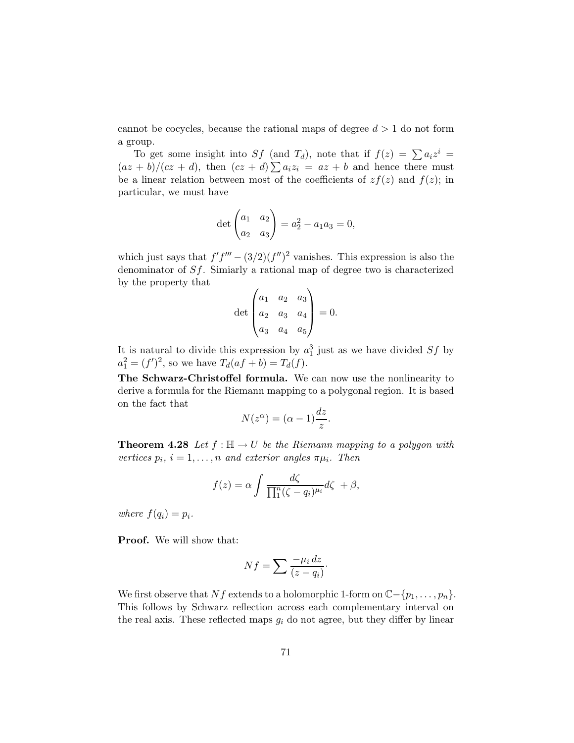cannot be cocycles, because the rational maps of degree  $d > 1$  do not form a group.

To get some insight into Sf (and T<sub>d</sub>), note that if  $f(z) = \sum a_i z^i$  $\frac{(\overline{az} + \overline{b})}{cz + d}$ , then  $\frac{(\overline{cz} + \overline{d})}{z}$   $\frac{\sum a_i z_i}{z} = \overline{az} + \overline{b}$  and hence there must be a linear relation between most of the coefficients of  $zf(z)$  and  $f(z)$ ; in particular, we must have

$$
\det \begin{pmatrix} a_1 & a_2 \\ a_2 & a_3 \end{pmatrix} = a_2^2 - a_1 a_3 = 0,
$$

which just says that  $f'f''' - (3/2)(f'')^2$  vanishes. This expression is also the denominator of Sf. Simiarly a rational map of degree two is characterized by the property that

$$
\det \begin{pmatrix} a_1 & a_2 & a_3 \\ a_2 & a_3 & a_4 \\ a_3 & a_4 & a_5 \end{pmatrix} = 0.
$$

It is natural to divide this expression by  $a_1^3$  just as we have divided  $Sf$  by  $a_1^2 = (f')^2$ , so we have  $T_d(af + b) = T_d(f)$ .

The Schwarz-Christoffel formula. We can now use the nonlinearity to derive a formula for the Riemann mapping to a polygonal region. It is based on the fact that

$$
N(z^{\alpha}) = (\alpha - 1)\frac{dz}{z}.
$$

**Theorem 4.28** Let  $f : \mathbb{H} \to U$  be the Riemann mapping to a polygon with *vertices*  $p_i$ ,  $i = 1, ..., n$  *and exterior angles*  $\pi \mu_i$ *. Then* 

$$
f(z) = \alpha \int \frac{d\zeta}{\prod_1^n (\zeta - q_i)^{\mu_i}} d\zeta + \beta,
$$

*where*  $f(q_i) = p_i$ .

Proof. We will show that:

$$
Nf = \sum \frac{-\mu_i \, dz}{(z - q_i)}.
$$

We first observe that Nf extends to a holomorphic 1-form on  $\mathbb{C}-\{p_1,\ldots,p_n\}$ . This follows by Schwarz reflection across each complementary interval on the real axis. These reflected maps  $g_i$  do not agree, but they differ by linear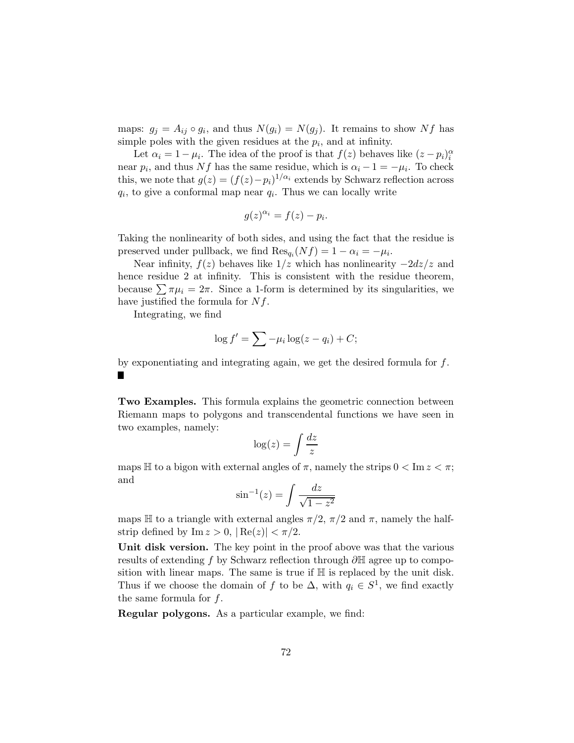maps:  $g_j = A_{ij} \circ g_i$ , and thus  $N(g_i) = N(g_j)$ . It remains to show Nf has simple poles with the given residues at the  $p_i$ , and at infinity.

Let  $\alpha_i = 1 - \mu_i$ . The idea of the proof is that  $f(z)$  behaves like  $(z - p_i)_i^{\alpha}$ near  $p_i$ , and thus Nf has the same residue, which is  $\alpha_i - 1 = -\mu_i$ . To check this, we note that  $g(z) = (f(z) - p_i)^{1/\alpha_i}$  extends by Schwarz reflection across  $q_i$ , to give a conformal map near  $q_i$ . Thus we can locally write

$$
g(z)^{\alpha_i} = f(z) - p_i.
$$

Taking the nonlinearity of both sides, and using the fact that the residue is preserved under pullback, we find  $\text{Res}_{q_i}(Nf) = 1 - \alpha_i = -\mu_i$ .

Near infinity,  $f(z)$  behaves like  $1/z$  which has nonlinearity  $-2dz/z$  and hence residue 2 at infinity. This is consistent with the residue theorem, because  $\sum \pi \mu_i = 2\pi$ . Since a 1-form is determined by its singularities, we have justified the formula for  $Nf$ .

Integrating, we find

$$
\log f' = \sum -\mu_i \log(z - q_i) + C;
$$

by exponentiating and integrating again, we get the desired formula for  $f$ . П

Two Examples. This formula explains the geometric connection between Riemann maps to polygons and transcendental functions we have seen in two examples, namely:

$$
\log(z) = \int \frac{dz}{z}
$$

maps H to a bigon with external angles of  $\pi$ , namely the strips  $0 < \text{Im } z < \pi$ ; and

$$
\sin^{-1}(z) = \int \frac{dz}{\sqrt{1 - z^2}}
$$

maps H to a triangle with external angles  $\pi/2$ ,  $\pi/2$  and  $\pi$ , namely the halfstrip defined by Im  $z > 0$ ,  $|\text{Re}(z)| < \pi/2$ .

Unit disk version. The key point in the proof above was that the various results of extending f by Schwarz reflection through ∂H agree up to composition with linear maps. The same is true if H is replaced by the unit disk. Thus if we choose the domain of f to be  $\Delta$ , with  $q_i \in S^1$ , we find exactly the same formula for  $f$ .

Regular polygons. As a particular example, we find: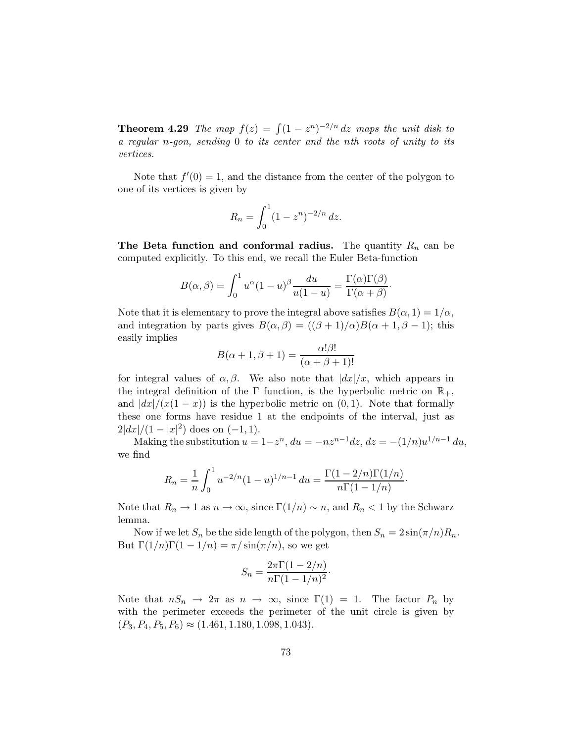**Theorem 4.29** *The map*  $f(z) = \int (1 - z^n)^{-2/n} dz$  *maps the unit disk to a regular* n*-gon, sending* 0 *to its center and the* n*th roots of unity to its vertices.*

Note that  $f'(0) = 1$ , and the distance from the center of the polygon to one of its vertices is given by

$$
R_n = \int_0^1 (1 - z^n)^{-2/n} \, dz.
$$

The Beta function and conformal radius. The quantity  $R_n$  can be computed explicitly. To this end, we recall the Euler Beta-function

$$
B(\alpha, \beta) = \int_0^1 u^{\alpha} (1 - u)^{\beta} \frac{du}{u(1 - u)} = \frac{\Gamma(\alpha)\Gamma(\beta)}{\Gamma(\alpha + \beta)}.
$$

Note that it is elementary to prove the integral above satisfies  $B(\alpha, 1) = 1/\alpha$ , and integration by parts gives  $B(\alpha, \beta) = ((\beta + 1)/\alpha)B(\alpha + 1, \beta - 1)$ ; this easily implies

$$
B(\alpha + 1, \beta + 1) = \frac{\alpha! \beta!}{(\alpha + \beta + 1)!}
$$

for integral values of  $\alpha, \beta$ . We also note that  $|dx|/x$ , which appears in the integral definition of the Γ function, is the hyperbolic metric on  $\mathbb{R}_+$ , and  $\frac{dx}{x(1-x)}$  is the hyperbolic metric on  $(0, 1)$ . Note that formally these one forms have residue 1 at the endpoints of the interval, just as  $2|dx|/(1-|x|^2)$  does on  $(-1,1)$ .

Making the substitution  $u = 1-z^n$ ,  $du = -nz^{n-1}dz$ ,  $dz = -(1/n)u^{1/n-1} du$ , we find

$$
R_n = \frac{1}{n} \int_0^1 u^{-2/n} (1-u)^{1/n-1} du = \frac{\Gamma(1-2/n)\Gamma(1/n)}{n\Gamma(1-1/n)}.
$$

Note that  $R_n \to 1$  as  $n \to \infty$ , since  $\Gamma(1/n) \sim n$ , and  $R_n < 1$  by the Schwarz lemma.

Now if we let  $S_n$  be the side length of the polygon, then  $S_n = 2 \sin(\pi/n)R_n$ . But  $\Gamma(1/n)\Gamma(1-1/n) = \pi/\sin(\pi/n)$ , so we get

$$
S_n = \frac{2\pi\Gamma(1-2/n)}{n\Gamma(1-1/n)^2}.
$$

Note that  $nS_n \to 2\pi$  as  $n \to \infty$ , since  $\Gamma(1) = 1$ . The factor  $P_n$  by with the perimeter exceeds the perimeter of the unit circle is given by  $(P_3, P_4, P_5, P_6) \approx (1.461, 1.180, 1.098, 1.043).$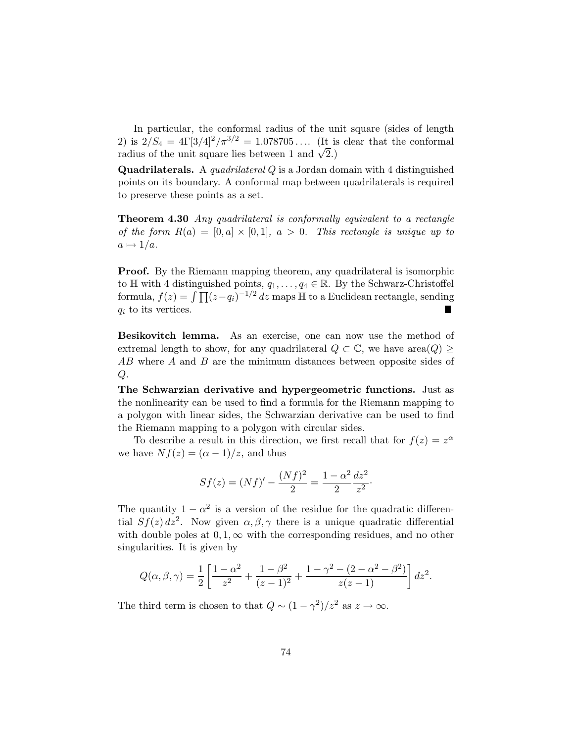In particular, the conformal radius of the unit square (sides of length 2) is  $2/S_4 = 4\Gamma[3/4]^2/\pi^{3/2} = 1.078705...$  (It is clear that the conformal radius of the unit square lies between 1 and  $\sqrt{2}$ .

Quadrilaterals. A *quadrilateral* Q is a Jordan domain with 4 distinguished points on its boundary. A conformal map between quadrilaterals is required to preserve these points as a set.

Theorem 4.30 *Any quadrilateral is conformally equivalent to a rectangle of the form*  $R(a) = [0, a] \times [0, 1]$ ,  $a > 0$ *. This rectangle is unique up to*  $a \mapsto 1/a$ .

**Proof.** By the Riemann mapping theorem, any quadrilateral is isomorphic to H with 4 distinguished points,  $q_1, \ldots, q_4 \in \mathbb{R}$ . By the Schwarz-Christoffel formula,  $f(z) = \int \prod (z - q_i)^{-1/2} dz$  maps  $\mathbb H$  to a Euclidean rectangle, sending  $q_i$  to its vertices.

Besikovitch lemma. As an exercise, one can now use the method of extremal length to show, for any quadrilateral  $Q \subset \mathbb{C}$ , we have area $(Q)$ AB where A and B are the minimum distances between opposite sides of  $Q$ .

The Schwarzian derivative and hypergeometric functions. Just as the nonlinearity can be used to find a formula for the Riemann mapping to a polygon with linear sides, the Schwarzian derivative can be used to find the Riemann mapping to a polygon with circular sides.

To describe a result in this direction, we first recall that for  $f(z) = z^{\alpha}$ we have  $Nf(z) = (\alpha - 1)/z$ , and thus

$$
Sf(z) = (Nf)' - \frac{(Nf)^2}{2} = \frac{1 - \alpha^2}{2} \frac{dz^2}{z^2}.
$$

The quantity  $1 - \alpha^2$  is a version of the residue for the quadratic differential  $Sf(z) dz^2$ . Now given  $\alpha, \beta, \gamma$  there is a unique quadratic differential with double poles at  $0, 1, \infty$  with the corresponding residues, and no other singularities. It is given by

$$
Q(\alpha, \beta, \gamma) = \frac{1}{2} \left[ \frac{1 - \alpha^2}{z^2} + \frac{1 - \beta^2}{(z - 1)^2} + \frac{1 - \gamma^2 - (2 - \alpha^2 - \beta^2)}{z(z - 1)} \right] dz^2.
$$

The third term is chosen to that  $Q \sim (1 - \gamma^2)/z^2$  as  $z \to \infty$ .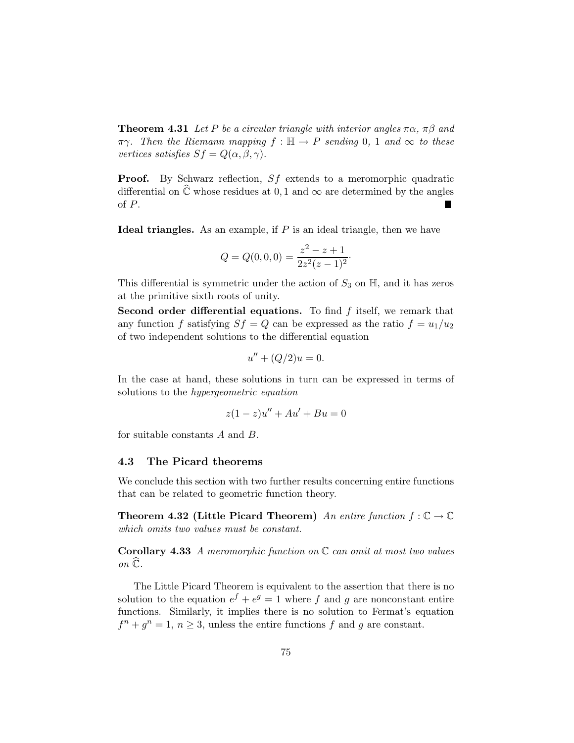**Theorem 4.31** *Let* P *be a circular triangle with interior angles*  $\pi \alpha$ ,  $\pi \beta$  *and*  $\pi\gamma$ . Then the Riemann mapping  $f : \mathbb{H} \to P$  sending 0, 1 and  $\infty$  to these *vertices satisfies*  $Sf = Q(\alpha, \beta, \gamma)$ *.* 

Proof. By Schwarz reflection, Sf extends to a meromorphic quadratic differential on  $\hat{\mathbb{C}}$  whose residues at 0, 1 and  $\infty$  are determined by the angles of P.

Ideal triangles. As an example, if  $P$  is an ideal triangle, then we have

$$
Q = Q(0,0,0) = \frac{z^2 - z + 1}{2z^2(z - 1)^2}.
$$

This differential is symmetric under the action of  $S_3$  on  $\mathbb{H}$ , and it has zeros at the primitive sixth roots of unity.

Second order differential equations. To find  $f$  itself, we remark that any function f satisfying  $Sf = Q$  can be expressed as the ratio  $f = u_1/u_2$ of two independent solutions to the differential equation

$$
u'' + (Q/2)u = 0.
$$

In the case at hand, these solutions in turn can be expressed in terms of solutions to the *hypergeometric equation*

$$
z(1-z)u'' + Au' + Bu = 0
$$

for suitable constants A and B.

#### 4.3 The Picard theorems

We conclude this section with two further results concerning entire functions that can be related to geometric function theory.

**Theorem 4.32 (Little Picard Theorem)** An entire function  $f : \mathbb{C} \to \mathbb{C}$ *which omits two values must be constant.*

Corollary 4.33 *A meromorphic function on* C *can omit at most two values*  $\overline{c}$ *on*  $\widehat{c}$ *.* 

The Little Picard Theorem is equivalent to the assertion that there is no solution to the equation  $e^f + e^g = 1$  where f and g are nonconstant entire functions. Similarly, it implies there is no solution to Fermat's equation  $f^{n} + g^{n} = 1, n \ge 3$ , unless the entire functions f and g are constant.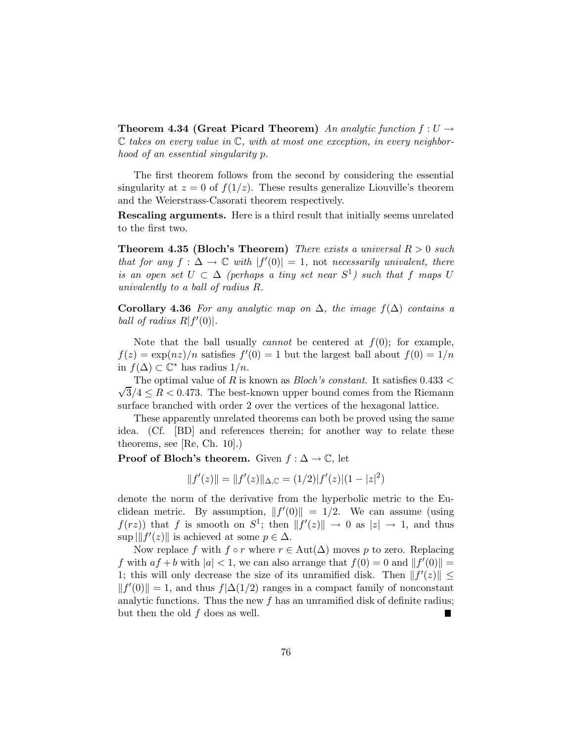**Theorem 4.34 (Great Picard Theorem)** An analytic function  $f: U \rightarrow$ C *takes on every value in* C*, with at most one exception, in every neighborhood of an essential singularity* p*.*

The first theorem follows from the second by considering the essential singularity at  $z = 0$  of  $f(1/z)$ . These results generalize Liouville's theorem and the Weierstrass-Casorati theorem respectively.

Rescaling arguments. Here is a third result that initially seems unrelated to the first two.

Theorem 4.35 (Bloch's Theorem) *There exists a universal* R > 0 *such that for any*  $f: \Delta \to \mathbb{C}$  *with*  $|f'(0)| = 1$ , not *necessarily univalent, there is an open set*  $U \subset \Delta$  *(perhaps a tiny set near*  $S^1$ *) such that*  $f$  *maps*  $U$ *univalently to a ball of radius* R*.*

Corollary 4.36 *For any analytic map on* ∆*, the image* f(∆) *contains a ball of radius*  $R|f'(0)|$ .

Note that the ball usually *cannot* be centered at  $f(0)$ ; for example,  $f(z) = \exp(nz)/n$  satisfies  $f'(0) = 1$  but the largest ball about  $f(0) = 1/n$ in  $f(\Delta)$  ⊂  $\mathbb{C}^*$  has radius  $1/n$ .

The optimal value of R is known as *Bloch's constant*. It satisfies 0.433 <  $\sqrt{3}/4 \le R < 0.473$ . The best-known upper bound comes from the Riemann surface branched with order 2 over the vertices of the hexagonal lattice.

These apparently unrelated theorems can both be proved using the same idea. (Cf. [BD] and references therein; for another way to relate these theorems, see [Re, Ch. 10].)

**Proof of Bloch's theorem.** Given  $f : \Delta \to \mathbb{C}$ , let

$$
||f'(z)|| = ||f'(z)||_{\Delta,\mathbb{C}} = (1/2)|f'(z)|(1-|z|^2)
$$

denote the norm of the derivative from the hyperbolic metric to the Euclidean metric. By assumption,  $||f'(0)|| = 1/2$ . We can assume (using  $f(rz)$  that f is smooth on  $S^1$ ; then  $||f'(z)|| \rightarrow 0$  as  $|z| \rightarrow 1$ , and thus  $\sup ||f'(z)||$  is achieved at some  $p \in \Delta$ .

Now replace f with  $f \circ r$  where  $r \in Aut(\Delta)$  moves p to zero. Replacing f with  $af + b$  with  $|a| < 1$ , we can also arrange that  $f(0) = 0$  and  $||f'(0)|| =$ 1; this will only decrease the size of its unramified disk. Then  $||f'(z)|| \le$  $|| f'(0) || = 1$ , and thus  $f|∆(1/2)$  ranges in a compact family of nonconstant analytic functions. Thus the new  $f$  has an unramified disk of definite radius; but then the old  $f$  does as well.  $\blacksquare$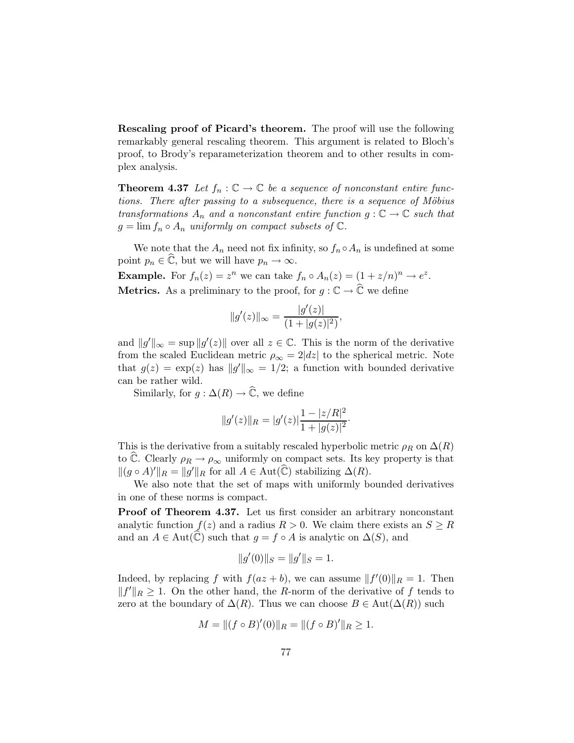Rescaling proof of Picard's theorem. The proof will use the following remarkably general rescaling theorem. This argument is related to Bloch's proof, to Brody's reparameterization theorem and to other results in complex analysis.

**Theorem 4.37** Let  $f_n : \mathbb{C} \to \mathbb{C}$  be a sequence of nonconstant entire func*tions. There after passing to a subsequence, there is a sequence of Möbius transformations*  $A_n$  *and a nonconstant entire function*  $g: \mathbb{C} \to \mathbb{C}$  *such that*  $g = \lim f_n \circ A_n$  *uniformly on compact subsets of*  $\mathbb{C}$ *.* 

We note that the  $A_n$  need not fix infinity, so  $f_n \circ A_n$  is undefined at some point  $p_n \in \widehat{\mathbb{C}}$ , but we will have  $p_n \to \infty$ .

**Example.** For  $f_n(z) = z^n$  we can take  $f_n \circ A_n(z) = (1 + z/n)^n \to e^z$ . **Metrics.** As a preliminary to the proof, for  $g : \mathbb{C} \to \widehat{\mathbb{C}}$  we define

$$
||g'(z)||_{\infty} = \frac{|g'(z)|}{(1+|g(z)|^2)},
$$

and  $||g'||_{\infty} = \sup ||g'(z)||$  over all  $z \in \mathbb{C}$ . This is the norm of the derivative from the scaled Euclidean metric  $\rho_{\infty} = 2|dz|$  to the spherical metric. Note that  $g(z) = \exp(z)$  has  $||g'||_{\infty} = 1/2$ ; a function with bounded derivative can be rather wild.

Similarly, for  $g : \Delta(R) \to \widehat{\mathbb{C}}$ , we define

$$
||g'(z)||_R = |g'(z)| \frac{1 - |z/R|^2}{1 + |g(z)|^2}.
$$

This is the derivative from a suitably rescaled hyperbolic metric  $\rho_R$  on  $\Delta(R)$ to C. Clearly  $\rho_R \to \rho_\infty$  uniformly on compact sets. Its key property is that  $||(g \circ A)'||_R = ||g'||_R$  for all  $A \in Aut(\widehat{\mathbb{C}})$  stabilizing  $\Delta(R)$ .

We also note that the set of maps with uniformly bounded derivatives in one of these norms is compact.

Proof of Theorem 4.37. Let us first consider an arbitrary nonconstant analytic function  $f(z)$  and a radius  $R > 0$ . We claim there exists an  $S \geq R$ and an  $A \in Aut(\mathbb{C})$  such that  $g = f \circ A$  is analytic on  $\Delta(S)$ , and

$$
||g'(0)||_S = ||g'||_S = 1.
$$

Indeed, by replacing f with  $f(az + b)$ , we can assume  $||f'(0)||_R = 1$ . Then  $||f'||_R \geq 1$ . On the other hand, the R-norm of the derivative of f tends to zero at the boundary of  $\Delta(R)$ . Thus we can choose  $B \in \text{Aut}(\Delta(R))$  such

$$
M = ||(f \circ B)'(0)||_R = ||(f \circ B)'||_R \ge 1.
$$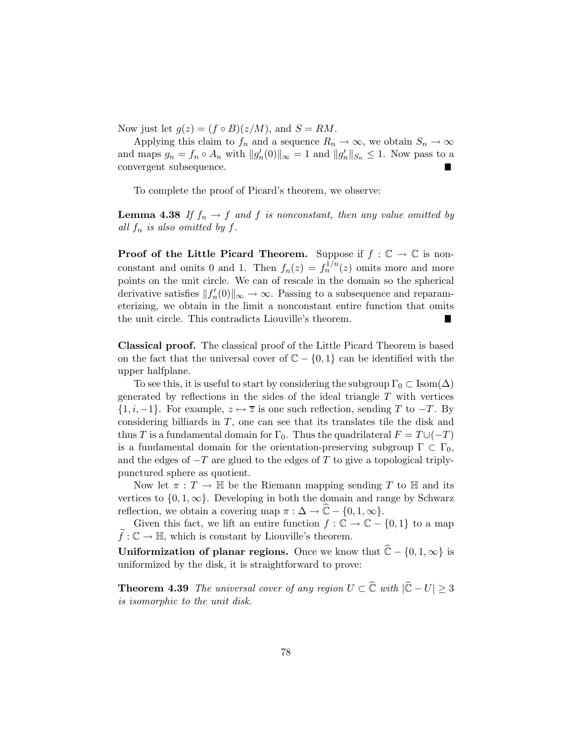Now just let  $g(z) = (f \circ B)(z/M)$ , and  $S = RM$ .

Applying this claim to  $f_n$  and a sequence  $R_n \to \infty$ , we obtain  $S_n \to \infty$ and maps  $g_n = f_n \circ A_n$  with  $||g'_n(0)||_{\infty} = 1$  and  $||g'_n||_{S_n} \leq 1$ . Now pass to a convergent subsequence.

To complete the proof of Picard's theorem, we observe:

**Lemma 4.38** If  $f_n \to f$  and f is nonconstant, then any value omitted by *all*  $f_n$  *is also omitted by*  $f$ *.* 

**Proof of the Little Picard Theorem.** Suppose if  $f : \mathbb{C} \to \mathbb{C}$  is nonconstant and omits 0 and 1. Then  $f_n(z) = f_n^{1/n}(z)$  omits more and more points on the unit circle. We can of rescale in the domain so the spherical derivative satisfies  $||f'_n(0)||_{\infty} \to \infty$ . Passing to a subsequence and reparameterizing, we obtain in the limit a nonconstant entire function that omits the unit circle. This contradicts Liouville's theorem.

Classical proof. The classical proof of the Little Picard Theorem is based on the fact that the universal cover of  $\mathbb{C} - \{0,1\}$  can be identified with the upper halfplane.

To see this, it is useful to start by considering the subgroup  $\Gamma_0 \subset \text{Isom}(\Delta)$ generated by reflections in the sides of the ideal triangle  $T$  with vertices  $\{1, i, -1\}$ . For example,  $z \mapsto \overline{z}$  is one such reflection, sending T to  $-T$ . By considering billiards in  $T$ , one can see that its translates tile the disk and thus T is a fundamental domain for  $\Gamma_0$ . Thus the quadrilateral  $F = T \cup (-T)$ is a fundamental domain for the orientation-preserving subgroup  $\Gamma \subset \Gamma_0$ , and the edges of  $-T$  are glued to the edges of T to give a topological triplypunctured sphere as quotient.

Now let  $\pi : T \to \mathbb{H}$  be the Riemann mapping sending T to  $\mathbb{H}$  and its vertices to  $\{0, 1, \infty\}$ . Developing in both the domain and range by Schwarz reflection, we obtain a covering map  $\pi : \Delta \to \mathbb{C} - \{0, 1, \infty\}.$ 

Given this fact, we lift an entire function  $f : \mathbb{C} \to \mathbb{C} - \{0,1\}$  to a map  $f: \mathbb{C} \to \mathbb{H}$ , which is constant by Liouville's theorem.

Uniformization of planar regions. Once we know that  $\hat{\mathbb{C}} - \{0, 1, \infty\}$  is uniformized by the disk, it is straightforward to prove:

**Theorem 4.39** *The universal cover of any region*  $U \subset \hat{\mathbb{C}}$  *with*  $|\hat{\mathbb{C}} - U| \geq 3$ *is isomorphic to the unit disk.*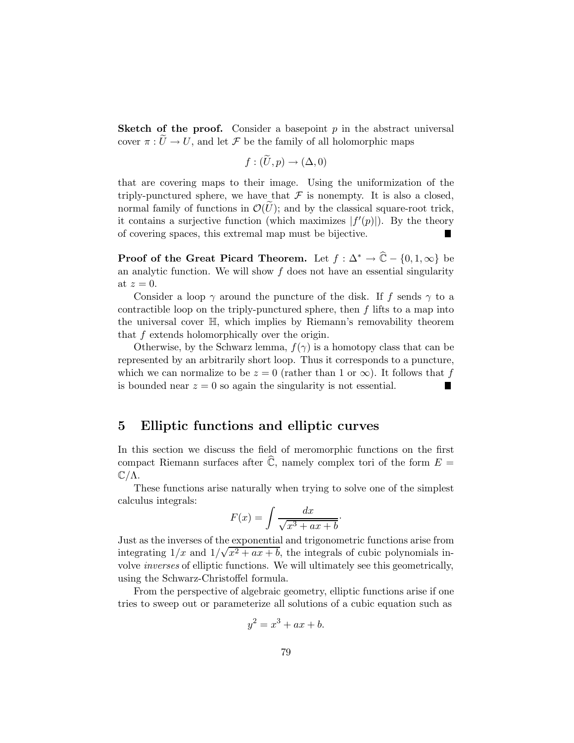**Sketch of the proof.** Consider a basepoint  $p$  in the abstract universal cover  $\pi: U \to U$ , and let F be the family of all holomorphic maps

$$
f:(\tilde{U},p)\to(\Delta,0)
$$

that are covering maps to their image. Using the uniformization of the triply-punctured sphere, we have that  $\mathcal F$  is nonempty. It is also a closed, normal family of functions in  $\mathcal{O}(U)$ ; and by the classical square-root trick, it contains a surjective function (which maximizes  $|f'(p)|$ ). By the theory of covering spaces, this extremal map must be bijective.

**Proof of the Great Picard Theorem.** Let  $f : \Delta^* \to \hat{\mathbb{C}} - \{0, 1, \infty\}$  be an analytic function. We will show  $f$  does not have an essential singularity at  $z=0$ .

Consider a loop  $\gamma$  around the puncture of the disk. If f sends  $\gamma$  to a contractible loop on the triply-punctured sphere, then  $f$  lifts to a map into the universal cover H, which implies by Riemann's removability theorem that f extends holomorphically over the origin.

Otherwise, by the Schwarz lemma,  $f(\gamma)$  is a homotopy class that can be represented by an arbitrarily short loop. Thus it corresponds to a puncture, which we can normalize to be  $z = 0$  (rather than 1 or  $\infty$ ). It follows that f is bounded near  $z = 0$  so again the singularity is not essential is bounded near  $z = 0$  so again the singularity is not essential.

# 5 Elliptic functions and elliptic curves

In this section we discuss the field of meromorphic functions on the first compact Riemann surfaces after  $\widehat{\mathbb{C}}$ , namely complex tori of the form  $E =$  $\mathbb{C}/\Lambda$ .

These functions arise naturally when trying to solve one of the simplest calculus integrals:

$$
F(x) = \int \frac{dx}{\sqrt{x^3 + ax + b}}.
$$

Just as the inverses of the exponential and trigonometric functions arise from integrating  $1/x$  and  $1/\sqrt{x^2 + ax + b}$ , the integrals of cubic polynomials involve *inverses* of elliptic functions. We will ultimately see this geometrically, using the Schwarz-Christoffel formula.

From the perspective of algebraic geometry, elliptic functions arise if one tries to sweep out or parameterize all solutions of a cubic equation such as

$$
y^2 = x^3 + ax + b.
$$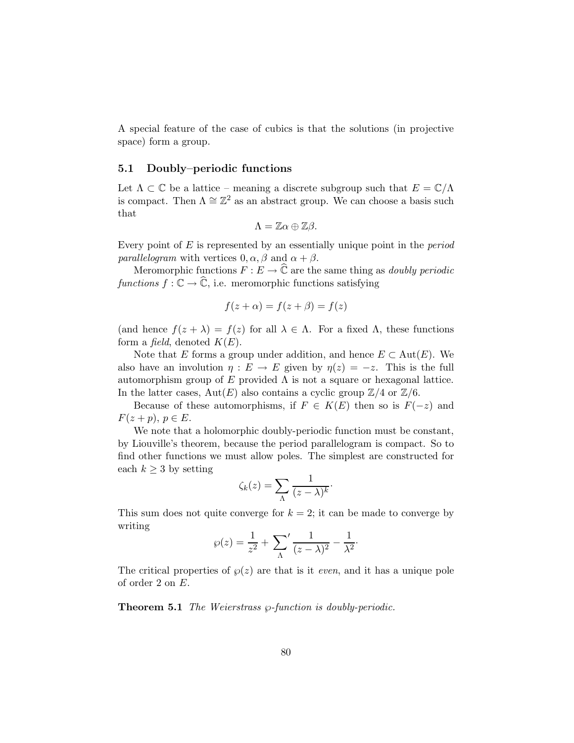A special feature of the case of cubics is that the solutions (in projective space) form a group.

#### 5.1 Doubly–periodic functions

Let  $\Lambda \subset \mathbb{C}$  be a lattice – meaning a discrete subgroup such that  $E = \mathbb{C}/\Lambda$ is compact. Then  $\Lambda \cong \mathbb{Z}^2$  as an abstract group. We can choose a basis such that

$$
\Lambda=\mathbb{Z}\alpha\oplus\mathbb{Z}\beta.
$$

Every point of E is represented by an essentially unique point in the *period parallelogram* with vertices  $0, \alpha, \beta$  and  $\alpha + \beta$ .

Meromorphic functions  $F : E \to \hat{\mathbb{C}}$  are the same thing as *doubly periodic functions*  $f: \mathbb{C} \to \mathbb{C}$ , i.e. meromorphic functions satisfying

$$
f(z + \alpha) = f(z + \beta) = f(z)
$$

(and hence  $f(z + \lambda) = f(z)$  for all  $\lambda \in \Lambda$ . For a fixed  $\Lambda$ , these functions form a *field*, denoted  $K(E)$ .

Note that E forms a group under addition, and hence  $E \subset Aut(E)$ . We also have an involution  $\eta : E \to E$  given by  $\eta(z) = -z$ . This is the full automorphism group of E provided  $\Lambda$  is not a square or hexagonal lattice. In the latter cases,  $Aut(E)$  also contains a cyclic group  $\mathbb{Z}/4$  or  $\mathbb{Z}/6$ .

Because of these automorphisms, if  $F \in K(E)$  then so is  $F(-z)$  and  $F(z+p), p \in E.$ 

We note that a holomorphic doubly-periodic function must be constant, by Liouville's theorem, because the period parallelogram is compact. So to find other functions we must allow poles. The simplest are constructed for each  $k \geq 3$  by setting

$$
\zeta_k(z) = \sum_{\Lambda} \frac{1}{(z-\lambda)^k}.
$$

This sum does not quite converge for  $k = 2$ ; it can be made to converge by writing

$$
\wp(z) = \frac{1}{z^2} + \sum_{\Lambda} \frac{1}{(z-\lambda)^2} - \frac{1}{\lambda^2}.
$$

The critical properties of  $\varphi(z)$  are that is it *even*, and it has a unique pole of order 2 on E.

**Theorem 5.1** *The Weierstrass*  $\wp$ -function is doubly-periodic.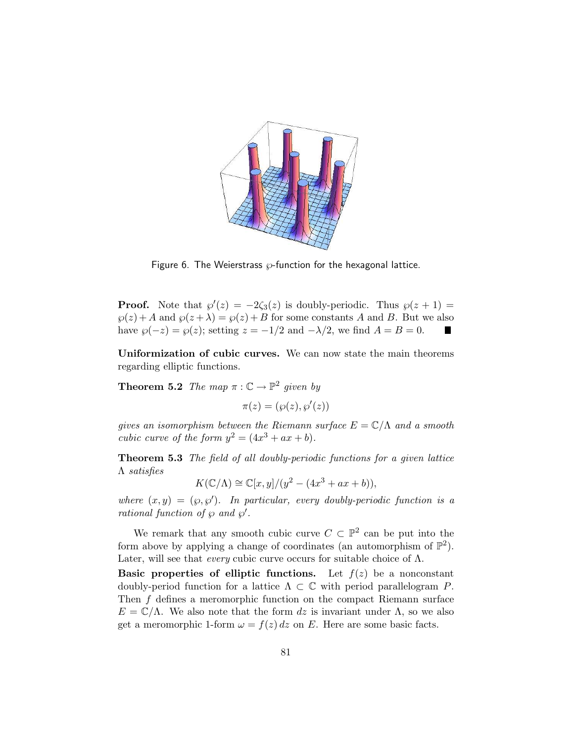

Figure 6. The Weierstrass  $\varnothing$ -function for the hexagonal lattice.

**Proof.** Note that  $\wp'(z) = -2\zeta_3(z)$  is doubly-periodic. Thus  $\wp(z+1) =$  $\wp(z) + A$  and  $\wp(z + \lambda) = \wp(z) + B$  for some constants A and B. But we also have  $\wp(-z) = \wp(z)$ ; setting  $z = -1/2$  and  $-\lambda/2$ , we find  $A = B = 0$ .

Uniformization of cubic curves. We can now state the main theorems regarding elliptic functions.

**Theorem 5.2** *The map*  $\pi : \mathbb{C} \to \mathbb{P}^2$  *given by* 

 $\pi(z) = (\wp(z), \wp'(z))$ 

*gives an isomorphism between the Riemann surface*  $E = \mathbb{C}/\Lambda$  *and a smooth cubic curve of the form*  $y^2 = (4x^3 + ax + b)$ *.* 

Theorem 5.3 *The field of all doubly-periodic functions for a given lattice* Λ *satisfies*

$$
K(\mathbb{C}/\Lambda) \cong \mathbb{C}[x, y]/(y^2 - (4x^3 + ax + b)),
$$

where  $(x, y) = (\varphi, \varphi')$ . In particular, every doubly-periodic function is a *rational function of*  $\wp$  *and*  $\wp'$ *.* 

We remark that any smooth cubic curve  $C \subset \mathbb{P}^2$  can be put into the form above by applying a change of coordinates (an automorphism of  $\mathbb{P}^2$ ). Later, will see that *every* cubic curve occurs for suitable choice of Λ.

Basic properties of elliptic functions. Let  $f(z)$  be a nonconstant doubly-period function for a lattice  $\Lambda \subset \mathbb{C}$  with period parallelogram P. Then f defines a meromorphic function on the compact Riemann surface  $E = \mathbb{C}/\Lambda$ . We also note that the form dz is invariant under  $\Lambda$ , so we also get a meromorphic 1-form  $\omega = f(z) dz$  on E. Here are some basic facts.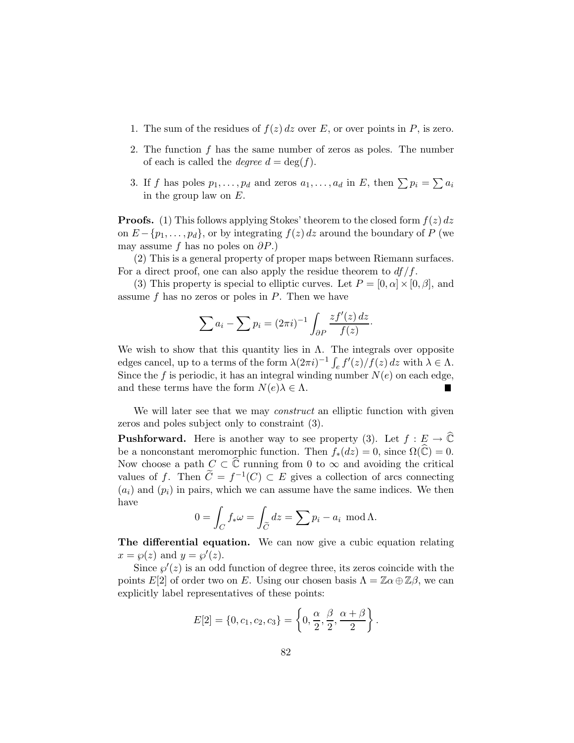- 1. The sum of the residues of  $f(z) dz$  over E, or over points in P, is zero.
- 2. The function  $f$  has the same number of zeros as poles. The number of each is called the *degree*  $d = \deg(f)$ .
- 3. If f has poles  $p_1, \ldots, p_d$  and zeros  $a_1, \ldots, a_d$  in E, then  $\sum p_i = \sum a_i$ in the group law on E.

**Proofs.** (1) This follows applying Stokes' theorem to the closed form  $f(z) dz$ on  $E - \{p_1, \ldots, p_d\}$ , or by integrating  $f(z) dz$  around the boundary of P (we may assume f has no poles on  $\partial P$ .)

(2) This is a general property of proper maps between Riemann surfaces. For a direct proof, one can also apply the residue theorem to  $df/f$ .

(3) This property is special to elliptic curves. Let  $P = [0, \alpha] \times [0, \beta]$ , and assume  $f$  has no zeros or poles in  $P$ . Then we have

$$
\sum a_i - \sum p_i = (2\pi i)^{-1} \int_{\partial P} \frac{zf'(z) dz}{f(z)}.
$$

We wish to show that this quantity lies in  $\Lambda$ . The integrals over opposite edges cancel, up to a terms of the form  $\lambda(2\pi i)^{-1} \int_e f'(z)/f(z) dz$  with  $\lambda \in \Lambda$ . Since the f is periodic, it has an integral winding number  $N(e)$  on each edge, and these terms have the form  $N(e)\lambda \in \Lambda$ .

We will later see that we may *construct* an elliptic function with given zeros and poles subject only to constraint (3).

**Pushforward.** Here is another way to see property (3). Let  $f : E \to \widehat{\mathbb{C}}$ be a nonconstant meromorphic function. Then  $f_*(dz) = 0$ , since  $\Omega(\widehat{\mathbb{C}}) = 0$ . Now choose a path  $C \subset \widehat{\mathbb{C}}$  running from 0 to  $\infty$  and avoiding the critical values of f. Then  $\tilde{C} = f^{-1}(C) \subset E$  gives a collection of arcs connecting  $(a_i)$  and  $(p_i)$  in pairs, which we can assume have the same indices. We then have

$$
0 = \int_C f_* \omega = \int_{\widetilde{C}} dz = \sum p_i - a_i \mod \Lambda.
$$

The differential equation. We can now give a cubic equation relating  $x = \wp(z)$  and  $y = \wp'(z)$ .

Since  $\wp'(z)$  is an odd function of degree three, its zeros coincide with the points E[2] of order two on E. Using our chosen basis  $\Lambda = \mathbb{Z} \alpha \oplus \mathbb{Z} \beta$ , we can explicitly label representatives of these points:

$$
E[2] = \{0, c_1, c_2, c_3\} = \left\{0, \frac{\alpha}{2}, \frac{\beta}{2}, \frac{\alpha + \beta}{2}\right\}.
$$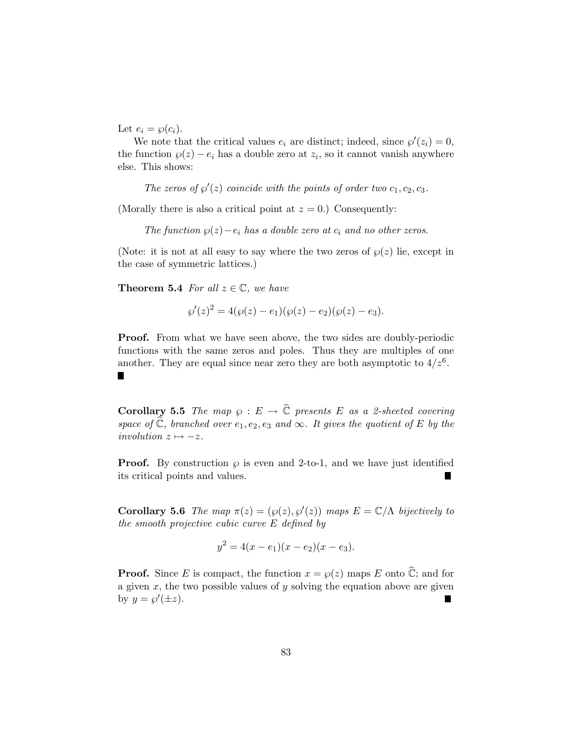Let  $e_i = \wp(c_i)$ .

We note that the critical values  $e_i$  are distinct; indeed, since  $\wp'(z_i) = 0$ , the function  $\wp(z) - e_i$  has a double zero at  $z_i$ , so it cannot vanish anywhere else. This shows:

The zeros of  $\wp'(z)$  coincide with the points of order two  $c_1, c_2, c_3$ .

(Morally there is also a critical point at  $z = 0$ .) Consequently:

*The function*  $\wp(z) - e_i$  *has a double zero at*  $c_i$  *and no other zeros.* 

(Note: it is not at all easy to say where the two zeros of  $\wp(z)$  lie, except in the case of symmetric lattices.)

**Theorem 5.4** *For all*  $z \in \mathbb{C}$ *, we have* 

$$
\wp'(z)^{2} = 4(\wp(z) - e_{1})(\wp(z) - e_{2})(\wp(z) - e_{3}).
$$

**Proof.** From what we have seen above, the two sides are doubly-periodic functions with the same zeros and poles. Thus they are multiples of one another. They are equal since near zero they are both asymptotic to  $4/z<sup>6</sup>$ . П

**Corollary 5.5** *The map*  $\wp : E \to \hat{\mathbb{C}}$  *presents* E *as a 2-sheeted covering space of*  $\widehat{\mathbb{C}}$ *, branched over*  $e_1, e_2, e_3$  *and*  $\infty$ *. It gives the quotient of* E *by the involution*  $z \mapsto -z$ *.* 

**Proof.** By construction  $\wp$  is even and 2-to-1, and we have just identified its critical points and values. П

**Corollary 5.6** *The map*  $\pi(z) = (\wp(z), \wp'(z))$  *maps*  $E = \mathbb{C}/\Lambda$  *bijectively to the smooth projective cubic curve* E *defined by*

$$
y^2 = 4(x - e_1)(x - e_2)(x - e_3).
$$

**Proof.** Since E is compact, the function  $x = \varphi(z)$  maps E onto  $\hat{\mathbb{C}}$ ; and for a given  $x$ , the two possible values of  $y$  solving the equation above are given by  $y = \wp'(\pm z)$ .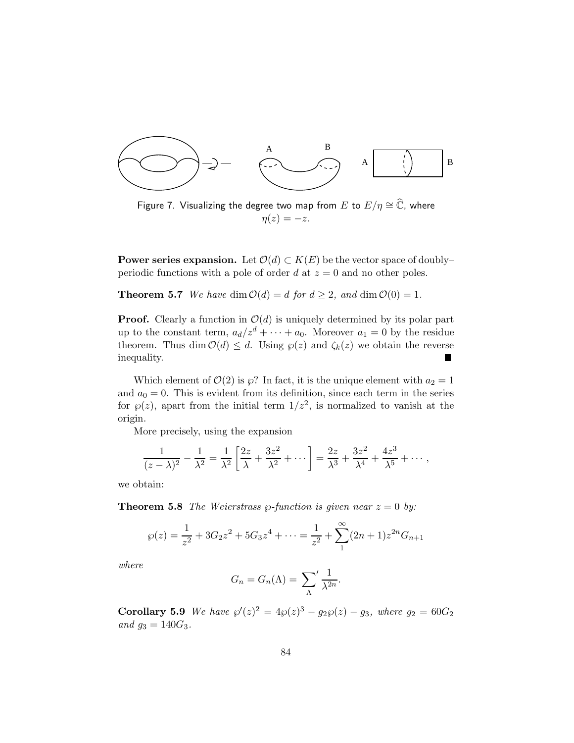

Figure 7. Visualizing the degree two map from  $E$  to  $E/\eta \cong \widehat{\mathbb{C}}$ , where  $\eta(z) = -z.$ 

**Power series expansion.** Let  $\mathcal{O}(d) \subset K(E)$  be the vector space of doubly– periodic functions with a pole of order  $d$  at  $z = 0$  and no other poles.

**Theorem 5.7** *We have* dim  $\mathcal{O}(d) = d$  *for*  $d \geq 2$ *, and* dim  $\mathcal{O}(0) = 1$ *.* 

**Proof.** Clearly a function in  $\mathcal{O}(d)$  is uniquely determined by its polar part up to the constant term,  $a_d/z^d + \cdots + a_0$ . Moreover  $a_1 = 0$  by the residue theorem. Thus dim  $\mathcal{O}(d) \leq d$ . Using  $\wp(z)$  and  $\zeta_k(z)$  we obtain the reverse inequality inequality.

Which element of  $\mathcal{O}(2)$  is  $\wp$ ? In fact, it is the unique element with  $a_2 = 1$ and  $a_0 = 0$ . This is evident from its definition, since each term in the series for  $\wp(z)$ , apart from the initial term  $1/z^2$ , is normalized to vanish at the origin.

More precisely, using the expansion

$$
\frac{1}{(z-\lambda)^2} - \frac{1}{\lambda^2} = \frac{1}{\lambda^2} \left[ \frac{2z}{\lambda} + \frac{3z^2}{\lambda^2} + \cdots \right] = \frac{2z}{\lambda^3} + \frac{3z^2}{\lambda^4} + \frac{4z^3}{\lambda^5} + \cdots,
$$

we obtain:

**Theorem 5.8** *The Weierstrass*  $\wp$ -function is given near  $z = 0$  by:

$$
\wp(z) = \frac{1}{z^2} + 3G_2 z^2 + 5G_3 z^4 + \dots = \frac{1}{z^2} + \sum_{1}^{\infty} (2n+1) z^{2n} G_{n+1}
$$

*where*

$$
G_n = G_n(\Lambda) = \sum_{\Lambda} \frac{1}{\lambda^{2n}}.
$$

**Corollary 5.9** *We have*  $\wp'(z)^2 = 4\wp(z)^3 - g_2\wp(z) - g_3$ *, where*  $g_2 = 60G_2$ *and*  $g_3 = 140G_3$ *.*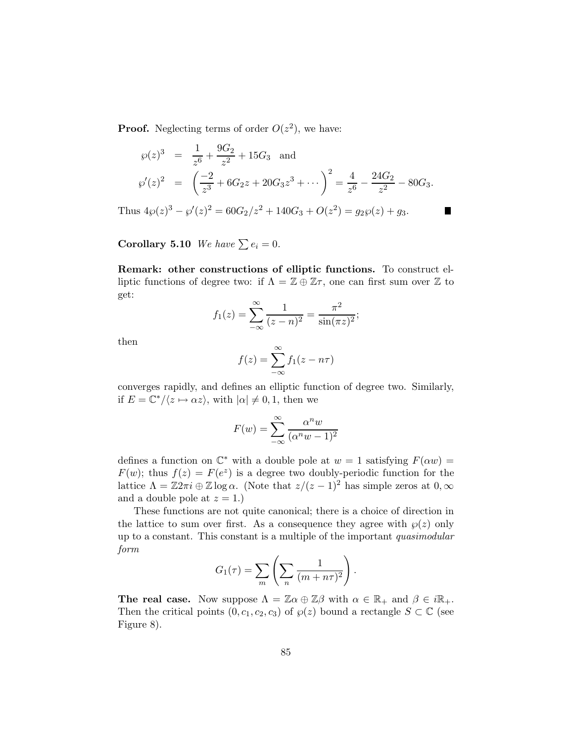**Proof.** Neglecting terms of order  $O(z^2)$ , we have:

$$
\wp(z)^3 = \frac{1}{z^6} + \frac{9G_2}{z^2} + 15G_3 \text{ and}
$$
  
\n
$$
\wp'(z)^2 = \left(\frac{-2}{z^3} + 6G_2z + 20G_3z^3 + \cdots\right)^2 = \frac{4}{z^6} - \frac{24G_2}{z^2} - 80G_3.
$$

 $\blacksquare$ 

Thus  $4\wp(z)^3 - \wp'(z)^2 = 60G_2/z^2 + 140G_3 + O(z^2) = g_2\wp(z) + g_3.$ 

Corollary 5.10 *We have*  $\sum e_i = 0$ *.* 

Remark: other constructions of elliptic functions. To construct elliptic functions of degree two: if  $\Lambda = \mathbb{Z} \oplus \mathbb{Z}\tau$ , one can first sum over  $\mathbb Z$  to get:

$$
f_1(z) = \sum_{-\infty}^{\infty} \frac{1}{(z-n)^2} = \frac{\pi^2}{\sin(\pi z)^2};
$$

then

$$
f(z) = \sum_{-\infty}^{\infty} f_1(z - n\tau)
$$

converges rapidly, and defines an elliptic function of degree two. Similarly, if  $E = \mathbb{C}^*/\langle z \mapsto \alpha z \rangle$ , with  $|\alpha| \neq 0, 1$ , then we

$$
F(w) = \sum_{-\infty}^{\infty} \frac{\alpha^n w}{(\alpha^n w - 1)^2}
$$

defines a function on  $\mathbb{C}^*$  with a double pole at  $w = 1$  satisfying  $F(\alpha w) =$  $F(w)$ ; thus  $f(z) = F(e^z)$  is a degree two doubly-periodic function for the lattice  $\Lambda = \mathbb{Z}2\pi i \oplus \mathbb{Z} \log \alpha$ . (Note that  $z/(z-1)^2$  has simple zeros at  $0, \infty$ ) and a double pole at  $z = 1$ .)

These functions are not quite canonical; there is a choice of direction in the lattice to sum over first. As a consequence they agree with  $\wp(z)$  only up to a constant. This constant is a multiple of the important *quasimodular form*

$$
G_1(\tau) = \sum_m \left( \sum_n \frac{1}{(m+n\tau)^2} \right).
$$

**The real case.** Now suppose  $\Lambda = \mathbb{Z}\alpha \oplus \mathbb{Z}\beta$  with  $\alpha \in \mathbb{R}_+$  and  $\beta \in i\mathbb{R}_+$ . Then the critical points  $(0, c_1, c_2, c_3)$  of  $\wp(z)$  bound a rectangle  $S \subset \mathbb{C}$  (see Figure 8).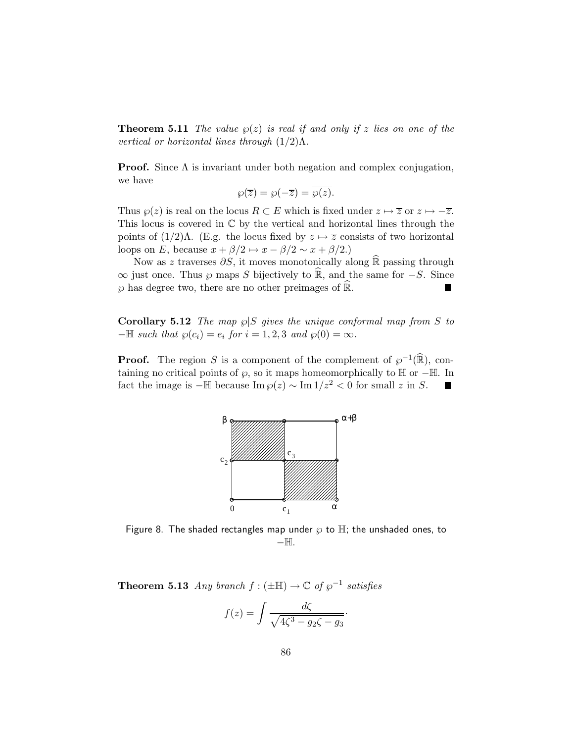**Theorem 5.11** *The value*  $\wp(z)$  *is real if and only if* z *lies on one of the vertical or horizontal lines through* (1/2)Λ*.*

**Proof.** Since  $\Lambda$  is invariant under both negation and complex conjugation, we have

$$
\wp(\overline{z}) = \wp(-\overline{z}) = \overline{\wp(z)}.
$$

Thus  $\wp(z)$  is real on the locus  $R \subset E$  which is fixed under  $z \mapsto \overline{z}$  or  $z \mapsto -\overline{z}$ . This locus is covered in  $\mathbb C$  by the vertical and horizontal lines through the points of  $(1/2)\Lambda$ . (E.g. the locus fixed by  $z \mapsto \overline{z}$  consists of two horizontal loops on E, because  $x + \beta/2 \rightarrow x - \beta/2 \sim x + \beta/2$ .)

Now as z traverses  $\partial S$ , it moves monotonically along R passing through  $\infty$  just once. Thus  $\wp$  maps S bijectively to  $\hat{\mathbb{R}}$ , and the same for  $-S$ . Since  $\wp$  has degree two, there are no other preimages of  $\hat{\mathbb{R}}$ .  $\wp$  has degree two, there are no other preimages of  $\mathbb{R}$ .

**Corollary 5.12** *The map*  $\wp | S$  *gives the unique conformal map from* S *to*  $-\mathbb{H}$  *such that*  $\wp(c_i) = e_i$  *for*  $i = 1, 2, 3$  *and*  $\wp(0) = \infty$ *.* 

**Proof.** The region S is a component of the complement of  $\varphi^{-1}(\mathbb{R})$ , containing no critical points of  $\wp$ , so it maps homeomorphically to  $\mathbb{H}$  or − $\mathbb{H}$ . In fact the image is − $\mathbb{H}$  because Im  $\wp(z) \sim \text{Im } 1/z^2 < 0$  for small z in S. fact the image is  $-\mathbb{H}$  because Im  $\wp(z) \sim \text{Im } 1/z^2 < 0$  for small z in S.



Figure 8. The shaded rectangles map under  $\wp$  to  $\mathbb H$ ; the unshaded ones, to −H.

**Theorem 5.13** *Any branch*  $f : (\pm \mathbb{H}) \to \mathbb{C}$  *of*  $\wp^{-1}$  *satisfies* 

$$
f(z) = \int \frac{d\zeta}{\sqrt{4\zeta^3 - g_2\zeta - g_3}}.
$$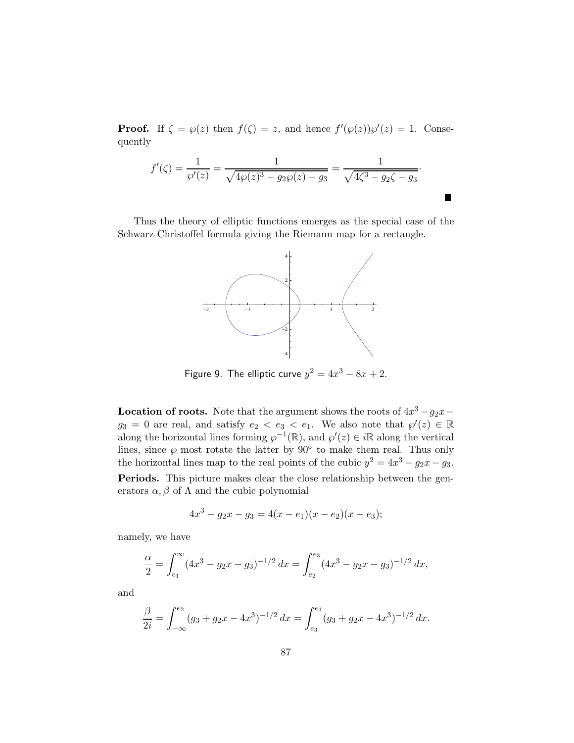**Proof.** If  $\zeta = \varphi(z)$  then  $f(\zeta) = z$ , and hence  $f'(\varphi(z))\varphi'(z) = 1$ . Consequently

$$
f'(\zeta) = \frac{1}{\wp'(z)} = \frac{1}{\sqrt{4\wp(z)^3 - g_2\wp(z) - g_3}} = \frac{1}{\sqrt{4\zeta^3 - g_2\zeta - g_3}}.
$$

Thus the theory of elliptic functions emerges as the special case of the Schwarz-Christoffel formula giving the Riemann map for a rectangle.



Figure 9. The elliptic curve  $y^2 = 4x^3 - 8x + 2$ .

**Location of roots.** Note that the argument shows the roots of  $4x^3 - g_2x$  $g_3 = 0$  are real, and satisfy  $e_2 < e_3 < e_1$ . We also note that  $\wp'(z) \in \mathbb{R}$ along the horizontal lines forming  $\varphi^{-1}(\mathbb{R})$ , and  $\varphi'(z) \in i\mathbb{R}$  along the vertical lines, since  $\wp$  most rotate the latter by 90 $\degree$  to make them real. Thus only the horizontal lines map to the real points of the cubic  $y^2 = 4x^3 - g_2x - g_3$ . Periods. This picture makes clear the close relationship between the generators  $\alpha, \beta$  of  $\Lambda$  and the cubic polynomial

$$
4x^3 - g_2x - g_3 = 4(x - e_1)(x - e_2)(x - e_3);
$$

namely, we have

$$
\frac{\alpha}{2} = \int_{e_1}^{\infty} (4x^3 - g_2x - g_3)^{-1/2} dx = \int_{e_2}^{e_3} (4x^3 - g_2x - g_3)^{-1/2} dx,
$$

and

$$
\frac{\beta}{2i} = \int_{-\infty}^{e_2} (g_3 + g_2 x - 4x^3)^{-1/2} dx = \int_{e_3}^{e_1} (g_3 + g_2 x - 4x^3)^{-1/2} dx.
$$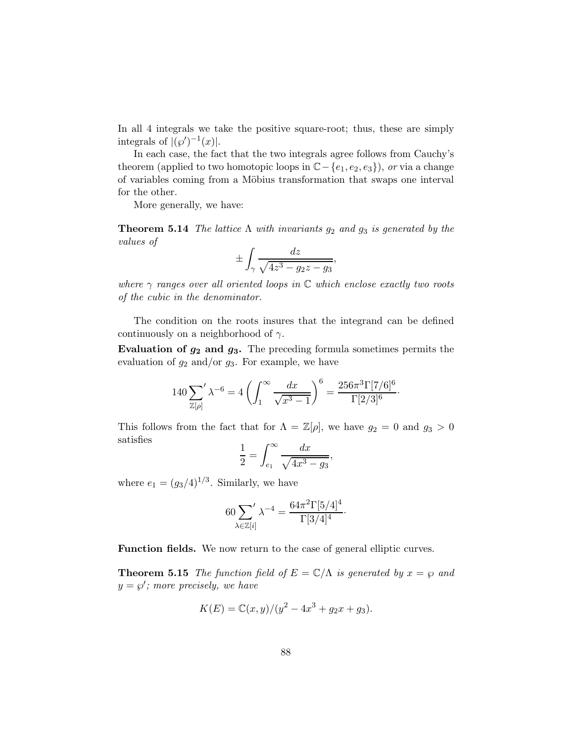In all 4 integrals we take the positive square-root; thus, these are simply integrals of  $|(\wp')^{-1}(x)|$ .

In each case, the fact that the two integrals agree follows from Cauchy's theorem (applied to two homotopic loops in C− {e1, e2, e3}), *or* via a change of variables coming from a Möbius transformation that swaps one interval for the other.

More generally, we have:

**Theorem 5.14** *The lattice*  $\Lambda$  *with invariants*  $g_2$  *and*  $g_3$  *is generated by the values of*

$$
\pm \int_{\gamma} \frac{dz}{\sqrt{4z^3 - g_2 z - g_3}},
$$

*where* γ *ranges over all oriented loops in* C *which enclose exactly two roots of the cubic in the denominator.*

The condition on the roots insures that the integrand can be defined continuously on a neighborhood of  $\gamma$ .

Evaluation of  $g_2$  and  $g_3$ . The preceding formula sometimes permits the evaluation of  $g_2$  and/or  $g_3$ . For example, we have

$$
140 \sum_{\mathbb{Z}[\rho]} \lambda^{-6} = 4 \left( \int_1^{\infty} \frac{dx}{\sqrt{x^3 - 1}} \right)^6 = \frac{256 \pi^3 \Gamma [7/6]^6}{\Gamma [2/3]^6}.
$$

This follows from the fact that for  $\Lambda = \mathbb{Z}[\rho]$ , we have  $g_2 = 0$  and  $g_3 > 0$ satisfies

$$
\frac{1}{2} = \int_{e_1}^{\infty} \frac{dx}{\sqrt{4x^3 - g_3}},
$$

where  $e_1 = (g_3/4)^{1/3}$ . Similarly, we have

$$
60\sum_{\lambda \in \mathbb{Z}[i]} \lambda^{-4} = \frac{64\pi^2 \Gamma[5/4]^4}{\Gamma[3/4]^4}.
$$

Function fields. We now return to the case of general elliptic curves.

**Theorem 5.15** *The function field of*  $E = \mathbb{C}/\Lambda$  *is generated by*  $x = \wp$  *and*  $y = \wp'$ ; more precisely, we have

$$
K(E) = \mathbb{C}(x, y)/(y^2 - 4x^3 + g_2x + g_3).
$$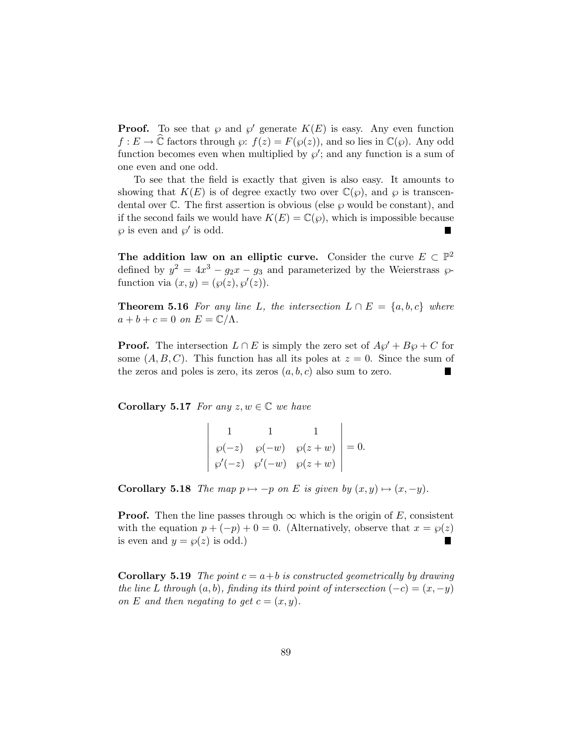**Proof.** To see that  $\wp$  and  $\wp'$  generate  $K(E)$  is easy. Any even function  $f: E \to \mathbb{C}$  factors through  $\wp: f(z) = F(\wp(z))$ , and so lies in  $\mathbb{C}(\wp)$ . Any odd function becomes even when multiplied by  $\wp'$ ; and any function is a sum of one even and one odd.

To see that the field is exactly that given is also easy. It amounts to showing that  $K(E)$  is of degree exactly two over  $\mathbb{C}(\varphi)$ , and  $\varphi$  is transcendental over  $\mathbb C$ . The first assertion is obvious (else  $\wp$  would be constant), and if the second fails we would have  $K(E) = \mathbb{C}(\varphi)$ , which is impossible because  $\wp$  is even and  $\wp'$  is odd.

The addition law on an elliptic curve. Consider the curve  $E \subset \mathbb{P}^2$ defined by  $y^2 = 4x^3 - g_2x - g_3$  and parameterized by the Weierstrass  $\wp$ function via  $(x, y) = (\wp(z), \wp'(z)).$ 

**Theorem 5.16** For any line L, the intersection  $L \cap E = \{a, b, c\}$  where  $a + b + c = 0$  *on*  $E = \mathbb{C}/\Lambda$ .

**Proof.** The intersection  $L \cap E$  is simply the zero set of  $A\varphi' + B\varphi + C$  for some  $(A, B, C)$ . This function has all its poles at  $z = 0$ . Since the sum of the zeros and poles is zero, its zeros  $(a, b, c)$  also sum to zero.

Corollary 5.17 *For any*  $z, w \in \mathbb{C}$  *we have* 

|  | $\begin{vmatrix} \wp(-z) & \wp(-w) & \wp(z+w) \\ \wp'(-z) & \wp'(-w) & \wp(z+w) \end{vmatrix} = 0.$ |  |
|--|-----------------------------------------------------------------------------------------------------|--|
|  |                                                                                                     |  |

**Corollary 5.18** *The map*  $p \mapsto -p$  *on E is given by*  $(x, y) \mapsto (x, -y)$ *.* 

**Proof.** Then the line passes through  $\infty$  which is the origin of E, consistent with the equation  $p + (-p) + 0 = 0$ . (Alternatively, observe that  $x = \wp(z)$  is even and  $y = \wp(z)$  is odd.) is even and  $y = \varphi(z)$  is odd.)

**Corollary 5.19** *The point*  $c = a + b$  *is constructed geometrically by drawing the line* L *through*  $(a, b)$ *, finding its third point of intersection*  $(-c) = (x, -y)$ *on* E and then negating to get  $c = (x, y)$ .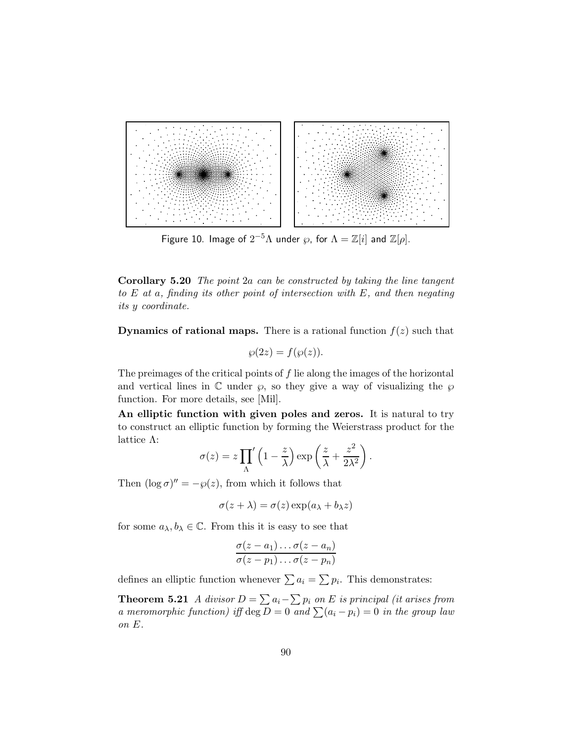

Figure 10. Image of  $2^{-5}\Lambda$  under  $\wp$ , for  $\Lambda=\mathbb{Z}[i]$  and  $\mathbb{Z}[\rho].$ 

Corollary 5.20 *The point* 2a *can be constructed by taking the line tangent to* E *at* a*, finding its other point of intersection with* E*, and then negating its* y *coordinate.*

**Dynamics of rational maps.** There is a rational function  $f(z)$  such that

$$
\wp(2z) = f(\wp(z)).
$$

The preimages of the critical points of f lie along the images of the horizontal and vertical lines in  $\mathbb C$  under  $\wp$ , so they give a way of visualizing the  $\wp$ function. For more details, see [Mil].

An elliptic function with given poles and zeros. It is natural to try to construct an elliptic function by forming the Weierstrass product for the lattice Λ:

$$
\sigma(z) = z \prod_{\Lambda} \left( 1 - \frac{z}{\lambda} \right) \exp\left(\frac{z}{\lambda} + \frac{z^2}{2\lambda^2}\right).
$$

Then  $(\log \sigma)'' = -\wp(z)$ , from which it follows that

$$
\sigma(z + \lambda) = \sigma(z) \exp(a_{\lambda} + b_{\lambda} z)
$$

for some  $a_{\lambda}, b_{\lambda} \in \mathbb{C}$ . From this it is easy to see that

$$
\frac{\sigma(z-a_1)\dots\sigma(z-a_n)}{\sigma(z-p_1)\dots\sigma(z-p_n)}
$$

defines an elliptic function whenever  $\sum a_i = \sum p_i$ . This demonstrates:

**Theorem 5.21** *A divisor*  $D = \sum a_i - \sum p_i$  *on E is principal (it arises from a meromorphic function) iff*  $\deg D = 0$  *and*  $\sum (a_i - p_i) = 0$  *in the group law on* E*.*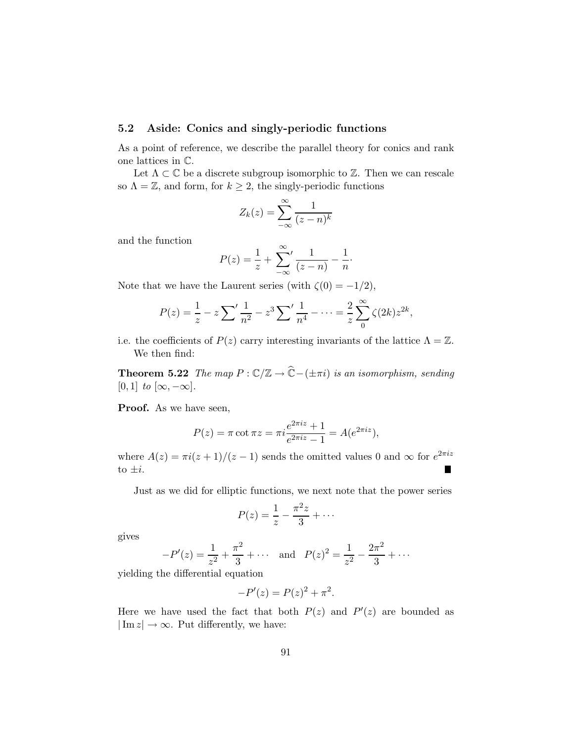## 5.2 Aside: Conics and singly-periodic functions

As a point of reference, we describe the parallel theory for conics and rank one lattices in C.

Let  $\Lambda \subset \mathbb{C}$  be a discrete subgroup isomorphic to  $\mathbb{Z}$ . Then we can rescale so  $\Lambda = \mathbb{Z}$ , and form, for  $k \geq 2$ , the singly-periodic functions

$$
Z_k(z) = \sum_{-\infty}^{\infty} \frac{1}{(z-n)^k}
$$

and the function

$$
P(z) = \frac{1}{z} + \sum_{-\infty}^{\infty} \frac{1}{(z - n)} - \frac{1}{n}.
$$

Note that we have the Laurent series (with  $\zeta(0) = -1/2$ ),

$$
P(z) = \frac{1}{z} - z \sum' \frac{1}{n^2} - z^3 \sum' \frac{1}{n^4} - \dots = \frac{2}{z} \sum_{0}^{\infty} \zeta(2k) z^{2k},
$$

i.e. the coefficients of  $P(z)$  carry interesting invariants of the lattice  $\Lambda = \mathbb{Z}$ . We then find:

**Theorem 5.22** *The map*  $P: \mathbb{C}/\mathbb{Z} \to \widehat{\mathbb{C}}$  –  $(\pm \pi i)$  *is an isomorphism, sending*  $[0, 1]$  *to*  $[\infty, -\infty]$ *.* 

**Proof.** As we have seen,

$$
P(z) = \pi \cot \pi z = \pi i \frac{e^{2\pi i z} + 1}{e^{2\pi i z} - 1} = A(e^{2\pi i z}),
$$

where  $A(z) = \pi i (z + 1)/(z - 1)$  sends the omitted values 0 and  $\infty$  for  $e^{2\pi i z}$ to  $\pm i$ . п

Just as we did for elliptic functions, we next note that the power series

$$
P(z) = \frac{1}{z} - \frac{\pi^2 z}{3} + \cdots
$$

gives

$$
-P'(z) = \frac{1}{z^2} + \frac{\pi^2}{3} + \cdots
$$
 and  $P(z)^2 = \frac{1}{z^2} - \frac{2\pi^2}{3} + \cdots$ 

yielding the differential equation

$$
-P'(z) = P(z)^{2} + \pi^{2}.
$$

Here we have used the fact that both  $P(z)$  and  $P'(z)$  are bounded as  $|\text{Im } z| \to \infty$ . Put differently, we have: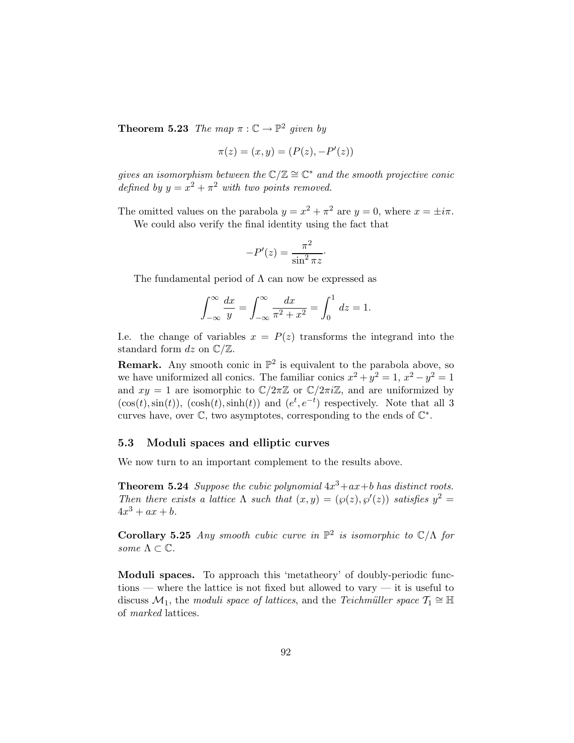**Theorem 5.23** *The map*  $\pi : \mathbb{C} \to \mathbb{P}^2$  *given by* 

$$
\pi(z) = (x, y) = (P(z), -P'(z))
$$

 $gives an isomorphism between the \mathbb{C}/\mathbb{Z} \cong \mathbb{C}^*$  *and the smooth projective conic defined by*  $y = x^2 + \pi^2$  *with two points removed.* 

The omitted values on the parabola  $y = x^2 + \pi^2$  are  $y = 0$ , where  $x = \pm i\pi$ . We could also verify the final identity using the fact that

$$
-P'(z) = \frac{\pi^2}{\sin^2 \pi z}.
$$

The fundamental period of  $\Lambda$  can now be expressed as

$$
\int_{-\infty}^{\infty} \frac{dx}{y} = \int_{-\infty}^{\infty} \frac{dx}{\pi^2 + x^2} = \int_{0}^{1} dz = 1.
$$

I.e. the change of variables  $x = P(z)$  transforms the integrand into the standard form  $dz$  on  $\mathbb{C}/\mathbb{Z}$ .

**Remark.** Any smooth conic in  $\mathbb{P}^2$  is equivalent to the parabola above, so we have uniformized all conics. The familiar conics  $x^2 + y^2 = 1$ ,  $x^2 - y^2 = 1$ and  $xy = 1$  are isomorphic to  $\mathbb{C}/2\pi\mathbb{Z}$  or  $\mathbb{C}/2\pi i\mathbb{Z}$ , and are uniformized by  $(\cos(t), \sin(t))$ ,  $(\cosh(t), \sinh(t))$  and  $(e^t, e^{-t})$  respectively. Note that all 3 curves have, over  $\mathbb{C}$ , two asymptotes, corresponding to the ends of  $\mathbb{C}^*$ .

#### 5.3 Moduli spaces and elliptic curves

We now turn to an important complement to the results above.

**Theorem 5.24** *Suppose the cubic polynomial*  $4x^3+ax+b$  *has distinct roots. Then there exists a lattice*  $\Lambda$  *such that*  $(x, y) = (\wp(z), \wp'(z))$  *satisfies*  $y^2 =$  $4x^3 + ax + b$ .

Corollary 5.25 *Any smooth cubic curve in*  $\mathbb{P}^2$  *is isomorphic to*  $\mathbb{C}/\Lambda$  *for some*  $\Lambda \subset \mathbb{C}$ *.* 

Moduli spaces. To approach this 'metatheory' of doubly-periodic functions — where the lattice is not fixed but allowed to vary — it is useful to discuss  $\mathcal{M}_1$ , the *moduli space of lattices*, and the *Teichmüller space*  $\mathcal{T}_1 \cong \mathbb{H}$ of *marked* lattices.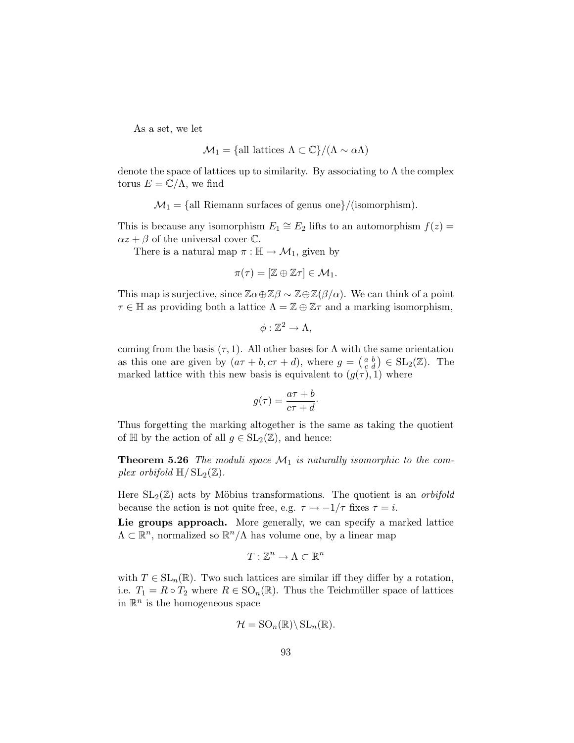As a set, we let

$$
\mathcal{M}_1 = \{\text{all lattices } \Lambda \subset \mathbb{C}\} / (\Lambda \sim \alpha \Lambda)
$$

denote the space of lattices up to similarity. By associating to  $\Lambda$  the complex torus  $E = \mathbb{C}/\Lambda$ , we find

 $\mathcal{M}_1 = \{\text{all Riemann surfaces of genus one}\}/(\text{isomorphism}).$ 

This is because any isomorphism  $E_1 \cong E_2$  lifts to an automorphism  $f(z) =$  $\alpha z + \beta$  of the universal cover  $\mathbb{C}$ .

There is a natural map  $\pi : \mathbb{H} \to \mathcal{M}_1$ , given by

$$
\pi(\tau)=[\mathbb{Z}\oplus\mathbb{Z}\tau]\in\mathcal{M}_1.
$$

This map is surjective, since  $\mathbb{Z}\alpha \oplus \mathbb{Z}\beta \sim \mathbb{Z}\oplus \mathbb{Z}(\beta/\alpha)$ . We can think of a point  $\tau \in \mathbb{H}$  as providing both a lattice  $\Lambda = \mathbb{Z} \oplus \mathbb{Z} \tau$  and a marking isomorphism,

$$
\phi:\mathbb{Z}^2\to\Lambda,
$$

coming from the basis  $(\tau, 1)$ . All other bases for  $\Lambda$  with the same orientation as this one are given by  $(a\tau + b, c\tau + d)$ , where  $g = \begin{pmatrix} a & b \\ c & d \end{pmatrix} \in SL_2(\mathbb{Z})$ . The marked lattice with this new basis is equivalent to  $(g(\tau), 1)$  where

$$
g(\tau) = \frac{a\tau + b}{c\tau + d}.
$$

Thus forgetting the marking altogether is the same as taking the quotient of  $\mathbb H$  by the action of all  $g \in SL_2(\mathbb Z)$ , and hence:

**Theorem 5.26** The moduli space  $\mathcal{M}_1$  is naturally isomorphic to the com*plex orbifold*  $\mathbb{H}/SL_2(\mathbb{Z})$ *.* 

Here  $SL_2(\mathbb{Z})$  acts by Möbius transformations. The quotient is an *orbifold* because the action is not quite free, e.g.  $\tau \mapsto -1/\tau$  fixes  $\tau = i$ .

Lie groups approach. More generally, we can specify a marked lattice  $\Lambda \subset \mathbb{R}^n$ , normalized so  $\mathbb{R}^n/\Lambda$  has volume one, by a linear map

$$
T:\mathbb{Z}^n\to\Lambda\subset\mathbb{R}^n
$$

with  $T \in SL_n(\mathbb{R})$ . Two such lattices are similar iff they differ by a rotation, i.e.  $T_1 = R \circ T_2$  where  $R \in \text{SO}_n(\mathbb{R})$ . Thus the Teichmüller space of lattices in  $\mathbb{R}^n$  is the homogeneous space

$$
\mathcal{H} = \mathrm{SO}_n(\mathbb{R}) \backslash \mathrm{SL}_n(\mathbb{R}).
$$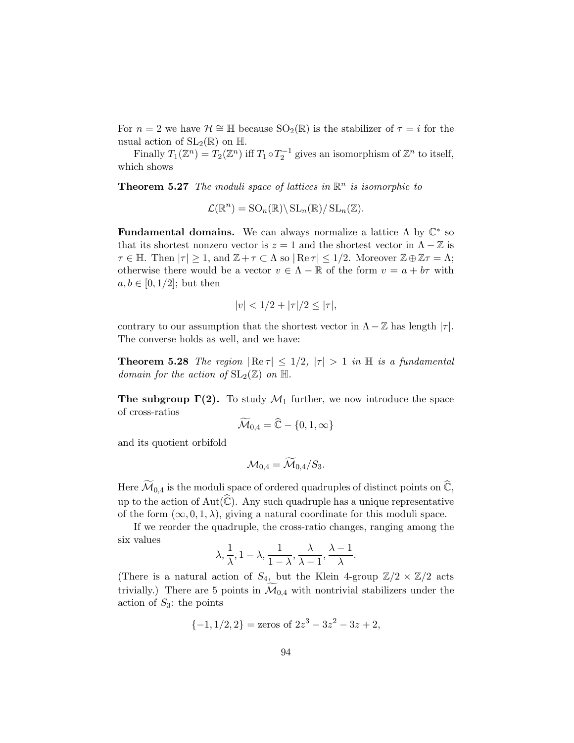For  $n = 2$  we have  $\mathcal{H} \cong \mathbb{H}$  because  $SO_2(\mathbb{R})$  is the stabilizer of  $\tau = i$  for the usual action of  $SL_2(\mathbb{R})$  on  $\mathbb{H}$ .

Finally  $T_1(\mathbb{Z}^n) = T_2(\mathbb{Z}^n)$  iff  $T_1 \circ T_2^{-1}$  gives an isomorphism of  $\mathbb{Z}^n$  to itself, which shows

**Theorem 5.27** *The moduli space of lattices in*  $\mathbb{R}^n$  *is isomorphic to* 

 $\mathcal{L}(\mathbb{R}^n) = \mathrm{SO}_n(\mathbb{R}) \backslash \mathrm{SL}_n(\mathbb{R}) / \mathrm{SL}_n(\mathbb{Z}).$ 

Fundamental domains. We can always normalize a lattice  $\Lambda$  by  $\mathbb{C}^*$  so that its shortest nonzero vector is  $z = 1$  and the shortest vector in  $\Lambda - \mathbb{Z}$  is  $\tau \in \mathbb{H}$ . Then  $|\tau| \geq 1$ , and  $\mathbb{Z} + \tau \subset \Lambda$  so  $|\operatorname{Re} \tau| \leq 1/2$ . Moreover  $\mathbb{Z} \oplus \mathbb{Z} \tau = \Lambda$ ; otherwise there would be a vector  $v \in \Lambda - \mathbb{R}$  of the form  $v = a + b\tau$  with  $a, b \in [0, 1/2]$ ; but then

$$
|v| < 1/2 + |\tau|/2 \le |\tau|,
$$

contrary to our assumption that the shortest vector in  $\Lambda - \mathbb{Z}$  has length  $|\tau|$ . The converse holds as well, and we have:

**Theorem 5.28** *The region*  $|\text{Re } \tau| \leq 1/2$ ,  $|\tau| > 1$  *in*  $\text{H}$  *is a fundamental domain for the action of*  $SL_2(\mathbb{Z})$  *on*  $\mathbb{H}$ *.* 

The subgroup  $\Gamma(2)$ . To study  $\mathcal{M}_1$  further, we now introduce the space of cross-ratios

$$
\mathcal{\tilde{M}}_{0,4}=\widehat{\mathbb{C}}-\{0,1,\infty\}
$$

and its quotient orbifold

$$
\mathcal{M}_{0,4}=\mathcal{M}_{0,4}/S_3.
$$

Here  $\widetilde{\mathcal{M}}_{0,4}$  is the moduli space of ordered quadruples of distinct points on  $\widehat{\mathbb{C}}$ , up to the action of  $Aut(\hat{\mathbb{C}})$ . Any such quadruple has a unique representative of the form  $(\infty, 0, 1, \lambda)$ , giving a natural coordinate for this moduli space.

If we reorder the quadruple, the cross-ratio changes, ranging among the six values

$$
\lambda, \frac{1}{\lambda}, 1 - \lambda, \frac{1}{1 - \lambda}, \frac{\lambda}{\lambda - 1}, \frac{\lambda - 1}{\lambda}.
$$

(There is a natural action of  $S_4$ , but the Klein 4-group  $\mathbb{Z}/2 \times \mathbb{Z}/2$  acts trivially.) There are 5 points in  $\mathcal{M}_{0,4}$  with nontrivial stabilizers under the action of  $S_3$ : the points

$$
\{-1, 1/2, 2\} = \text{zeros of } 2z^3 - 3z^2 - 3z + 2,
$$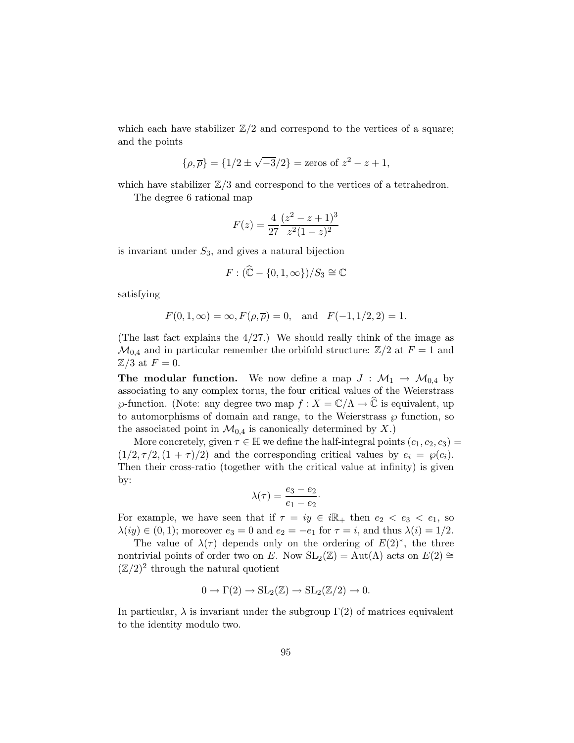which each have stabilizer  $\mathbb{Z}/2$  and correspond to the vertices of a square; and the points

$$
\{\rho,\overline{\rho}\} = \{1/2 \pm \sqrt{-3}/2\} = \text{zeros of } z^2 - z + 1,
$$

which have stabilizer  $\mathbb{Z}/3$  and correspond to the vertices of a tetrahedron.

The degree 6 rational map

$$
F(z) = \frac{4}{27} \frac{(z^2 - z + 1)^3}{z^2 (1 - z)^2}
$$

is invariant under  $S_3$ , and gives a natural bijection

$$
F: (\widehat{\mathbb{C}} - \{0, 1, \infty\})/S_3 \cong \mathbb{C}
$$

satisfying

$$
F(0, 1, \infty) = \infty, F(\rho, \overline{\rho}) = 0
$$
, and  $F(-1, 1/2, 2) = 1$ .

(The last fact explains the  $4/27$ .) We should really think of the image as  $\mathcal{M}_{0,4}$  and in particular remember the orbifold structure:  $\mathbb{Z}/2$  at  $F = 1$  and  $\mathbb{Z}/3$  at  $F=0$ .

**The modular function.** We now define a map  $J : \mathcal{M}_1 \to \mathcal{M}_{0,4}$  by associating to any complex torus, the four critical values of the Weierstrass  $\wp$ -function. (Note: any degree two map  $f: X = \mathbb{C}/\Lambda \to \widehat{\mathbb{C}}$  is equivalent, up to automorphisms of domain and range, to the Weierstrass  $\wp$  function, so the associated point in  $\mathcal{M}_{0,4}$  is canonically determined by X.)

More concretely, given  $\tau \in \mathbb{H}$  we define the half-integral points  $(c_1, c_2, c_3)$  =  $(1/2, \tau/2, (1 + \tau)/2)$  and the corresponding critical values by  $e_i = \varphi(c_i)$ . Then their cross-ratio (together with the critical value at infinity) is given by:

$$
\lambda(\tau) = \frac{e_3 - e_2}{e_1 - e_2}.
$$

For example, we have seen that if  $\tau = iy \in i\mathbb{R}_+$  then  $e_2 < e_3 < e_1$ , so  $\lambda(iy) \in (0,1)$ ; moreover  $e_3 = 0$  and  $e_2 = -e_1$  for  $\tau = i$ , and thus  $\lambda(i) = 1/2$ .

The value of  $\lambda(\tau)$  depends only on the ordering of  $E(2)^*$ , the three nontrivial points of order two on E. Now  $SL_2(\mathbb{Z}) = Aut(\Lambda)$  acts on  $E(2) \cong$  $(\mathbb{Z}/2)^2$  through the natural quotient

$$
0 \to \Gamma(2) \to SL_2(\mathbb{Z}) \to SL_2(\mathbb{Z}/2) \to 0.
$$

In particular,  $\lambda$  is invariant under the subgroup  $\Gamma(2)$  of matrices equivalent to the identity modulo two.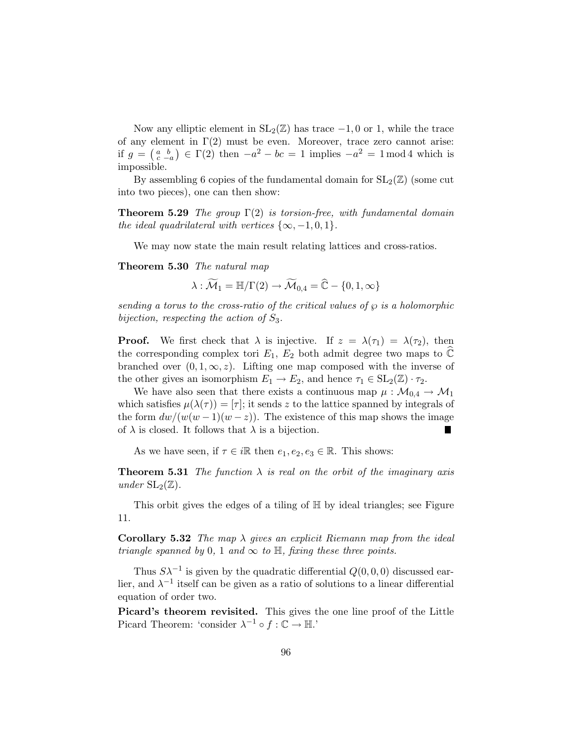Now any elliptic element in  $SL_2(\mathbb{Z})$  has trace  $-1, 0$  or 1, while the trace of any element in  $\Gamma(2)$  must be even. Moreover, trace zero cannot arise: if  $g = \begin{pmatrix} a & b \\ c & -a \end{pmatrix} \in \Gamma(2)$  then  $-a^2 - bc = 1$  implies  $-a^2 = 1 \mod 4$  which is impossible.

By assembling 6 copies of the fundamental domain for  $SL_2(\mathbb{Z})$  (some cut into two pieces), one can then show:

Theorem 5.29 *The group* Γ(2) *is torsion-free, with fundamental domain the ideal quadrilateral with vertices*  $\{\infty, -1, 0, 1\}$ *.* 

We may now state the main result relating lattices and cross-ratios.

Theorem 5.30 *The natural map*

 $\lambda : \widetilde{\mathcal{M}}_1 = \mathbb{H}/\Gamma(2) \rightarrow \widetilde{\mathcal{M}}_{0,4} = \widehat{\mathbb{C}} - \{0, 1, \infty\}$ 

*sending a torus to the cross-ratio of the critical values of*  $\wp$  *is a holomorphic bijection, respecting the action of* S3*.*

**Proof.** We first check that  $\lambda$  is injective. If  $z = \lambda(\tau_1) = \lambda(\tau_2)$ , then the corresponding complex tori  $E_1, E_2$  both admit degree two maps to  $\mathbb C$ branched over  $(0, 1, \infty, z)$ . Lifting one map composed with the inverse of the other gives an isomorphism  $E_1 \to E_2$ , and hence  $\tau_1 \in SL_2(\mathbb{Z}) \cdot \tau_2$ .

We have also seen that there exists a continuous map  $\mu : \mathcal{M}_{0,4} \to \mathcal{M}_1$ which satisfies  $\mu(\lambda(\tau)) = [\tau]$ ; it sends z to the lattice spanned by integrals of the form  $dw/(w(w-1)(w-z))$ . The existence of this map shows the image of  $\lambda$  is closed. It follows that  $\lambda$  is a bijection.

As we have seen, if  $\tau \in i\mathbb{R}$  then  $e_1, e_2, e_3 \in \mathbb{R}$ . This shows:

**Theorem 5.31** *The function*  $\lambda$  *is real on the orbit of the imaginary axis under*  $SL_2(\mathbb{Z})$ .

This orbit gives the edges of a tiling of  $\mathbb H$  by ideal triangles; see Figure 11.

Corollary 5.32 *The map* λ *gives an explicit Riemann map from the ideal triangle spanned by* 0, 1 *and*  $\infty$  *to*  $\mathbb{H}$ *, fixing these three points.* 

Thus  $S\lambda^{-1}$  is given by the quadratic differential  $Q(0,0,0)$  discussed earlier, and  $\lambda^{-1}$  itself can be given as a ratio of solutions to a linear differential equation of order two.

Picard's theorem revisited. This gives the one line proof of the Little Picard Theorem: 'consider  $\lambda^{-1} \circ f : \mathbb{C} \to \mathbb{H}$ .'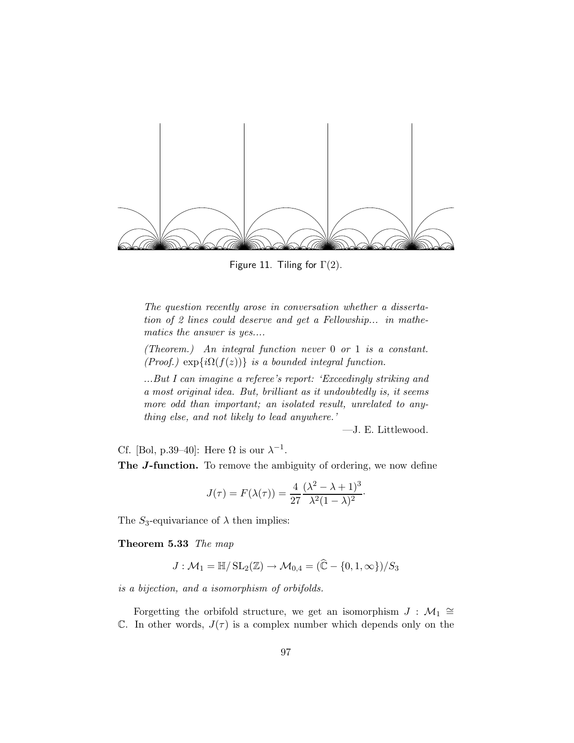

Figure 11. Tiling for  $\Gamma(2)$ .

*The question recently arose in conversation whether a dissertation of 2 lines could deserve and get a Fellowship... in mathematics the answer is yes....*

*(Theorem.) An integral function never* 0 *or* 1 *is a constant. (Proof.)* exp $\{i\Omega(f(z))\}$  *is a bounded integral function.* 

*...But I can imagine a referee's report: 'Exceedingly striking and a most original idea. But, brilliant as it undoubtedly is, it seems more odd than important; an isolated result, unrelated to anything else, and not likely to lead anywhere.'*

—J. E. Littlewood.

Cf. [Bol, p.39–40]: Here  $\Omega$  is our  $\lambda^{-1}$ .

The *J*-function. To remove the ambiguity of ordering, we now define

$$
J(\tau) = F(\lambda(\tau)) = \frac{4}{27} \frac{(\lambda^2 - \lambda + 1)^3}{\lambda^2 (1 - \lambda)^2}.
$$

The  $S_3$ -equivariance of  $\lambda$  then implies:

Theorem 5.33 *The map*

$$
J: \mathcal{M}_1 = \mathbb{H}/\operatorname{SL}_2(\mathbb{Z}) \to \mathcal{M}_{0,4} = (\mathbb{C} - \{0, 1, \infty\})/S_3
$$

*is a bijection, and a isomorphism of orbifolds.*

Forgetting the orbifold structure, we get an isomorphism  $J : \mathcal{M}_1 \cong$ C. In other words,  $J(\tau)$  is a complex number which depends only on the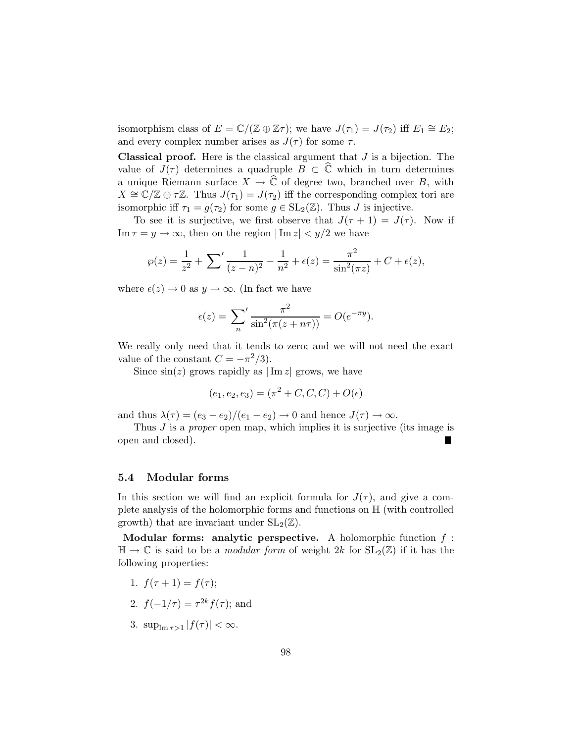isomorphism class of  $E = \mathbb{C}/(\mathbb{Z} \oplus \mathbb{Z} \tau)$ ; we have  $J(\tau_1) = J(\tau_2)$  iff  $E_1 \cong E_2$ ; and every complex number arises as  $J(\tau)$  for some  $\tau$ .

**Classical proof.** Here is the classical argument that  $J$  is a bijection. The value of  $J(\tau)$  determines a quadruple  $B \subset \mathbb{C}$  which in turn determines a unique Riemann surface  $X \to \hat{\mathbb{C}}$  of degree two, branched over B, with  $X \cong \mathbb{C}/\mathbb{Z} \oplus \tau \mathbb{Z}$ . Thus  $J(\tau_1) = J(\tau_2)$  iff the corresponding complex tori are isomorphic iff  $\tau_1 = g(\tau_2)$  for some  $g \in SL_2(\mathbb{Z})$ . Thus J is injective.

To see it is surjective, we first observe that  $J(\tau + 1) = J(\tau)$ . Now if Im  $\tau = y \to \infty$ , then on the region  $|\text{Im } z| < y/2$  we have

$$
\wp(z) = \frac{1}{z^2} + \sum' \frac{1}{(z-n)^2} - \frac{1}{n^2} + \epsilon(z) = \frac{\pi^2}{\sin^2(\pi z)} + C + \epsilon(z),
$$

where  $\epsilon(z) \to 0$  as  $y \to \infty$ . (In fact we have

$$
\epsilon(z) = \sum_{n}^{\prime} \frac{\pi^2}{\sin^2(\pi(z + n\tau))} = O(e^{-\pi y}).
$$

We really only need that it tends to zero; and we will not need the exact value of the constant  $C = -\pi^2/3$ .

Since  $\sin(z)$  grows rapidly as  $|\text{Im } z|$  grows, we have

$$
(e_1, e_2, e_3) = (\pi^2 + C, C, C) + O(\epsilon)
$$

and thus  $\lambda(\tau) = (e_3 - e_2)/(e_1 - e_2) \rightarrow 0$  and hence  $J(\tau) \rightarrow \infty$ .

Thus J is a *proper* open map, which implies it is surjective (its image is open and closed).

#### 5.4 Modular forms

In this section we will find an explicit formula for  $J(\tau)$ , and give a complete analysis of the holomorphic forms and functions on H (with controlled growth) that are invariant under  $SL_2(\mathbb{Z})$ .

Modular forms: analytic perspective. A holomorphic function  $f$ :  $\mathbb{H} \to \mathbb{C}$  is said to be a *modular form* of weight 2k for  $SL_2(\mathbb{Z})$  if it has the following properties:

- 1.  $f(\tau + 1) = f(\tau);$
- 2.  $f(-1/\tau) = \tau^{2k} f(\tau)$ ; and
- 3.  $\sup_{\text{Im } \tau > 1} |f(\tau)| < \infty$ .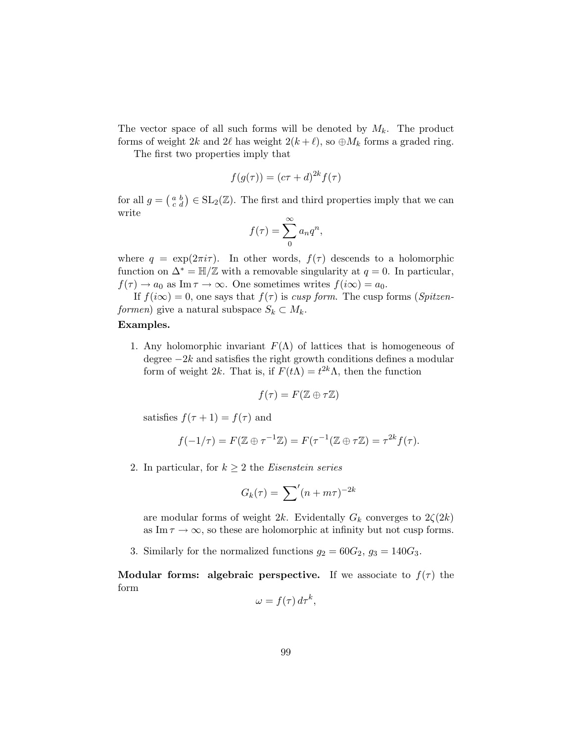The vector space of all such forms will be denoted by  $M_k$ . The product forms of weight 2k and 2l has weight  $2(k+\ell)$ , so  $\oplus M_k$  forms a graded ring.

The first two properties imply that

$$
f(g(\tau)) = (c\tau + d)^{2k} f(\tau)
$$

for all  $g = \begin{pmatrix} a & b \\ c & d \end{pmatrix} \in SL_2(\mathbb{Z})$ . The first and third properties imply that we can write

$$
f(\tau) = \sum_{n=0}^{\infty} a_n q^n,
$$

where  $q = \exp(2\pi i \tau)$ . In other words,  $f(\tau)$  descends to a holomorphic function on  $\Delta^* = \mathbb{H}/\mathbb{Z}$  with a removable singularity at  $q = 0$ . In particular,  $f(\tau) \to a_0$  as Im  $\tau \to \infty$ . One sometimes writes  $f(i\infty) = a_0$ .

If  $f(i\infty) = 0$ , one says that  $f(\tau)$  is *cusp form*. The cusp forms (*Spitzenformen*) give a natural subspace  $S_k \subset M_k$ .

### Examples.

1. Any holomorphic invariant  $F(\Lambda)$  of lattices that is homogeneous of degree  $-2k$  and satisfies the right growth conditions defines a modular form of weight 2k. That is, if  $F(t\Lambda) = t^{2k}\Lambda$ , then the function

$$
f(\tau) = F(\mathbb{Z} \oplus \tau \mathbb{Z})
$$

satisfies  $f(\tau + 1) = f(\tau)$  and

$$
f(-1/\tau) = F(\mathbb{Z} \oplus \tau^{-1}\mathbb{Z}) = F(\tau^{-1}(\mathbb{Z} \oplus \tau\mathbb{Z}) = \tau^{2k} f(\tau).
$$

2. In particular, for  $k \geq 2$  the *Eisenstein series* 

$$
G_k(\tau) = \sum'(n + m\tau)^{-2k}
$$

are modular forms of weight 2k. Evidentally  $G_k$  converges to  $2\zeta(2k)$ as Im  $\tau \to \infty$ , so these are holomorphic at infinity but not cusp forms.

3. Similarly for the normalized functions  $g_2 = 60G_2$ ,  $g_3 = 140G_3$ .

**Modular forms: algebraic perspective.** If we associate to  $f(\tau)$  the form

$$
\omega = f(\tau) d\tau^k,
$$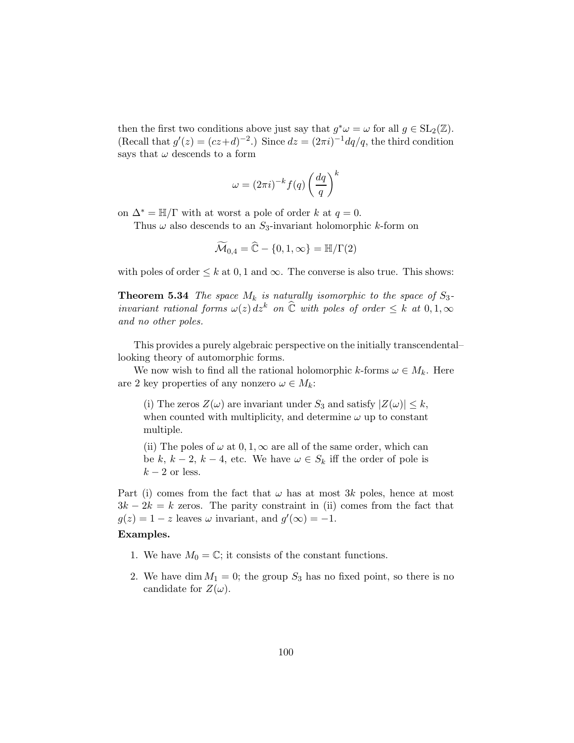then the first two conditions above just say that  $g^*\omega = \omega$  for all  $g \in SL_2(\mathbb{Z})$ . (Recall that  $g'(z) = (cz+d)^{-2}$ .) Since  $dz = (2\pi i)^{-1} dq/q$ , the third condition says that  $\omega$  descends to a form

$$
\omega = (2\pi i)^{-k} f(q) \left(\frac{dq}{q}\right)^k
$$

on  $\Delta^* = \mathbb{H}/\Gamma$  with at worst a pole of order k at  $q = 0$ .

Thus  $\omega$  also descends to an  $S_3$ -invariant holomorphic k-form on

$$
\widetilde{\mathcal{M}}_{0,4} = \widehat{\mathbb{C}} - \{0, 1, \infty\} = \mathbb{H}/\Gamma(2)
$$

with poles of order  $\leq k$  at 0, 1 and  $\infty$ . The converse is also true. This shows:

**Theorem 5.34** *The space*  $M_k$  *is naturally isomorphic to the space of*  $S_3$ *invariant rational forms*  $\omega(z) dz^k$  *on*  $\widehat{C}$  *with poles of order*  $\leq k$  *at* 0, 1,  $\infty$ *and no other poles.*

This provides a purely algebraic perspective on the initially transcendental– looking theory of automorphic forms.

We now wish to find all the rational holomorphic k-forms  $\omega \in M_k$ . Here are 2 key properties of any nonzero  $\omega \in M_k$ :

(i) The zeros  $Z(\omega)$  are invariant under  $S_3$  and satisfy  $|Z(\omega)| \leq k$ , when counted with multiplicity, and determine  $\omega$  up to constant multiple.

(ii) The poles of  $\omega$  at  $0, 1, \infty$  are all of the same order, which can be k,  $k-2$ ,  $k-4$ , etc. We have  $\omega \in S_k$  iff the order of pole is  $k-2$  or less.

Part (i) comes from the fact that  $\omega$  has at most 3k poles, hence at most  $3k - 2k = k$  zeros. The parity constraint in (ii) comes from the fact that  $g(z) = 1 - z$  leaves  $\omega$  invariant, and  $g'(\infty) = -1$ .

#### Examples.

- 1. We have  $M_0 = \mathbb{C}$ ; it consists of the constant functions.
- 2. We have dim  $M_1 = 0$ ; the group  $S_3$  has no fixed point, so there is no candidate for  $Z(\omega)$ .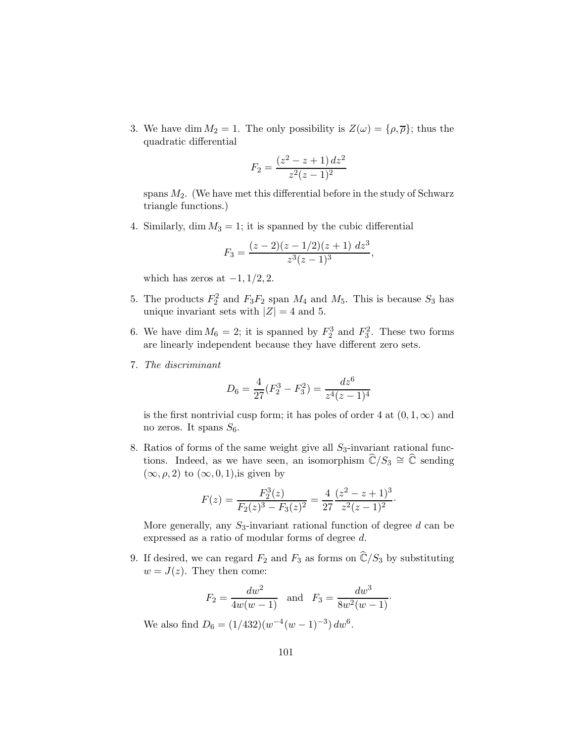3. We have dim  $M_2 = 1$ . The only possibility is  $Z(\omega) = \{\rho, \overline{\rho}\}\;$  thus the quadratic differential

$$
F_2 = \frac{(z^2 - z + 1) dz^2}{z^2 (z - 1)^2}
$$

spans  $M_2$ . (We have met this differential before in the study of Schwarz triangle functions.)

4. Similarly, dim  $M_3 = 1$ ; it is spanned by the cubic differential

$$
F_3 = \frac{(z-2)(z-1/2)(z+1) dz^3}{z^3(z-1)^3},
$$

which has zeros at  $-1$ ,  $1/2$ , 2.

- 5. The products  $F_2^2$  and  $F_3F_2$  span  $M_4$  and  $M_5$ . This is because  $S_3$  has unique invariant sets with  $|Z| = 4$  and 5.
- 6. We have dim  $M_6 = 2$ ; it is spanned by  $F_2^3$  and  $F_3^2$ . These two forms are linearly independent because they have different zero sets.
- 7. *The discriminant*

$$
D_6 = \frac{4}{27}(F_2^3 - F_3^2) = \frac{dz^6}{z^4(z-1)^4}
$$

is the first nontrivial cusp form; it has poles of order 4 at  $(0, 1, \infty)$  and no zeros. It spans  $S_6$ .

8. Ratios of forms of the same weight give all  $S_3$ -invariant rational functions. Indeed, as we have seen, an isomorphism  $\mathbb{C}/S_3 \cong \mathbb{C}$  sending  $(\infty, \rho, 2)$  to  $(\infty, 0, 1)$ , is given by

$$
F(z) = \frac{F_2^3(z)}{F_2(z)^3 - F_3(z)^2} = \frac{4}{27} \frac{(z^2 - z + 1)^3}{z^2(z - 1)^2}.
$$

More generally, any  $S_3$ -invariant rational function of degree d can be expressed as a ratio of modular forms of degree d.

9. If desired, we can regard  $F_2$  and  $F_3$  as forms on  $\widehat{\mathbb{C}}/S_3$  by substituting  $w = J(z)$ . They then come:

$$
F_2 = \frac{dw^2}{4w(w-1)}
$$
 and  $F_3 = \frac{dw^3}{8w^2(w-1)}$ .

We also find  $D_6 = (1/432)(w^{-4}(w-1)^{-3}) dw^6$ .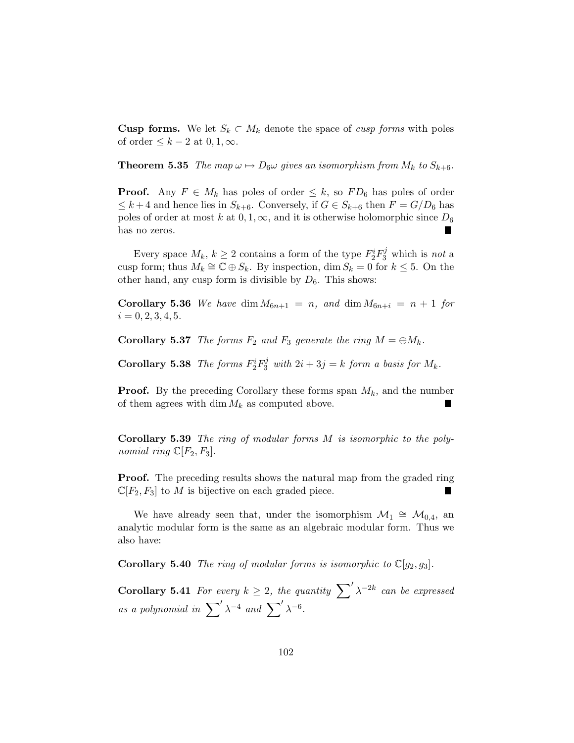**Cusp forms.** We let  $S_k \subset M_k$  denote the space of *cusp forms* with poles of order  $\leq k-2$  at  $0, 1, \infty$ .

**Theorem 5.35** *The map*  $\omega \mapsto D_6\omega$  *gives an isomorphism from*  $M_k$  *to*  $S_{k+6}$ *.* 

**Proof.** Any  $F \in M_k$  has poles of order  $\leq k$ , so  $FD_6$  has poles of order  $\leq k+4$  and hence lies in  $S_{k+6}$ . Conversely, if  $G \in S_{k+6}$  then  $F = G/D_6$  has poles of order at most k at  $0, 1, \infty$ , and it is otherwise holomorphic since  $D_6$ has no zeros.

Every space  $M_k$ ,  $k \geq 2$  contains a form of the type  $F_2^i F_3^j$  which is *not* a cusp form; thus  $M_k \cong \mathbb{C} \oplus S_k$ . By inspection,  $\dim S_k = 0$  for  $k \leq 5$ . On the other hand, any cusp form is divisible by  $D_6$ . This shows:

**Corollary 5.36** We have dim  $M_{6n+1} = n$ , and dim  $M_{6n+i} = n+1$  for  $i = 0, 2, 3, 4, 5.$ 

**Corollary 5.37** *The forms*  $F_2$  *and*  $F_3$  *generate the ring*  $M = \bigoplus M_k$ *.* 

**Corollary 5.38** *The forms*  $F_2^i F_3^j$  *with*  $2i + 3j = k$  *form a basis for*  $M_k$ *.* 

**Proof.** By the preceding Corollary these forms span  $M_k$ , and the number of them agrees with dim  $M_k$  as computed above.

Corollary 5.39 *The ring of modular forms* M *is isomorphic to the polynomial ring*  $\mathbb{C}[F_2, F_3]$ *.* 

**Proof.** The preceding results shows the natural map from the graded ring  $\mathbb{C}[F_2, F_3]$  to M is bijective on each graded piece.

We have already seen that, under the isomorphism  $\mathcal{M}_1 \cong \mathcal{M}_{0,4}$ , and analytic modular form is the same as an algebraic modular form. Thus we also have:

**Corollary 5.40** *The ring of modular forms is isomorphic to*  $\mathbb{C}[q_2, q_3]$ *.* 

**Corollary 5.41** For every  $k \geq 2$ , the quantity  $\sum' \lambda^{-2k}$  can be expressed *as a polynomial in*  $\sum' \lambda^{-4}$  *and*  $\sum' \lambda^{-6}$ .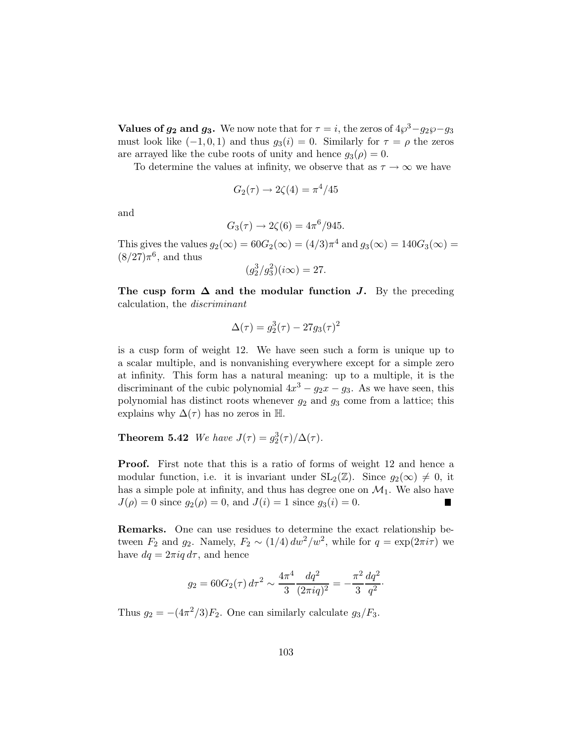**Values of**  $g_2$  **and**  $g_3$ **.** We now note that for  $\tau = i$ , the zeros of  $4\wp^3 - g_2\wp - g_3$ must look like  $(-1, 0, 1)$  and thus  $g_3(i) = 0$ . Similarly for  $\tau = \rho$  the zeros are arrayed like the cube roots of unity and hence  $g_3(\rho) = 0$ .

To determine the values at infinity, we observe that as  $\tau \to \infty$  we have

$$
G_2(\tau) \to 2\zeta(4) = \pi^4/45
$$

and

$$
G_3(\tau) \to 2\zeta(6) = 4\pi^6/945.
$$

This gives the values  $g_2(\infty) = 60G_2(\infty) = (4/3)\pi^4$  and  $g_3(\infty) = 140G_3(\infty) =$  $(8/27)\pi^6$ , and thus

$$
(g_2^3/g_3^2)(i\infty) = 27.
$$

The cusp form  $\Delta$  and the modular function J. By the preceding calculation, the *discriminant*

$$
\Delta(\tau) = g_2^3(\tau) - 27g_3(\tau)^2
$$

is a cusp form of weight 12. We have seen such a form is unique up to a scalar multiple, and is nonvanishing everywhere except for a simple zero at infinity. This form has a natural meaning: up to a multiple, it is the discriminant of the cubic polynomial  $4x^3 - g_2x - g_3$ . As we have seen, this polynomial has distinct roots whenever  $g_2$  and  $g_3$  come from a lattice; this explains why  $\Delta(\tau)$  has no zeros in H.

**Theorem 5.42** *We have*  $J(\tau) = g_2^3(\tau)/\Delta(\tau)$ *.* 

Proof. First note that this is a ratio of forms of weight 12 and hence a modular function, i.e. it is invariant under  $SL_2(\mathbb{Z})$ . Since  $g_2(\infty) \neq 0$ , it has a simple pole at infinity, and thus has degree one on  $\mathcal{M}_1$ . We also have  $J(\rho) = 0$  since  $g_2(\rho) = 0$ , and  $J(i) = 1$  since  $g_3(i) = 0$ .

Remarks. One can use residues to determine the exact relationship between  $F_2$  and  $g_2$ . Namely,  $F_2 \sim (1/4) dw^2/w^2$ , while for  $q = \exp(2\pi i \tau)$  we have  $dq = 2\pi i q d\tau$ , and hence

$$
g_2 = 60G_2(\tau) d\tau^2 \sim \frac{4\pi^4}{3} \frac{dq^2}{(2\pi i q)^2} = -\frac{\pi^2}{3} \frac{dq^2}{q^2}.
$$

Thus  $g_2 = -(4\pi^2/3)F_2$ . One can similarly calculate  $g_3/F_3$ .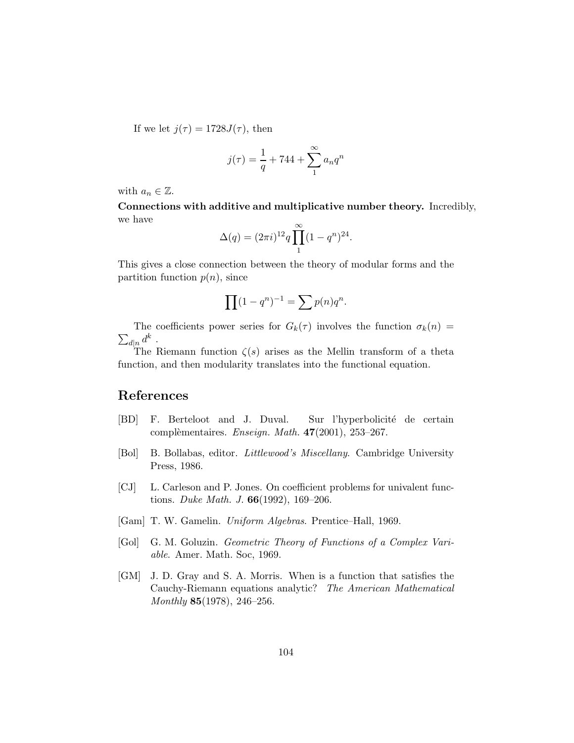If we let  $j(\tau) = 1728J(\tau)$ , then

$$
j(\tau) = \frac{1}{q} + 744 + \sum_{1}^{\infty} a_n q^n
$$

with  $a_n \in \mathbb{Z}$ .

Connections with additive and multiplicative number theory. Incredibly, we have

$$
\Delta(q) = (2\pi i)^{12} q \prod_{1}^{\infty} (1 - q^n)^{24}.
$$

This gives a close connection between the theory of modular forms and the partition function  $p(n)$ , since

$$
\prod (1 - q^n)^{-1} = \sum p(n)q^n.
$$

 $\sum_{d|n} d^k$ . The coefficients power series for  $G_k(\tau)$  involves the function  $\sigma_k(n)$ 

The Riemann function  $\zeta(s)$  arises as the Mellin transform of a theta function, and then modularity translates into the functional equation.

## References

- [BD] F. Berteloot and J. Duval. Sur l'hyperbolicité de certain compl`ementaires. *Enseign. Math.* 47(2001), 253–267.
- [Bol] B. Bollabas, editor. *Littlewood's Miscellany*. Cambridge University Press, 1986.
- [CJ] L. Carleson and P. Jones. On coefficient problems for univalent functions. *Duke Math. J.* 66(1992), 169–206.
- [Gam] T. W. Gamelin. *Uniform Algebras*. Prentice–Hall, 1969.
- [Gol] G. M. Goluzin. *Geometric Theory of Functions of a Complex Variable*. Amer. Math. Soc, 1969.
- [GM] J. D. Gray and S. A. Morris. When is a function that satisfies the Cauchy-Riemann equations analytic? *The American Mathematical Monthly* 85(1978), 246–256.